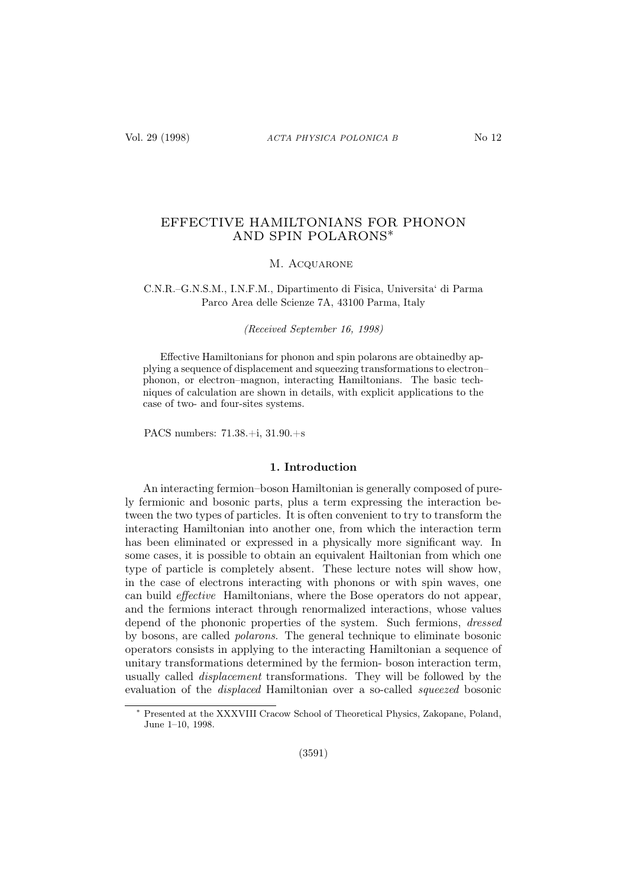# EFFECTIVE HAMILTONIANS FOR PHONON AND SPIN POLARONS∗

### M. ACQUARONE

### C.N.R.–G.N.S.M., I.N.F.M., Dipartimento di Fisica, Universita' di Parma Parco Area delle Scienze 7A, 43100 Parma, Italy

(Received September 16, 1998)

Effective Hamiltonians for phonon and spin polarons are obtainedby applying a sequence of displacement and squeezing transformations to electron– phonon, or electron–magnon, interacting Hamiltonians. The basic techniques of calculation are shown in details, with explicit applications to the case of two- and four-sites systems.

PACS numbers: 71.38.+i, 31.90.+s

### 1. Introduction

An interacting fermion–boson Hamiltonian is generally composed of purely fermionic and bosonic parts, plus a term expressing the interaction between the two types of particles. It is often convenient to try to transform the interacting Hamiltonian into another one, from which the interaction term has been eliminated or expressed in a physically more significant way. In some cases, it is possible to obtain an equivalent Hailtonian from which one type of particle is completely absent. These lecture notes will show how, in the case of electrons interacting with phonons or with spin waves, one can build effective Hamiltonians, where the Bose operators do not appear, and the fermions interact through renormalized interactions, whose values depend of the phononic properties of the system. Such fermions, *dressed* by bosons, are called polarons. The general technique to eliminate bosonic operators consists in applying to the interacting Hamiltonian a sequence of unitary transformations determined by the fermion- boson interaction term, usually called displacement transformations. They will be followed by the evaluation of the displaced Hamiltonian over a so-called squeezed bosonic

Presented at the XXXVIII Cracow School of Theoretical Physics, Zakopane, Poland, June 1–10, 1998.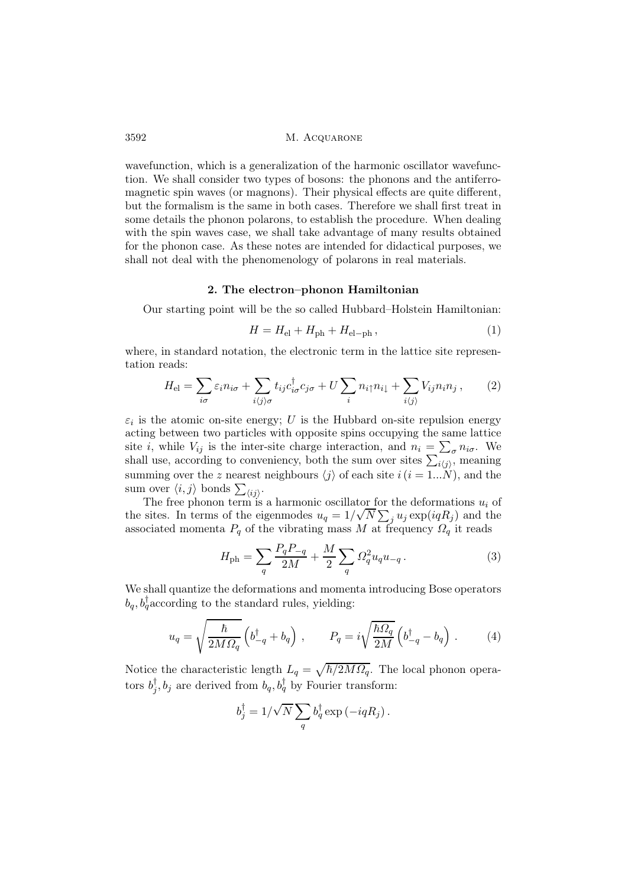wavefunction, which is a generalization of the harmonic oscillator wavefunction. We shall consider two types of bosons: the phonons and the antiferromagnetic spin waves (or magnons). Their physical effects are quite different, but the formalism is the same in both cases. Therefore we shall first treat in some details the phonon polarons, to establish the procedure. When dealing with the spin waves case, we shall take advantage of many results obtained for the phonon case. As these notes are intended for didactical purposes, we shall not deal with the phenomenology of polarons in real materials.

### 2. The electron–phonon Hamiltonian

Our starting point will be the so called Hubbard–Holstein Hamiltonian:

$$
H = H_{\rm el} + H_{\rm ph} + H_{\rm el-ph} \,, \tag{1}
$$

where, in standard notation, the electronic term in the lattice site representation reads:

$$
H_{\rm el} = \sum_{i\sigma} \varepsilon_i n_{i\sigma} + \sum_{i\langle j\rangle\sigma} t_{ij} c_{i\sigma}^\dagger c_{j\sigma} + U \sum_i n_{i\uparrow} n_{i\downarrow} + \sum_{i\langle j\rangle} V_{ij} n_i n_j \,,\qquad(2)
$$

 $\varepsilon_i$  is the atomic on-site energy; U is the Hubbard on-site repulsion energy acting between two particles with opposite spins occupying the same lattice site *i*, while  $V_{ij}$  is the inter-site charge interaction, and  $n_i = \sum_{\sigma} n_{i\sigma}$ . We shall use, according to conveniency, both the sum over sites  $\sum_{i\langle j\rangle}$ , meaning summing over the z nearest neighbours  $\langle i \rangle$  of each site  $i(i = 1...N)$ , and the sum over  $\langle i, j \rangle$  bonds  $\sum_{\langle ij \rangle}$ .

The free phonon term is a harmonic oscillator for the deformations  $u_i$  of the sites. In terms of the eigenmodes  $u_q = 1/\sqrt{N} \sum_j u_j \exp(iqR_j)$  and the associated momenta  $P_q$  of the vibrating mass M at frequency  $\Omega_q$  it reads

$$
H_{\rm ph} = \sum_{q} \frac{P_q P_{-q}}{2M} + \frac{M}{2} \sum_{q} \Omega_q^2 u_q u_{-q}.
$$
 (3)

We shall quantize the deformations and momenta introducing Bose operators  $b_q, b_q^{\dagger}$  according to the standard rules, yielding:

$$
u_q = \sqrt{\frac{\hbar}{2M\Omega_q}} \left( b_{-q}^\dagger + b_q \right) , \qquad P_q = i\sqrt{\frac{\hbar\Omega_q}{2M}} \left( b_{-q}^\dagger - b_q \right) . \tag{4}
$$

Notice the characteristic length  $L_q = \sqrt{\hbar/2M\Omega_q}$ . The local phonon operators  $b_j^{\dagger}, b_j$  are derived from  $b_q, b_q^{\dagger}$  by Fourier transform:

$$
b_j^{\dagger} = 1/\sqrt{N} \sum_q b_q^{\dagger} \exp\left(-i q R_j\right).
$$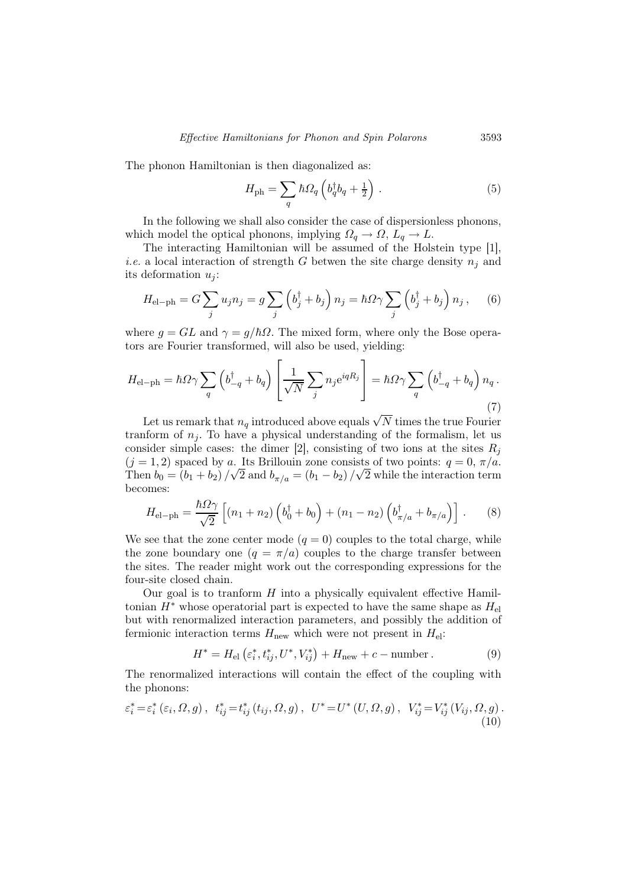The phonon Hamiltonian is then diagonalized as:

$$
H_{\rm ph} = \sum_{q} \hbar \Omega_{q} \left( b_{q}^{\dagger} b_{q} + \frac{1}{2} \right) . \tag{5}
$$

In the following we shall also consider the case of dispersionless phonons, which model the optical phonons, implying  $\Omega_q \to \Omega$ ,  $L_q \to L$ .

The interacting Hamiltonian will be assumed of the Holstein type [1], *i.e.* a local interaction of strength G betwen the site charge density  $n_i$  and its deformation  $u_i$ :

$$
H_{\rm el-ph} = G \sum_j u_j n_j = g \sum_j \left( b_j^{\dagger} + b_j \right) n_j = \hbar \Omega \gamma \sum_j \left( b_j^{\dagger} + b_j \right) n_j, \quad (6)
$$

where  $g = GL$  and  $\gamma = g/\hbar\Omega$ . The mixed form, where only the Bose operators are Fourier transformed, will also be used, yielding:

$$
H_{\rm el-ph} = \hbar \Omega \gamma \sum_{q} \left( b_{-q}^{\dagger} + b_{q} \right) \left[ \frac{1}{\sqrt{N}} \sum_{j} n_{j} e^{iqR_{j}} \right] = \hbar \Omega \gamma \sum_{q} \left( b_{-q}^{\dagger} + b_{q} \right) n_{q}.
$$
\n(7)

Let us remark that  $n_q$  introduced above equals  $\sqrt{N}$  times the true Fourier tranform of  $n<sub>j</sub>$ . To have a physical understanding of the formalism, let us consider simple cases: the dimer [2], consisting of two ions at the sites  $R_i$  $(j = 1, 2)$  spaced by a. Its Brillouin zone consists of two points:  $q = 0, \pi/a$ . Then  $b_0 = (b_1 + b_2) / \sqrt{2}$  and  $b_{\pi/a} = (b_1 - b_2) / \sqrt{2}$  while the interaction term becomes:

$$
H_{\rm el-ph} = \frac{\hbar \Omega \gamma}{\sqrt{2}} \left[ (n_1 + n_2) \left( b_0^{\dagger} + b_0 \right) + (n_1 - n_2) \left( b_{\pi/a}^{\dagger} + b_{\pi/a} \right) \right]. \tag{8}
$$

We see that the zone center mode  $(q = 0)$  couples to the total charge, while the zone boundary one  $(q = \pi/a)$  couples to the charge transfer between the sites. The reader might work out the corresponding expressions for the four-site closed chain.

Our goal is to tranform  $H$  into a physically equivalent effective Hamiltonian  $H^*$  whose operatorial part is expected to have the same shape as  $H_{\text{el}}$ but with renormalized interaction parameters, and possibly the addition of fermionic interaction terms  $H_{\text{new}}$  which were not present in  $H_{\text{el}}$ :

$$
H^* = H_{\text{el}}\left(\varepsilon_i^*, t_{ij}^*, U^*, V_{ij}^*\right) + H_{\text{new}} + c - \text{number} \,. \tag{9}
$$

The renormalized interactions will contain the effect of the coupling with the phonons:

$$
\varepsilon_i^* = \varepsilon_i^* \left( \varepsilon_i, \Omega, g \right), \quad t_{ij}^* = t_{ij}^* \left( t_{ij}, \Omega, g \right), \quad U^* = U^* \left( U, \Omega, g \right), \quad V_{ij}^* = V_{ij}^* \left( V_{ij}, \Omega, g \right). \tag{10}
$$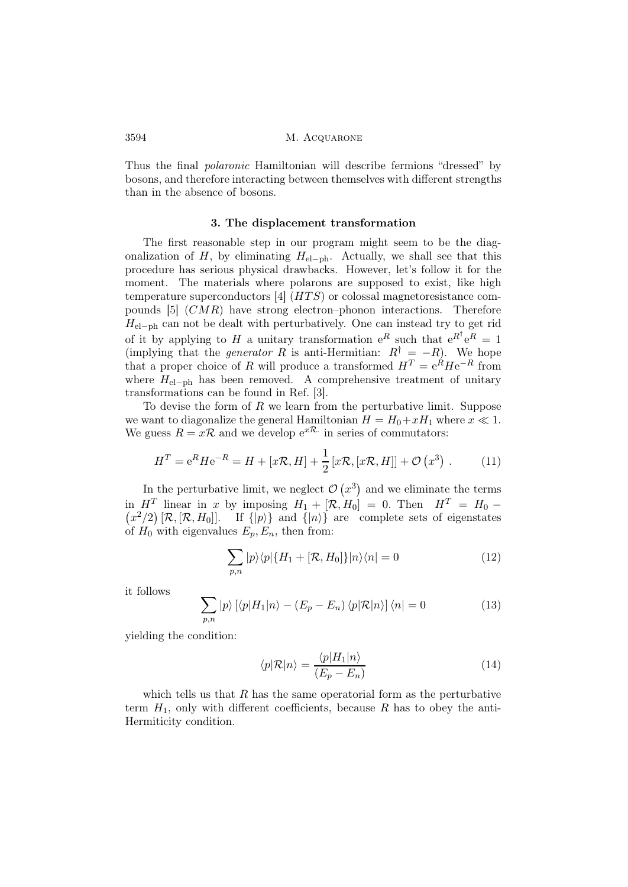Thus the final polaronic Hamiltonian will describe fermions "dressed" by bosons, and therefore interacting between themselves with different strengths than in the absence of bosons.

#### 3. The displacement transformation

The first reasonable step in our program might seem to be the diagonalization of H, by eliminating  $H_{el-ph}$ . Actually, we shall see that this procedure has serious physical drawbacks. However, let's follow it for the moment. The materials where polarons are supposed to exist, like high temperature superconductors  $[4]$   $(HTS)$  or colossal magnetoresistance compounds  $[5]$   $(CMR)$  have strong electron–phonon interactions. Therefore  $H_{el-ph}$  can not be dealt with perturbatively. One can instead try to get rid of it by applying to H a unitary transformation  $e^{R}$  such that  $e^{R^{\dagger}}e^{R} = 1$ (implying that the *generator* R is anti-Hermitian:  $R^{\dagger} = -R$ ). We hope that a proper choice of R will produce a transformed  $H<sup>T</sup> = e<sup>R</sup> H e<sup>-R</sup>$  from where  $H_{el-ph}$  has been removed. A comprehensive treatment of unitary transformations can be found in Ref. [3].

To devise the form of  $R$  we learn from the perturbative limit. Suppose we want to diagonalize the general Hamiltonian  $H = H_0 + xH_1$  where  $x \ll 1$ . We guess  $R = x\mathcal{R}$  and we develop  $e^{x\mathcal{R}}$  in series of commutators:

$$
H^{T} = e^{R} H e^{-R} = H + [x\mathcal{R}, H] + \frac{1}{2} [x\mathcal{R}, [x\mathcal{R}, H]] + \mathcal{O}(x^{3}).
$$
 (11)

In the perturbative limit, we neglect  $\mathcal{O}(x^3)$  and we eliminate the terms in  $H^T$  linear in x by imposing  $H_1 + [\mathcal{R}, H_0] = 0$ . Then  $H^T = H_0 (x^2/2) [\mathcal{R}, [\mathcal{R}, H_0]]$ . If  $\{|p\rangle\}$  and  $\{|n\rangle\}$  are complete sets of eigenstates of  $H_0$  with eigenvalues  $E_p, E_n$ , then from:

$$
\sum_{p,n} |p\rangle\langle p|\{H_1 + [\mathcal{R}, H_0]\}|n\rangle\langle n| = 0 \tag{12}
$$

it follows

$$
\sum_{p,n} |p\rangle \left[ \langle p|H_1|n\rangle - (E_p - E_n) \langle p|\mathcal{R}|n\rangle \right] \langle n| = 0 \tag{13}
$$

yielding the condition:

$$
\langle p|\mathcal{R}|n\rangle = \frac{\langle p|H_1|n\rangle}{(E_p - E_n)}
$$
(14)

which tells us that  $R$  has the same operatorial form as the perturbative term  $H_1$ , only with different coefficients, because R has to obey the anti-Hermiticity condition.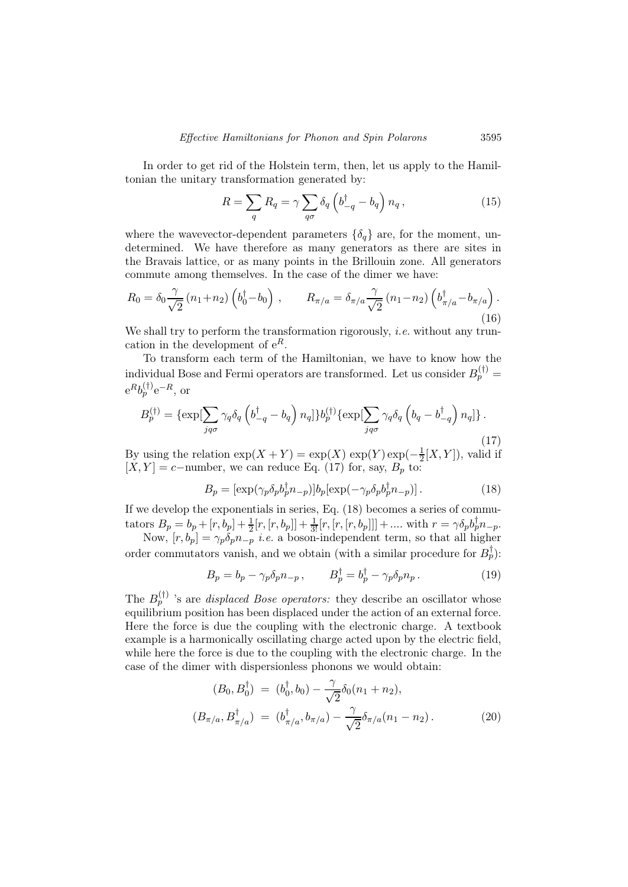In order to get rid of the Holstein term, then, let us apply to the Hamiltonian the unitary transformation generated by:

$$
R = \sum_{q} R_q = \gamma \sum_{q\sigma} \delta_q \left( b_{-q}^{\dagger} - b_q \right) n_q, \qquad (15)
$$

where the wavevector-dependent parameters  $\{\delta_q\}$  are, for the moment, undetermined. We have therefore as many generators as there are sites in the Bravais lattice, or as many points in the Brillouin zone. All generators commute among themselves. In the case of the dimer we have:

$$
R_0 = \delta_0 \frac{\gamma}{\sqrt{2}} (n_1 + n_2) \left( b_0^{\dagger} - b_0 \right) , \qquad R_{\pi/a} = \delta_{\pi/a} \frac{\gamma}{\sqrt{2}} (n_1 - n_2) \left( b_{\pi/a}^{\dagger} - b_{\pi/a} \right). \tag{16}
$$

We shall try to perform the transformation rigorously, *i.e.* without any truncation in the development of  $e^R$ .

To transform each term of the Hamiltonian, we have to know how the individual Bose and Fermi operators are transformed. Let us consider  $B_p^{(\dagger)} =$  $e^Rb_p^{(\dagger)}e^{-R},$  or

$$
B_p^{(\dagger)} = \{\exp[\sum_{jq\sigma} \gamma_q \delta_q \left(b_{-q}^{\dagger} - b_q\right) n_q]\} b_p^{(\dagger)} \{\exp[\sum_{jq\sigma} \gamma_q \delta_q \left(b_q - b_{-q}^{\dagger}\right) n_q]\} \,.
$$
\n(17)

By using the relation  $exp(X + Y) = exp(X) exp(Y) exp(-\frac{1}{2})$  $\frac{1}{2}[X, Y]$ , valid if  $[X, Y] = c$ −number, we can reduce Eq. (17) for, say,  $B_p$  to:

$$
B_p = \left[\exp(\gamma_p \delta_p b_p^{\dagger} n_{-p})\right] b_p \left[\exp(-\gamma_p \delta_p b_p^{\dagger} n_{-p})\right].\tag{18}
$$

If we develop the exponentials in series, Eq. (18) becomes a series of commutators  $B_p = b_p + [r, b_p] + \frac{1}{2} [r, [r, b_p]] + \frac{1}{3!} [r, [r, [r, b_p]]] + \dots$  with  $r = \gamma \delta_p b_p^{\dagger} n_{-p}$ .

Now,  $[r, b_p] = \gamma_p \delta_p n_{-p}$  *i.e.* a boson-independent term, so that all higher order commutators vanish, and we obtain (with a similar procedure for  $B_p^{\dagger}$ ):

$$
B_p = b_p - \gamma_p \delta_p n_{-p}, \qquad B_p^{\dagger} = b_p^{\dagger} - \gamma_p \delta_p n_p. \tag{19}
$$

The  $B_p^{(\dagger)}$  's are *displaced Bose operators:* they describe an oscillator whose equilibrium position has been displaced under the action of an external force. Here the force is due the coupling with the electronic charge. A textbook example is a harmonically oscillating charge acted upon by the electric field, while here the force is due to the coupling with the electronic charge. In the case of the dimer with dispersionless phonons we would obtain:

$$
(B_0, B_0^{\dagger}) = (b_0^{\dagger}, b_0) - \frac{\gamma}{\sqrt{2}} \delta_0(n_1 + n_2),
$$
  

$$
(B_{\pi/a}, B_{\pi/a}^{\dagger}) = (b_{\pi/a}^{\dagger}, b_{\pi/a}) - \frac{\gamma}{\sqrt{2}} \delta_{\pi/a}(n_1 - n_2).
$$
 (20)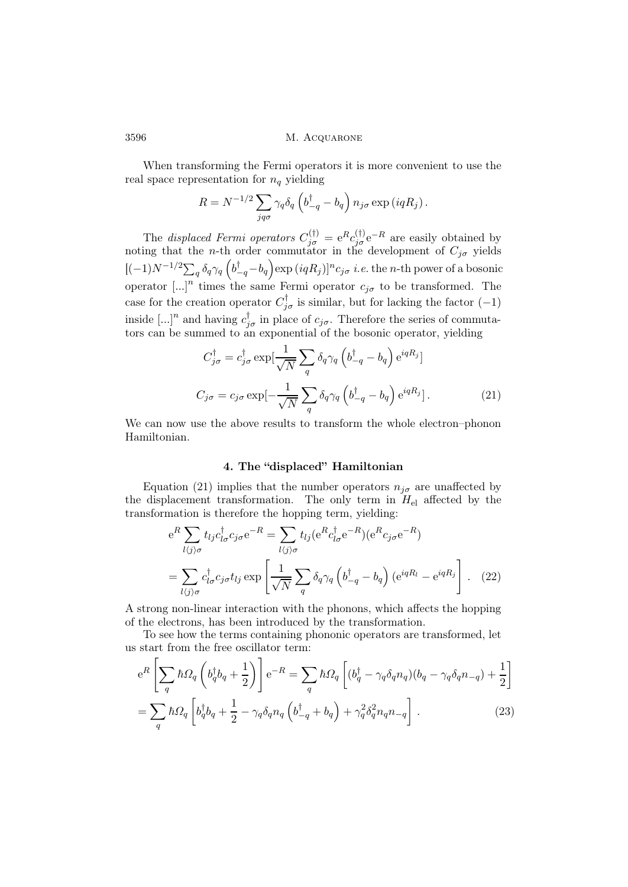When transforming the Fermi operators it is more convenient to use the real space representation for  $n_q$  yielding

$$
R = N^{-1/2} \sum_{jq\sigma} \gamma_q \delta_q \left( b_{-q}^{\dagger} - b_q \right) n_{j\sigma} \exp\left(iqR_j\right).
$$

The *displaced Fermi operators*  $C_{j\sigma}^{(\dagger)} = e^R c_{j\sigma}^{(\dagger)} e^{-R}$  are easily obtained by noting that the *n*-th order commutator in the development of  $C_{j\sigma}$  yields  $[(-1)N^{-1/2}\sum_q \delta_q\gamma_q\left(b_{-q}^{\dagger}-b_q\right)\exp{(iqR_j)}]^nc_{j\sigma}$  i.e. the n-th power of a bosonic operator [...]<sup>n</sup> times the same Fermi operator  $c_{j\sigma}$  to be transformed. The case for the creation operator  $C_{j\sigma}^{\dagger}$  is similar, but for lacking the factor (-1) inside [...]<sup>n</sup> and having  $c_{j\sigma}^{\dagger}$  in place of  $c_{j\sigma}$ . Therefore the series of commutators can be summed to an exponential of the bosonic operator, yielding

$$
C_{j\sigma}^{\dagger} = c_{j\sigma}^{\dagger} \exp\left[\frac{1}{\sqrt{N}} \sum_{q} \delta_{q} \gamma_{q} \left(b_{-q}^{\dagger} - b_{q}\right) e^{iqR_{j}}\right]
$$

$$
C_{j\sigma} = c_{j\sigma} \exp\left[-\frac{1}{\sqrt{N}} \sum_{q} \delta_{q} \gamma_{q} \left(b_{-q}^{\dagger} - b_{q}\right) e^{iqR_{j}}\right].
$$
 (21)

We can now use the above results to transform the whole electron–phonon Hamiltonian.

## 4. The "displaced" Hamiltonian

Equation (21) implies that the number operators  $n_{j\sigma}$  are unaffected by the displacement transformation. The only term in  $H_{el}$  affected by the transformation is therefore the hopping term, yielding:

$$
e^{R} \sum_{l\langle j\rangle\sigma} t_{lj}c_{l\sigma}^{\dagger} c_{j\sigma} e^{-R} = \sum_{l\langle j\rangle\sigma} t_{lj} (e^{R} c_{l\sigma}^{\dagger} e^{-R}) (e^{R} c_{j\sigma} e^{-R})
$$

$$
= \sum_{l\langle j\rangle\sigma} c_{l\sigma}^{\dagger} c_{j\sigma} t_{lj} \exp\left[\frac{1}{\sqrt{N}} \sum_{q} \delta_{q} \gamma_{q} \left(b_{-q}^{\dagger} - b_{q}\right) (e^{iqR_{l}} - e^{iqR_{j}}\right]. \quad (22)
$$

A strong non-linear interaction with the phonons, which affects the hopping of the electrons, has been introduced by the transformation.

To see how the terms containing phononic operators are transformed, let us start from the free oscillator term:

$$
e^{R}\left[\sum_{q} \hbar \Omega_{q} \left(b_{q}^{\dagger} b_{q} + \frac{1}{2}\right)\right] e^{-R} = \sum_{q} \hbar \Omega_{q} \left[(b_{q}^{\dagger} - \gamma_{q} \delta_{q} n_{q})(b_{q} - \gamma_{q} \delta_{q} n_{-q}) + \frac{1}{2}\right]
$$

$$
= \sum_{q} \hbar \Omega_{q} \left[b_{q}^{\dagger} b_{q} + \frac{1}{2} - \gamma_{q} \delta_{q} n_{q} \left(b_{-q}^{\dagger} + b_{q}\right) + \gamma_{q}^{2} \delta_{q}^{2} n_{q} n_{-q}\right].
$$
(23)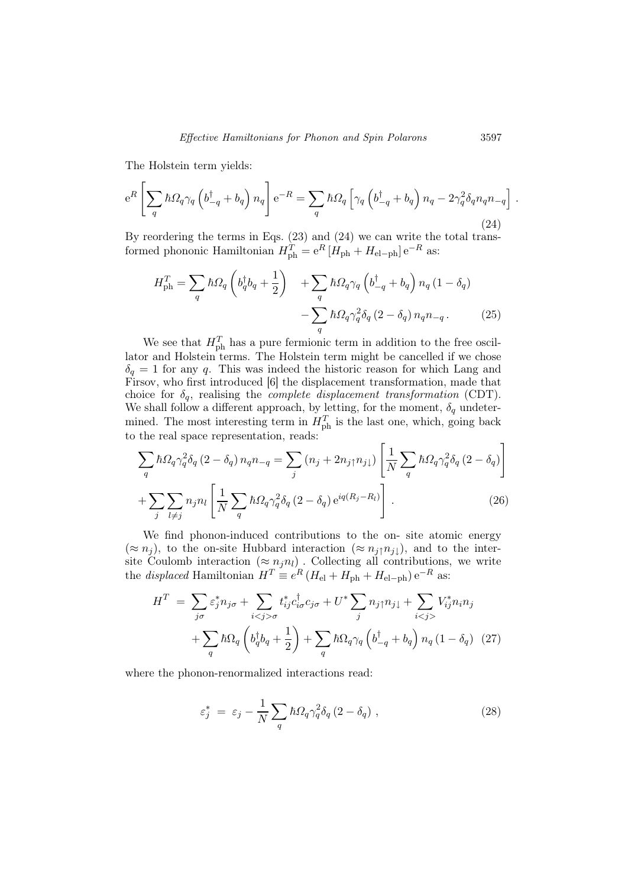The Holstein term yields:

$$
e^{R}\left[\sum_{q} \hbar \Omega_{q} \gamma_{q} \left(b_{-q}^{\dagger} + b_{q}\right) n_{q}\right] e^{-R} = \sum_{q} \hbar \Omega_{q} \left[\gamma_{q} \left(b_{-q}^{\dagger} + b_{q}\right) n_{q} - 2\gamma_{q}^{2} \delta_{q} n_{q} n_{-q}\right].
$$
\n(24)

By reordering the terms in Eqs. (23) and (24) we can write the total transformed phononic Hamiltonian  $H_{\text{ph}}^T = e^R [H_{\text{ph}} + H_{\text{el-ph}}] e^{-R}$  as:

$$
H_{\rm ph}^{T} = \sum_{q} \hbar \Omega_{q} \left( b_{q}^{\dagger} b_{q} + \frac{1}{2} \right) + \sum_{q} \hbar \Omega_{q} \gamma_{q} \left( b_{-q}^{\dagger} + b_{q} \right) n_{q} \left( 1 - \delta_{q} \right) - \sum_{q} \hbar \Omega_{q} \gamma_{q}^{2} \delta_{q} \left( 2 - \delta_{q} \right) n_{q} n_{-q} . \tag{25}
$$

We see that  $H_{\text{ph}}^T$  has a pure fermionic term in addition to the free oscillator and Holstein terms. The Holstein term might be cancelled if we chose  $\delta_q = 1$  for any q. This was indeed the historic reason for which Lang and Firsov, who first introduced [6] the displacement transformation, made that choice for  $\delta_q$ , realising the *complete displacement transformation* (CDT). We shall follow a different approach, by letting, for the moment,  $\delta_q$  undetermined. The most interesting term in  $H_{\text{ph}}^T$  is the last one, which, going back to the real space representation, reads:

$$
\sum_{q} \hbar \Omega_{q} \gamma_{q}^{2} \delta_{q} (2 - \delta_{q}) n_{q} n_{-q} = \sum_{j} (n_{j} + 2n_{j} \gamma_{j} \mu_{j}) \left[ \frac{1}{N} \sum_{q} \hbar \Omega_{q} \gamma_{q}^{2} \delta_{q} (2 - \delta_{q}) \right]
$$

$$
+ \sum_{j} \sum_{l \neq j} n_{j} n_{l} \left[ \frac{1}{N} \sum_{q} \hbar \Omega_{q} \gamma_{q}^{2} \delta_{q} (2 - \delta_{q}) e^{iq(R_{j} - R_{l})} \right]. \tag{26}
$$

We find phonon-induced contributions to the on- site atomic energy  $(\approx n_j)$ , to the on-site Hubbard interaction  $(\approx n_j \uparrow n_{j\downarrow})$ , and to the intersite Coulomb interaction  $(\approx n_j n_l)$ . Collecting all contributions, we write the *displaced* Hamiltonian  $H^T \equiv e^R (H_{\text{el}} + H_{\text{ph}} + H_{\text{el-ph}}) e^{-R}$  as:

$$
H^{T} = \sum_{j\sigma} \varepsilon_{j}^{*} n_{j\sigma} + \sum_{i < j > \sigma} t_{ij}^{*} c_{i\sigma}^{\dagger} c_{j\sigma} + U^{*} \sum_{j} n_{j\uparrow} n_{j\downarrow} + \sum_{i < j >} V_{ij}^{*} n_{i} n_{j} + \sum_{q} \hbar \Omega_{q} \left( b_{q}^{\dagger} b_{q} + \frac{1}{2} \right) + \sum_{q} \hbar \Omega_{q} \gamma_{q} \left( b_{-q}^{\dagger} + b_{q} \right) n_{q} \left( 1 - \delta_{q} \right) (27)
$$

where the phonon-renormalized interactions read:

$$
\varepsilon_j^* = \varepsilon_j - \frac{1}{N} \sum_q \hbar \Omega_q \gamma_q^2 \delta_q (2 - \delta_q) , \qquad (28)
$$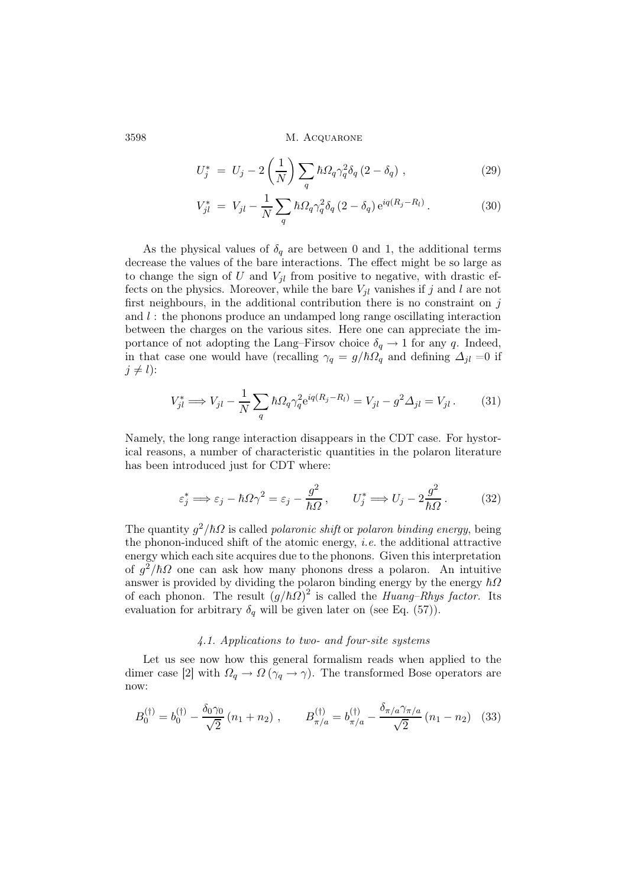$$
U_j^* = U_j - 2\left(\frac{1}{N}\right) \sum_q \hbar \Omega_q \gamma_q^2 \delta_q (2 - \delta_q) , \qquad (29)
$$

$$
V_{jl}^{*} = V_{jl} - \frac{1}{N} \sum_{q} \hbar \Omega_{q} \gamma_{q}^{2} \delta_{q} (2 - \delta_{q}) e^{iq(R_{j} - R_{l})}.
$$
 (30)

As the physical values of  $\delta_q$  are between 0 and 1, the additional terms decrease the values of the bare interactions. The effect might be so large as to change the sign of U and  $V_{jl}$  from positive to negative, with drastic effects on the physics. Moreover, while the bare  $V_{jl}$  vanishes if j and l are not first neighbours, in the additional contribution there is no constraint on  $j$ and  $l$ : the phonons produce an undamped long range oscillating interaction between the charges on the various sites. Here one can appreciate the importance of not adopting the Lang–Firsov choice  $\delta_q \to 1$  for any q. Indeed, in that case one would have (recalling  $\gamma_q = g/\hbar\Omega_q$  and defining  $\Delta_{jl} = 0$  if  $j \neq l$ :

$$
V_{jl}^* \Longrightarrow V_{jl} - \frac{1}{N} \sum_{q} \hbar \Omega_q \gamma_q^2 e^{iq(R_j - R_l)} = V_{jl} - g^2 \Delta_{jl} = V_{jl}.
$$
 (31)

Namely, the long range interaction disappears in the CDT case. For hystorical reasons, a number of characteristic quantities in the polaron literature has been introduced just for CDT where:

$$
\varepsilon_j^* \Longrightarrow \varepsilon_j - \hbar \Omega \gamma^2 = \varepsilon_j - \frac{g^2}{\hbar \Omega}, \qquad U_j^* \Longrightarrow U_j - 2\frac{g^2}{\hbar \Omega}.
$$
 (32)

The quantity  $g^2/\hbar\Omega$  is called *polaronic shift* or *polaron binding energy*, being the phonon-induced shift of the atomic energy, *i.e.* the additional attractive energy which each site acquires due to the phonons. Given this interpretation of  $g^2/\hbar\Omega$  one can ask how many phonons dress a polaron. An intuitive answer is provided by dividing the polaron binding energy by the energy  $\hbar\Omega$ of each phonon. The result  $(g/\hbar\Omega)^2$  is called the Huang–Rhys factor. Its evaluation for arbitrary  $\delta_q$  will be given later on (see Eq. (57)).

### 4.1. Applications to two- and four-site systems

Let us see now how this general formalism reads when applied to the dimer case [2] with  $\Omega_q \to \Omega \left( \gamma_q \to \gamma \right)$ . The transformed Bose operators are now:

$$
B_0^{(\dagger)} = b_0^{(\dagger)} - \frac{\delta_0 \gamma_0}{\sqrt{2}} (n_1 + n_2) , \qquad B_{\pi/a}^{(\dagger)} = b_{\pi/a}^{(\dagger)} - \frac{\delta_{\pi/a} \gamma_{\pi/a}}{\sqrt{2}} (n_1 - n_2) \quad (33)
$$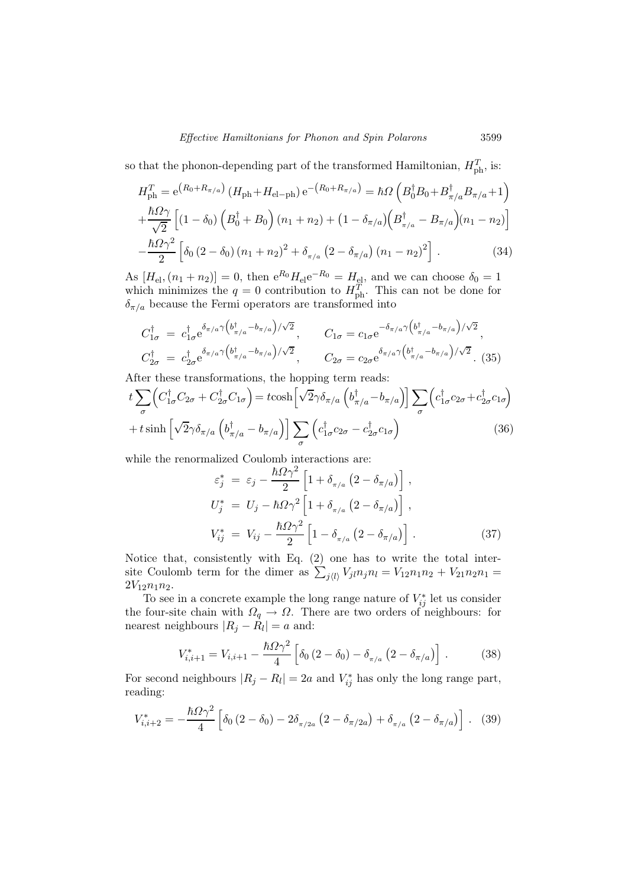so that the phonon-depending part of the transformed Hamiltonian,  $H_{\text{ph}}^{T}$ , is:

$$
H_{\rm ph}^{T} = e^{(R_{0} + R_{\pi/a})} (H_{\rm ph} + H_{\rm el-ph}) e^{-(R_{0} + R_{\pi/a})} = \hbar \Omega \left( B_{0}^{\dagger} B_{0} + B_{\pi/a}^{\dagger} B_{\pi/a} + 1 \right)
$$
  
+ 
$$
\frac{\hbar \Omega \gamma}{\sqrt{2}} \left[ (1 - \delta_{0}) \left( B_{0}^{\dagger} + B_{0} \right) (n_{1} + n_{2}) + (1 - \delta_{\pi/a}) \left( B_{\pi/a}^{\dagger} - B_{\pi/a} \right) (n_{1} - n_{2}) \right]
$$
  
- 
$$
\frac{\hbar \Omega \gamma^{2}}{2} \left[ \delta_{0} (2 - \delta_{0}) (n_{1} + n_{2})^{2} + \delta_{\pi/a} (2 - \delta_{\pi/a}) (n_{1} - n_{2})^{2} \right].
$$
 (34)

As  $[H_{\text{el}}, (n_1 + n_2)] = 0$ , then  $e^{R_0} H_{\text{el}} e^{-R_0} = H_{\text{el}}$ , and we can choose  $\delta_0 = 1$ which minimizes the  $q = 0$  contribution to  $H_{\text{ph}}^T$ . This can not be done for  $\delta_{\pi/a}$  because the Fermi operators are transformed into

$$
C_{1\sigma}^{\dagger} = c_{1\sigma}^{\dagger} e^{\delta_{\pi/a} \gamma \left(b_{\pi/a}^{\dagger} - b_{\pi/a}\right) / \sqrt{2}}, \qquad C_{1\sigma} = c_{1\sigma} e^{-\delta_{\pi/a} \gamma \left(b_{\pi/a}^{\dagger} - b_{\pi/a}\right) / \sqrt{2}},
$$
  
\n
$$
C_{2\sigma}^{\dagger} = c_{2\sigma}^{\dagger} e^{\delta_{\pi/a} \gamma \left(b_{\pi/a}^{\dagger} - b_{\pi/a}\right) / \sqrt{2}}, \qquad C_{2\sigma} = c_{2\sigma} e^{\delta_{\pi/a} \gamma \left(b_{\pi/a}^{\dagger} - b_{\pi/a}\right) / \sqrt{2}}.
$$
 (35)

After these transformations, the hopping term reads:

$$
t\sum_{\sigma} \left( C_{1\sigma}^{\dagger} C_{2\sigma} + C_{2\sigma}^{\dagger} C_{1\sigma} \right) = t \cosh \left[ \sqrt{2} \gamma \delta_{\pi/a} \left( b_{\pi/a}^{\dagger} - b_{\pi/a} \right) \right] \sum_{\sigma} \left( c_{1\sigma}^{\dagger} c_{2\sigma} + c_{2\sigma}^{\dagger} c_{1\sigma} \right) + t \sinh \left[ \sqrt{2} \gamma \delta_{\pi/a} \left( b_{\pi/a}^{\dagger} - b_{\pi/a} \right) \right] \sum_{\sigma} \left( c_{1\sigma}^{\dagger} c_{2\sigma} - c_{2\sigma}^{\dagger} c_{1\sigma} \right)
$$
(36)

while the renormalized Coulomb interactions are:

$$
\varepsilon_j^* = \varepsilon_j - \frac{\hbar \Omega \gamma^2}{2} \left[ 1 + \delta_{\pi/a} \left( 2 - \delta_{\pi/a} \right) \right],
$$
  
\n
$$
U_j^* = U_j - \hbar \Omega \gamma^2 \left[ 1 + \delta_{\pi/a} \left( 2 - \delta_{\pi/a} \right) \right],
$$
  
\n
$$
V_{ij}^* = V_{ij} - \frac{\hbar \Omega \gamma^2}{2} \left[ 1 - \delta_{\pi/a} \left( 2 - \delta_{\pi/a} \right) \right].
$$
\n(37)

Notice that, consistently with Eq. (2) one has to write the total intersite Coulomb term for the dimer as  $\sum_{j\langle l\rangle} V_{jl} n_j n_l = V_{12} n_1 n_2 + V_{21} n_2 n_1 =$  $2V_{12}n_1n_2$ .

To see in a concrete example the long range nature of  $V_{ij}^*$  let us consider the four-site chain with  $\Omega_q \to \Omega$ . There are two orders of neighbours: for nearest neighbours  $|R_j - R_l| = a$  and:

$$
V_{i,i+1}^{*} = V_{i,i+1} - \frac{\hbar \Omega \gamma^2}{4} \left[ \delta_0 \left( 2 - \delta_0 \right) - \delta_{\pi/a} \left( 2 - \delta_{\pi/a} \right) \right]. \tag{38}
$$

For second neighbours  $|R_j - R_l| = 2a$  and  $V_{ij}^*$  has only the long range part, reading:

$$
V_{i,i+2}^{*} = -\frac{\hbar \Omega \gamma^2}{4} \left[ \delta_0 \left( 2 - \delta_0 \right) - 2\delta_{\pi/2a} \left( 2 - \delta_{\pi/2a} \right) + \delta_{\pi/a} \left( 2 - \delta_{\pi/a} \right) \right].
$$
 (39)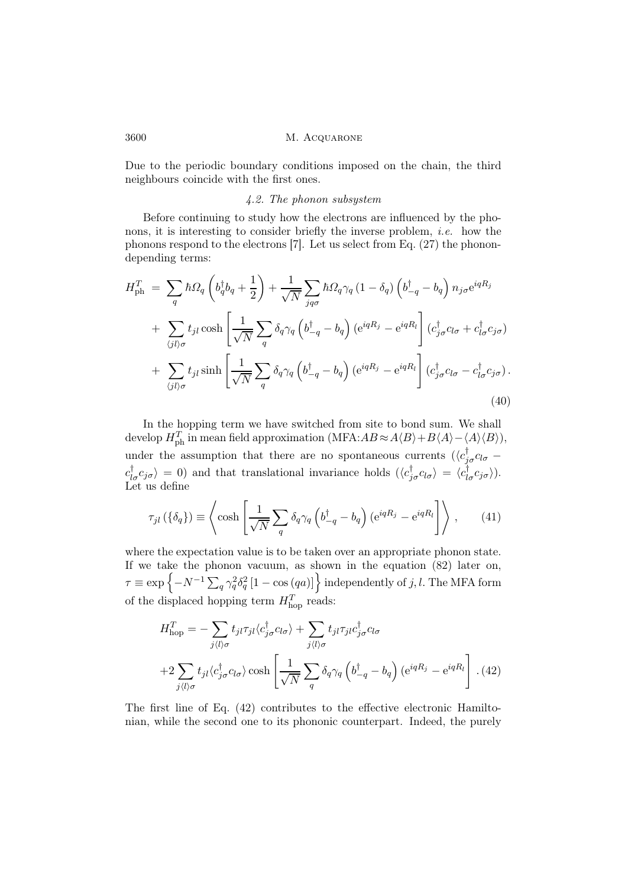Due to the periodic boundary conditions imposed on the chain, the third neighbours coincide with the first ones.

### 4.2. The phonon subsystem

Before continuing to study how the electrons are influenced by the phonons, it is interesting to consider briefly the inverse problem, *i.e.* how the phonons respond to the electrons [7]. Let us select from Eq. (27) the phonondepending terms:

$$
H_{\rm ph}^{T} = \sum_{q} \hbar \Omega_{q} \left( b_{q}^{\dagger} b_{q} + \frac{1}{2} \right) + \frac{1}{\sqrt{N}} \sum_{j q \sigma} \hbar \Omega_{q} \gamma_{q} \left( 1 - \delta_{q} \right) \left( b_{-q}^{\dagger} - b_{q} \right) n_{j \sigma} e^{iqR_{j}}
$$
  
+ 
$$
\sum_{\langle j l \rangle \sigma} t_{j l} \cosh \left[ \frac{1}{\sqrt{N}} \sum_{q} \delta_{q} \gamma_{q} \left( b_{-q}^{\dagger} - b_{q} \right) \left( e^{iqR_{j}} - e^{iqR_{l}} \right] \left( c_{j \sigma}^{\dagger} c_{l \sigma} + c_{l \sigma}^{\dagger} c_{j \sigma} \right)
$$
  
+ 
$$
\sum_{\langle j l \rangle \sigma} t_{j l} \sinh \left[ \frac{1}{\sqrt{N}} \sum_{q} \delta_{q} \gamma_{q} \left( b_{-q}^{\dagger} - b_{q} \right) \left( e^{iqR_{j}} - e^{iqR_{l}} \right] \left( c_{j \sigma}^{\dagger} c_{l \sigma} - c_{l \sigma}^{\dagger} c_{j \sigma} \right).
$$
  
(40)

In the hopping term we have switched from site to bond sum. We shall develop  $H_{\rm ph}^T$  in mean field approximation  $(MFA:AB \approx A\langle B\rangle + B\langle A\rangle - \langle A\rangle\langle B\rangle)$ , under the assumption that there are no spontaneous currents  $(\langle c_{j\sigma}^{\dagger} c_{l\sigma}$  $c_{J\sigma}^{\dagger}c_{J\sigma}$  = 0) and that translational invariance holds  $(\langle c_{J\sigma}^{\dagger}c_{J\sigma} \rangle = \langle c_{J\sigma}^{\dagger}c_{J\sigma} \rangle)$ . Let us define

$$
\tau_{jl}(\{\delta_q\}) \equiv \left\langle \cosh\left[\frac{1}{\sqrt{N}}\sum_q \delta_q \gamma_q \left(b_{-q}^\dagger - b_q\right) \left(e^{iqR_j} - e^{iqR_l}\right] \right\rangle, \qquad (41)
$$

where the expectation value is to be taken over an appropriate phonon state. If we take the phonon vacuum, as shown in the equation (82) later on,  $\tau \equiv \exp\left\{-N^{-1}\sum_q \gamma_q^2 \delta_q^2\left[1-\cos\left(qa\right)\right]\right\}$  independently of  $j,l.$  The MFA form of the displaced hopping term  $H_{\text{hop}}^T$  reads:

$$
H_{\text{hop}}^{T} = -\sum_{j\langle l\rangle\sigma} t_{jl}\tau_{jl}\langle c_{j\sigma}^{\dagger}c_{l\sigma}\rangle + \sum_{j\langle l\rangle\sigma} t_{jl}\tau_{jl}c_{j\sigma}^{\dagger}c_{l\sigma}
$$

$$
+2\sum_{j\langle l\rangle\sigma} t_{jl}\langle c_{j\sigma}^{\dagger}c_{l\sigma}\rangle \cosh\left[\frac{1}{\sqrt{N}}\sum_{q} \delta_{q}\gamma_{q}\left(b_{-q}^{\dagger}-b_{q}\right)\left(e^{iqR_{j}}-e^{iqR_{l}}\right]\right]. (42)
$$

The first line of Eq. (42) contributes to the effective electronic Hamiltonian, while the second one to its phononic counterpart. Indeed, the purely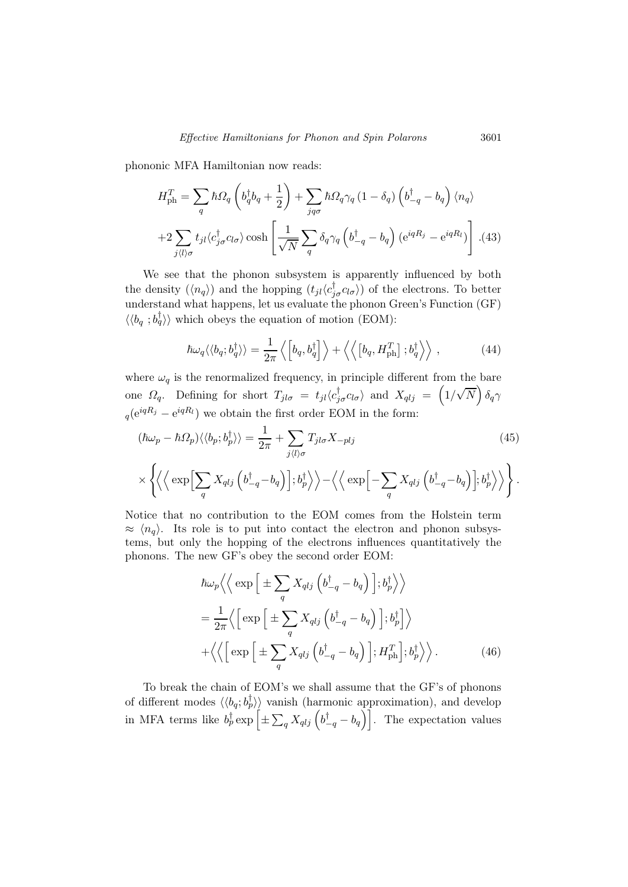phononic MFA Hamiltonian now reads:

$$
H_{\rm ph}^{T} = \sum_{q} \hbar \Omega_{q} \left( b_{q}^{\dagger} b_{q} + \frac{1}{2} \right) + \sum_{j q \sigma} \hbar \Omega_{q} \gamma_{q} \left( 1 - \delta_{q} \right) \left( b_{-q}^{\dagger} - b_{q} \right) \langle n_{q} \rangle
$$

$$
+ 2 \sum_{j \langle l \rangle \sigma} t_{jl} \langle c_{j \sigma}^{\dagger} c_{l \sigma} \rangle \cosh \left[ \frac{1}{\sqrt{N}} \sum_{q} \delta_{q} \gamma_{q} \left( b_{-q}^{\dagger} - b_{q} \right) \left( e^{i q R_{j}} - e^{i q R_{l}} \right) \right]. (43)
$$

We see that the phonon subsystem is apparently influenced by both the density  $(\langle n_q \rangle)$  and the hopping  $(t_{jl}\langle c_{j\sigma}^{\dagger}c_{l\sigma} \rangle)$  of the electrons. To better understand what happens, let us evaluate the phonon Green's Function (GF)  $\langle \langle b_q; b_q^{\dagger} \rangle \rangle$  which obeys the equation of motion (EOM):

$$
\hbar\omega_q \langle \langle b_q; b_q^{\dagger} \rangle \rangle = \frac{1}{2\pi} \left\langle \left[ b_q, b_q^{\dagger} \right] \right\rangle + \left\langle \left\langle \left[ b_q, H_{\text{ph}}^T \right] ; b_q^{\dagger} \right\rangle \right\rangle, \tag{44}
$$

where  $\omega_q$  is the renormalized frequency, in principle different from the bare one  $\Omega_q$ . Defining for short  $T_{jl\sigma} = t_{jl}\langle c_{j\sigma}^{\dagger}c_{l\sigma}\rangle$  and  $X_{qlj} = (1/\sqrt{N}) \delta_q \gamma$  $_q(e^{iqR_j} - e^{iqR_l})$  we obtain the first order EOM in the form:

$$
(\hbar\omega_p - \hbar\Omega_p)\langle\langle b_p; b_p^{\dagger} \rangle\rangle = \frac{1}{2\pi} + \sum_{j \langle l \rangle \sigma} T_{jl\sigma} X_{-plj}
$$
(45)  

$$
\times \left\{ \left\langle \left\langle \exp \left[ \sum_q X_{qlj} \left( b_{-q}^{\dagger} - b_q \right) \right]; b_p^{\dagger} \right\rangle \right\rangle - \left\langle \left\langle \exp \left[ - \sum_q X_{qlj} \left( b_{-q}^{\dagger} - b_q \right) \right]; b_p^{\dagger} \right\rangle \right\rangle \right\}.
$$

Notice that no contribution to the EOM comes from the Holstein term  $\approx \langle n_a \rangle$ . Its role is to put into contact the electron and phonon subsystems, but only the hopping of the electrons influences quantitatively the phonons. The new GF's obey the second order EOM:

$$
\hbar\omega_p \left\langle \left\langle \exp\left[\pm \sum_q X_{qlj} \left(b_{-q}^\dagger - b_q\right)\right]; b_p^\dagger \right\rangle \right\rangle
$$
  
\n
$$
= \frac{1}{2\pi} \left\langle \left[\exp\left[\pm \sum_q X_{qlj} \left(b_{-q}^\dagger - b_q\right)\right]; b_p^\dagger \right]\right\rangle
$$
  
\n
$$
+ \left\langle \left\langle \left[\exp\left[\pm \sum_q X_{qlj} \left(b_{-q}^\dagger - b_q\right)\right]; H_{\text{ph}}^T\right]; b_p^\dagger \right\rangle \right\rangle. \tag{46}
$$

To break the chain of EOM's we shall assume that the GF's of phonons of different modes  $\langle \langle b_q; b_p^{\dagger} \rangle \rangle$  vanish (harmonic approximation), and develop in MFA terms like  $b_p^{\dagger} \exp \left[ \pm \sum_q X_{qlj} \left( b_{-q}^{\dagger} - b_q \right) \right]$ . The expectation values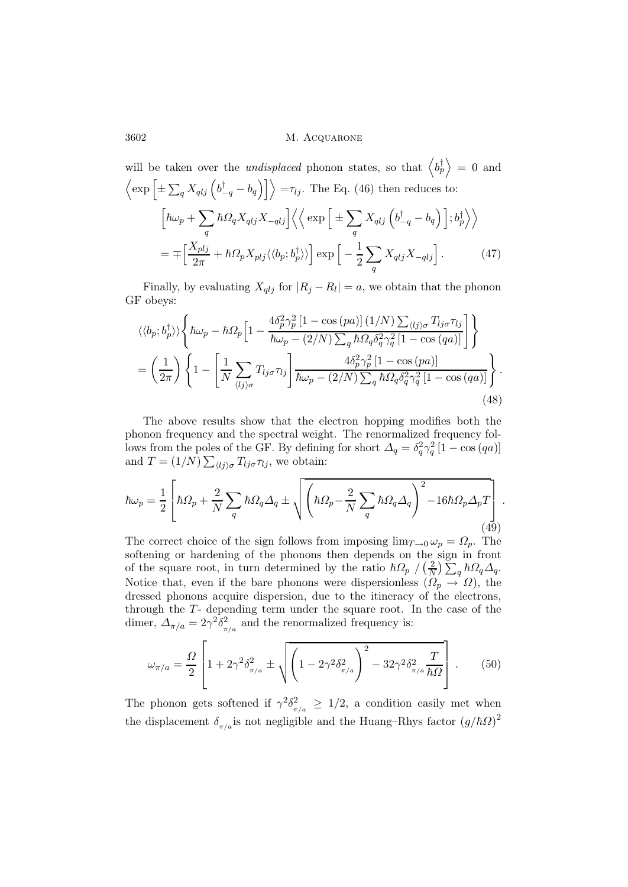will be taken over the *undisplaced* phonon states, so that 
$$
\langle b_p^{\dagger} \rangle = 0
$$
 and  
\n $\langle \exp \left[ \pm \sum_q X_{qlj} \left( b_{-q}^{\dagger} - b_q \right) \right] \rangle = \tau_{lj}$ . The Eq. (46) then reduces to:  
\n $\left[ \hbar \omega_p + \sum_q \hbar \Omega_q X_{qlj} X_{-qlj} \right] \langle \langle \exp \left[ \pm \sum_q X_{qlj} \left( b_{-q}^{\dagger} - b_q \right) \right], b_p^{\dagger} \rangle \rangle$   
\n $= \mp \left[ \frac{X_{plj}}{2\pi} + \hbar \Omega_p X_{plj} \langle \langle b_p; b_p^{\dagger} \rangle \rangle \right] \exp \left[ -\frac{1}{2} \sum_q X_{qlj} X_{-qlj} \right].$  (47)

Finally, by evaluating  $X_{qlj}$  for  $|R_j - R_l| = a$ , we obtain that the phonon GF obeys:

$$
\langle \langle b_p; b_p^{\dagger} \rangle \rangle \left\{ \hbar \omega_p - \hbar \Omega_p \left[ 1 - \frac{4 \delta_p^2 \gamma_p^2 \left[ 1 - \cos \left( p a \right) \right] (1/N) \sum_{\langle l j \rangle \sigma} T_{lj \sigma} \tau_{lj}}{\hbar \omega_p - (2/N) \sum_q \hbar \Omega_q \delta_q^2 \gamma_q^2 \left[ 1 - \cos \left( q a \right) \right]} \right] \right\}
$$
  
= 
$$
\left( \frac{1}{2\pi} \right) \left\{ 1 - \left[ \frac{1}{N} \sum_{\langle l j \rangle \sigma} T_{lj \sigma} \tau_{lj} \right] \frac{4 \delta_p^2 \gamma_p^2 \left[ 1 - \cos \left( p a \right) \right]}{\hbar \omega_p - (2/N) \sum_q \hbar \Omega_q \delta_q^2 \gamma_q^2 \left[ 1 - \cos \left( q a \right) \right]} \right\}. \tag{48}
$$

The above results show that the electron hopping modifies both the phonon frequency and the spectral weight. The renormalized frequency follows from the poles of the GF. By defining for short  $\Delta_q = \delta_q^2 \gamma_q^2 [1 - \cos(qa)]$ and  $T = (1/N) \sum_{\langle l j \rangle \sigma} T_{lj} \sigma_{lj}$ , we obtain:

$$
\hbar\omega_p = \frac{1}{2} \left[ \hbar\Omega_p + \frac{2}{N} \sum_q \hbar\Omega_q \Delta_q \pm \sqrt{\left( \hbar\Omega_p - \frac{2}{N} \sum_q \hbar\Omega_q \Delta_q \right)^2 - 16\hbar\Omega_p \Delta_p T} \right].
$$
\n(49)

The correct choice of the sign follows from imposing  $\lim_{T\to 0} \omega_p = \Omega_p$ . The softening or hardening of the phonons then depends on the sign in front of the square root, in turn determined by the ratio  $\hbar\Omega_p / (\frac{2}{N})$  $\frac{2}{N})\sum_q\hbar\Omega_q\varDelta_q.$ Notice that, even if the bare phonons were dispersionless  $(\Omega_p \to \Omega)$ , the dressed phonons acquire dispersion, due to the itineracy of the electrons, through the T- depending term under the square root. In the case of the dimer,  $\Delta_{\pi/a} = 2\gamma^2 \delta_{\pi/a}^2$  and the renormalized frequency is:

$$
\omega_{\pi/a} = \frac{\Omega}{2} \left[ 1 + 2\gamma^2 \delta_{\pi/a}^2 \pm \sqrt{\left( 1 - 2\gamma^2 \delta_{\pi/a}^2 \right)^2 - 32\gamma^2 \delta_{\pi/a}^2 \frac{T}{\hbar \Omega}} \right].
$$
 (50)

The phonon gets softened if  $\gamma^2 \delta^2_{\pi/a} \geq 1/2$ , a condition easily met when the displacement  $\delta_{\pi/a}$  is not negligible and the Huang–Rhys factor  $(g/\hbar\Omega)^2$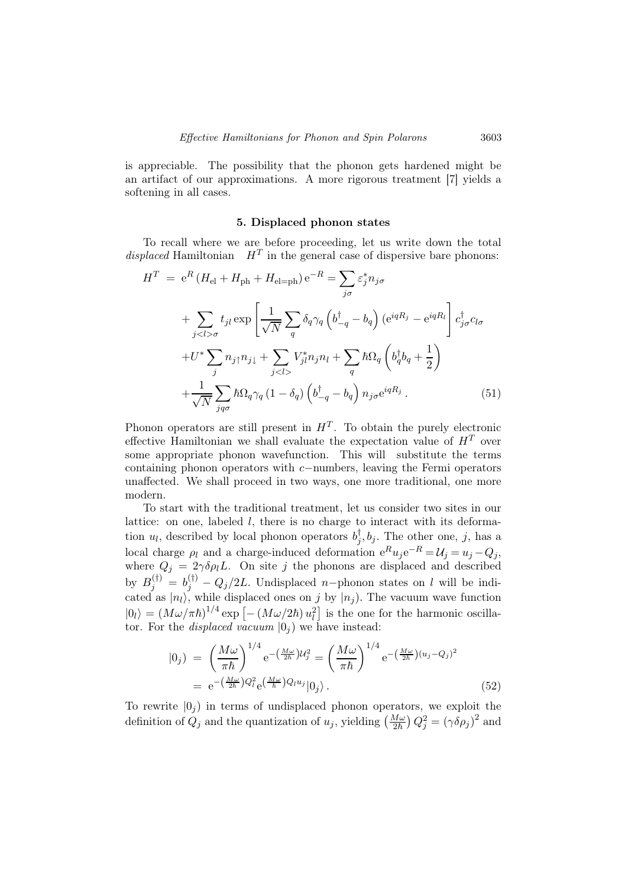is appreciable. The possibility that the phonon gets hardened might be an artifact of our approximations. A more rigorous treatment [7] yields a softening in all cases.

### 5. Displaced phonon states

To recall where we are before proceeding, let us write down the total displaced Hamiltonian  $H<sup>T</sup>$  in the general case of dispersive bare phonons:

$$
H^{T} = e^{R} (H_{el} + H_{ph} + H_{el=ph}) e^{-R} = \sum_{j\sigma} \varepsilon_{j}^{*} n_{j\sigma}
$$
  
+ 
$$
\sum_{j\sigma} t_{jl} \exp\left[\frac{1}{\sqrt{N}} \sum_{q} \delta_{q} \gamma_{q} \left(b_{-q}^{\dagger} - b_{q}\right) \left(e^{iqR_{j}} - e^{iqR_{l}}\right] c_{j\sigma}^{\dagger} c_{l\sigma} + U^{*} \sum_{j} n_{j\uparrow} n_{j\downarrow} + \sum_{j} V^{*}_{jl} n_{j} n_{l} + \sum_{q} \hbar \Omega_{q} \left(b_{q}^{\dagger} b_{q} + \frac{1}{2}\right)
$$
  
+ 
$$
\frac{1}{\sqrt{N}} \sum_{jq\sigma} \hbar \Omega_{q} \gamma_{q} (1 - \delta_{q}) \left(b_{-q}^{\dagger} - b_{q}\right) n_{j\sigma} e^{iqR_{j}}.
$$
(51)

Phonon operators are still present in  $H<sup>T</sup>$ . To obtain the purely electronic effective Hamiltonian we shall evaluate the expectation value of  $H<sup>T</sup>$  over some appropriate phonon wavefunction. This will substitute the terms containing phonon operators with c−numbers, leaving the Fermi operators unaffected. We shall proceed in two ways, one more traditional, one more modern.

To start with the traditional treatment, let us consider two sites in our lattice: on one, labeled  $l$ , there is no charge to interact with its deformation  $u_l$ , described by local phonon operators  $b_j^{\dagger}, b_j$ . The other one, j, has a local charge  $\rho_l$  and a charge-induced deformation  $e^R u_j e^{-R} = U_j = u_j - Q_j$ , where  $Q_j = 2\gamma \delta \rho_l L$ . On site j the phonons are displaced and described by  $B_j^{(\dagger)} = b_j^{(\dagger)} - Q_j/2L$ . Undisplaced n–phonon states on l will be indicated as  $|n_l\rangle$ , while displaced ones on j by  $|n_j\rangle$ . The vacuum wave function  $|0_l\rangle = (M\omega/\pi\hbar)^{1/4} \exp \left[-(M\omega/2\hbar) u_l^2\right]$  is the one for the harmonic oscillator. For the *displaced vacuum*  $|0_j\rangle$  we have instead:

$$
|0_j\rangle = \left(\frac{M\omega}{\pi\hbar}\right)^{1/4} e^{-\left(\frac{M\omega}{2\hbar}\right)U_j^2} = \left(\frac{M\omega}{\pi\hbar}\right)^{1/4} e^{-\left(\frac{M\omega}{2\hbar}\right)(u_j - Q_j)^2}
$$
  
=  $e^{-\left(\frac{M\omega}{2\hbar}\right)Q_l^2} e^{\left(\frac{M\omega}{\hbar}\right)Q_l u_j} |0_j\rangle.$  (52)

To rewrite  $|0_j\rangle$  in terms of undisplaced phonon operators, we exploit the definition of  $Q_j$  and the quantization of  $u_j$ , yielding  $\left(\frac{M\omega}{2\hbar}\right)Q_j^2 = (\gamma \delta \rho_j)^2$  and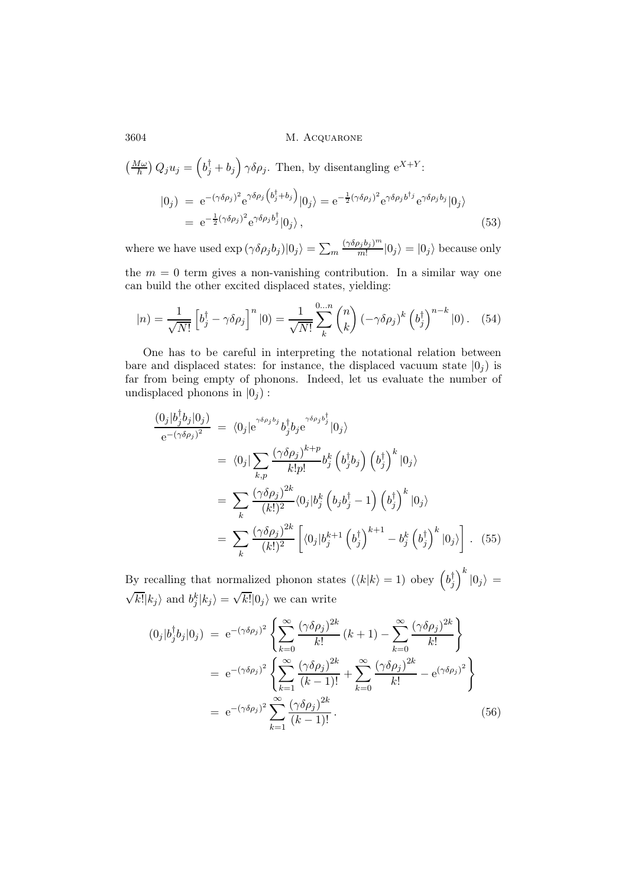$$
\left(\frac{M\omega}{\hbar}\right)Q_j u_j = \left(b_j^{\dagger} + b_j\right) \gamma \delta \rho_j. \text{ Then, by disentangling } e^{X+Y};
$$
  
\n
$$
|0_j| = e^{-(\gamma \delta \rho_j)^2} e^{\gamma \delta \rho_j \left(b_j^{\dagger} + b_j\right)} |0_j\rangle = e^{-\frac{1}{2}(\gamma \delta \rho_j)^2} e^{\gamma \delta \rho_j b^{\dagger_j}} e^{\gamma \delta \rho_j b_j} |0_j\rangle
$$
  
\n
$$
= e^{-\frac{1}{2}(\gamma \delta \rho_j)^2} e^{\gamma \delta \rho_j b_j^{\dagger}} |0_j\rangle, \qquad (53)
$$

where we have used  $\exp\left(\gamma \delta \rho_j b_j\right)|0_j\rangle = \sum_m$  $(\gamma \delta \rho_j b_j)^m$  $\binom{J_j\dot{v}_j}{m!} |0_j\rangle = |0_j\rangle$  because only

the  $m = 0$  term gives a non-vanishing contribution. In a similar way one can build the other excited displaced states, yielding:

$$
|n\rangle = \frac{1}{\sqrt{N!}} \left[ b_j^{\dagger} - \gamma \delta \rho_j \right]^n |0\rangle = \frac{1}{\sqrt{N!}} \sum_{k}^{0...n} {n \choose k} \left( -\gamma \delta \rho_j \right)^k \left( b_j^{\dagger} \right)^{n-k} |0\rangle. \tag{54}
$$

One has to be careful in interpreting the notational relation between bare and displaced states: for instance, the displaced vacuum state  $|0_i\rangle$  is far from being empty of phonons. Indeed, let us evaluate the number of undisplaced phonons in  $|0_i|$ :

$$
\frac{(0_j|b_j^{\dagger}b_j|0_j)}{e^{-(\gamma\delta\rho_j)^2}} = \langle 0_j|e^{\gamma\delta\rho_j b_j^{\dagger} b_j^{\dagger} b_j e^{\gamma\delta\rho_j b_j^{\dagger}}}|0_j\rangle
$$
  
\n
$$
= \langle 0_j| \sum_{k,p} \frac{(\gamma\delta\rho_j)^{k+p}}{k!p!} b_j^k \left(b_j^{\dagger}b_j\right) \left(b_j^{\dagger}\right)^k |0_j\rangle
$$
  
\n
$$
= \sum_{k} \frac{(\gamma\delta\rho_j)^{2k}}{(k!)^2} \langle 0_j|b_j^k \left(b_j b_j^{\dagger} - 1\right) \left(b_j^{\dagger}\right)^k |0_j\rangle
$$
  
\n
$$
= \sum_{k} \frac{(\gamma\delta\rho_j)^{2k}}{(k!)^2} \left[ \langle 0_j|b_j^{k+1} \left(b_j^{\dagger}\right)^{k+1} - b_j^k \left(b_j^{\dagger}\right)^k |0_j\rangle \right]. \tag{55}
$$

By recalling that normalized phonon states  $(\langle k|k \rangle = 1)$  obey  $\left(b_j^{\dagger}\right)^k |0_j\rangle =$  $\sqrt{k!}|k_j\rangle$  and  $b_j^k|k_j\rangle = \sqrt{k!}|0_j\rangle$  we can write

$$
(0_j|b_j^{\dagger}b_j|0_j) = e^{-(\gamma\delta\rho_j)^2} \left\{ \sum_{k=0}^{\infty} \frac{(\gamma\delta\rho_j)^{2k}}{k!} (k+1) - \sum_{k=0}^{\infty} \frac{(\gamma\delta\rho_j)^{2k}}{k!} \right\}
$$
  

$$
= e^{-(\gamma\delta\rho_j)^2} \left\{ \sum_{k=1}^{\infty} \frac{(\gamma\delta\rho_j)^{2k}}{(k-1)!} + \sum_{k=0}^{\infty} \frac{(\gamma\delta\rho_j)^{2k}}{k!} - e^{(\gamma\delta\rho_j)^2} \right\}
$$
  

$$
= e^{-(\gamma\delta\rho_j)^2} \sum_{k=1}^{\infty} \frac{(\gamma\delta\rho_j)^{2k}}{(k-1)!}.
$$
 (56)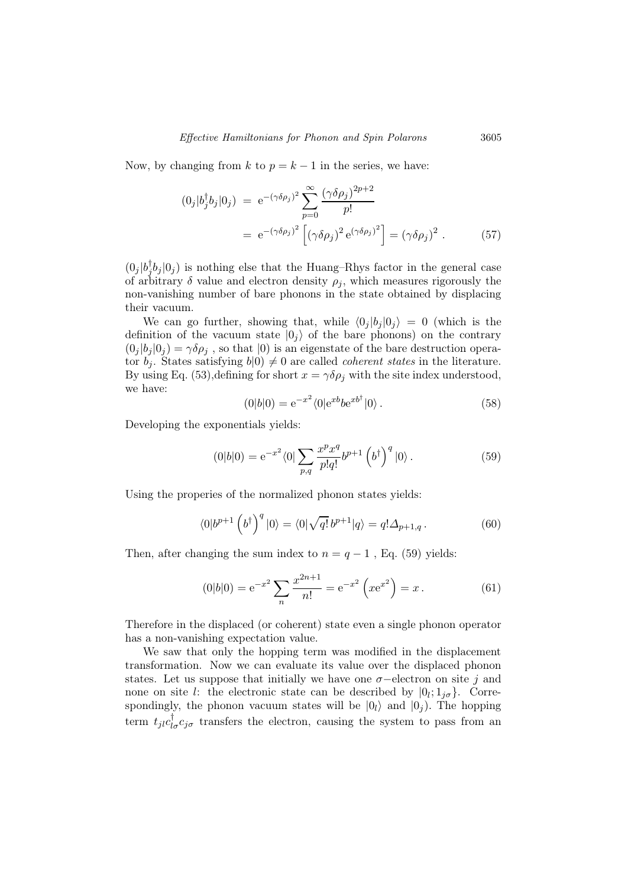Now, by changing from k to  $p = k - 1$  in the series, we have:

$$
(0_j|b_j^{\dagger}b_j|0_j) = e^{-(\gamma \delta \rho_j)^2} \sum_{p=0}^{\infty} \frac{(\gamma \delta \rho_j)^{2p+2}}{p!}
$$
  
=  $e^{-(\gamma \delta \rho_j)^2} \left[ (\gamma \delta \rho_j)^2 e^{(\gamma \delta \rho_j)^2} \right] = (\gamma \delta \rho_j)^2$ . (57)

 $(0_j | b_j^{\dagger} b_j | 0_j)$  is nothing else that the Huang–Rhys factor in the general case of arbitrary  $\delta$  value and electron density  $\rho_j$ , which measures rigorously the non-vanishing number of bare phonons in the state obtained by displacing their vacuum.

We can go further, showing that, while  $\langle 0_i |b_i |0_i \rangle = 0$  (which is the definition of the vacuum state  $|0_i\rangle$  of the bare phonons) on the contrary  $(0_j |b_j|0_j) = \gamma \delta \rho_j$ , so that  $|0\rangle$  is an eigenstate of the bare destruction operator  $b_i$ . States satisfying  $b(0) \neq 0$  are called *coherent states* in the literature. By using Eq. (53), defining for short  $x = \gamma \delta \rho_i$  with the site index understood, we have:

$$
(0|b|0) = e^{-x^2} \langle 0|e^{xb}b e^{xb^{\dagger}}|0\rangle.
$$
 (58)

Developing the exponentials yields:

$$
(0|b|0) = e^{-x^2} \langle 0| \sum_{p,q} \frac{x^p x^q}{p!q!} b^{p+1} (b^{\dagger})^q |0\rangle.
$$
 (59)

Using the properies of the normalized phonon states yields:

$$
\langle 0|b^{p+1}\left(b^{\dagger}\right)^{q}|0\rangle = \langle 0|\sqrt{q!}\,b^{p+1}|q\rangle = q!\Delta_{p+1,q}.
$$
\n(60)

Then, after changing the sum index to  $n = q - 1$ , Eq. (59) yields:

$$
(0|b|0) = e^{-x^2} \sum_{n} \frac{x^{2n+1}}{n!} = e^{-x^2} \left( x e^{x^2} \right) = x.
$$
 (61)

Therefore in the displaced (or coherent) state even a single phonon operator has a non-vanishing expectation value.

We saw that only the hopping term was modified in the displacement transformation. Now we can evaluate its value over the displaced phonon states. Let us suppose that initially we have one  $\sigma$ -electron on site j and none on site l: the electronic state can be described by  $[0_l; 1_{j\sigma}].$  Correspondingly, the phonon vacuum states will be  $|0_i\rangle$  and  $|0_i\rangle$ . The hopping term  $t_{jl}c_{l\sigma}^{\dagger}c_{j\sigma}$  transfers the electron, causing the system to pass from an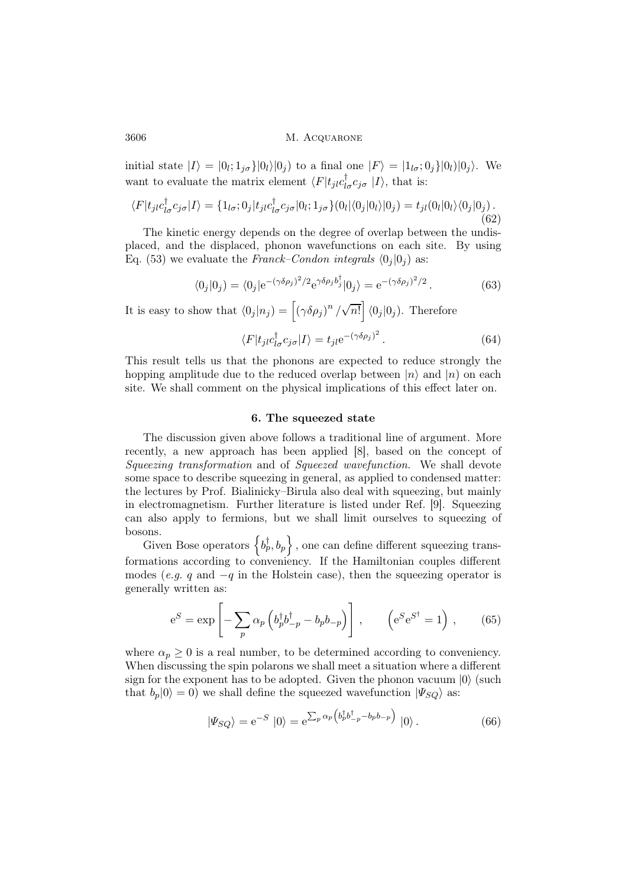initial state  $|I\rangle = |0_l; 1_{j\sigma}\rangle |0_l\rangle |0_j\rangle$  to a final one  $|F\rangle = |1_{l\sigma}; 0_j\rangle |0_l\rangle |0_j\rangle$ . We want to evaluate the matrix element  $\langle F|t_{jl}c_{l\sigma}^{\dagger}c_{j\sigma}|I\rangle$ , that is:

$$
\langle F|t_{jl}c_{l\sigma}^{\dagger}c_{j\sigma}|I\rangle = \{1_{l\sigma};0_j|t_{jl}c_{l\sigma}^{\dagger}c_{j\sigma}|0_l;1_{j\sigma}\}(0_l|\langle 0_j|0_l\rangle|0_j) = t_{jl}(0_l|0_l\rangle\langle 0_j|0_j).
$$
\n(62)

The kinetic energy depends on the degree of overlap between the undisplaced, and the displaced, phonon wavefunctions on each site. By using Eq. (53) we evaluate the Franck–Condon integrals  $\langle 0_i | 0_j \rangle$  as:

$$
\langle 0_j | 0_j \rangle = \langle 0_j | e^{-(\gamma \delta \rho_j)^2/2} e^{\gamma \delta \rho_j b_j^{\dagger}} | 0_j \rangle = e^{-(\gamma \delta \rho_j)^2/2} . \tag{63}
$$

It is easy to show that  $\langle 0_j | n_j \rangle = \left[ (\gamma \delta \rho_j)^n / \sqrt{n!} \right] \langle 0_j | 0_j \rangle$ . Therefore

$$
\langle F|t_{jl}c_{l\sigma}^{\dagger}c_{j\sigma}|I\rangle = t_{jl}e^{-(\gamma\delta\rho_j)^2}.
$$
 (64)

This result tells us that the phonons are expected to reduce strongly the hopping amplitude due to the reduced overlap between  $|n\rangle$  and  $|n\rangle$  on each site. We shall comment on the physical implications of this effect later on.

#### 6. The squeezed state

The discussion given above follows a traditional line of argument. More recently, a new approach has been applied [8], based on the concept of Squeezing transformation and of Squeezed wavefunction. We shall devote some space to describe squeezing in general, as applied to condensed matter: the lectures by Prof. Bialinicky–Birula also deal with squeezing, but mainly in electromagnetism. Further literature is listed under Ref. [9]. Squeezing can also apply to fermions, but we shall limit ourselves to squeezing of bosons.

Given Bose operators  $\left\{b_p^{\dagger}, b_p\right\}$ , one can define different squeezing transformations according to conveniency. If the Hamiltonian couples different modes (*e.g.* q and  $-q$  in the Holstein case), then the squeezing operator is generally written as:

$$
e^{S} = \exp\left[-\sum_{p} \alpha_{p} \left(b_{p}^{\dagger} b_{-p}^{\dagger} - b_{p} b_{-p}\right)\right], \qquad \left(e^{S} e^{S^{\dagger}} = 1\right), \qquad (65)
$$

where  $\alpha_p \geq 0$  is a real number, to be determined according to conveniency. When discussing the spin polarons we shall meet a situation where a different sign for the exponent has to be adopted. Given the phonon vacuum  $|0\rangle$  (such that  $b_p|0\rangle = 0$ ) we shall define the squeezed wavefunction  $|\Psi_{SQ}\rangle$  as:

$$
|\Psi_{SQ}\rangle = e^{-S} |0\rangle = e^{\sum_p \alpha_p \left(b_p^{\dagger} b_{-p}^{\dagger} - b_p b_{-p}\right)} |0\rangle.
$$
 (66)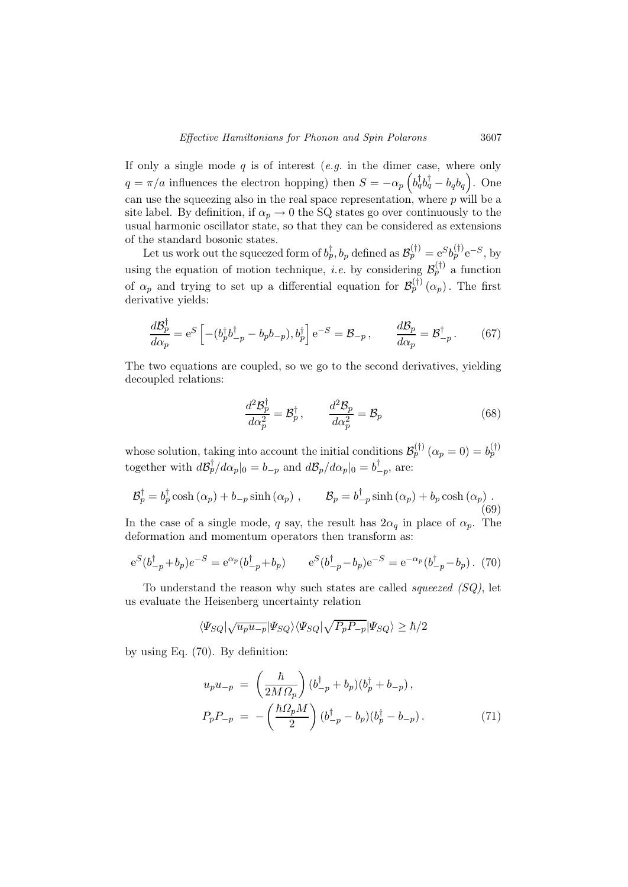If only a single mode  $q$  is of interest  $(e.g.$  in the dimer case, where only  $q = \pi/a$  influences the electron hopping) then  $S = -\alpha_p \left( b_q^{\dagger} b_q^{\dagger} - b_q b_q \right)$ . One can use the squeezing also in the real space representation, where  $p$  will be a site label. By definition, if  $\alpha_p \to 0$  the SQ states go over continuously to the usual harmonic oscillator state, so that they can be considered as extensions of the standard bosonic states.

Let us work out the squeezed form of  $b_p^{\dagger}$ ,  $b_p$  defined as  $\mathcal{B}_p^{(\dagger)} = e^{S} b_p^{(\dagger)} e^{-S}$ , by using the equation of motion technique, *i.e.* by considering  $\mathcal{B}_{p}^{(\dagger)}$  a function of  $\alpha_p$  and trying to set up a differential equation for  $\mathcal{B}_p^{(\dagger)}(\alpha_p)$ . The first derivative yields:

$$
\frac{d\mathcal{B}_p^{\dagger}}{d\alpha_p} = e^S \left[ -(b_p^{\dagger} b_{-p}^{\dagger} - b_p b_{-p}), b_p^{\dagger} \right] e^{-S} = \mathcal{B}_{-p}, \qquad \frac{d\mathcal{B}_p}{d\alpha_p} = \mathcal{B}_{-p}^{\dagger}.
$$
 (67)

The two equations are coupled, so we go to the second derivatives, yielding decoupled relations:

$$
\frac{d^2 \mathcal{B}_p^{\dagger}}{d\alpha_p^2} = \mathcal{B}_p^{\dagger}, \qquad \frac{d^2 \mathcal{B}_p}{d\alpha_p^2} = \mathcal{B}_p \tag{68}
$$

whose solution, taking into account the initial conditions  $\mathcal{B}_{p}^{(\dagger)}(\alpha_{p}=0)=b_{p}^{(\dagger)}$ together with  $d\mathcal{B}_{p}^{\dagger}/d\alpha_{p}|_{0} = b_{-p}$  and  $d\mathcal{B}_{p}/d\alpha_{p}|_{0} = b_{-p}^{\dagger}$ , are:

$$
\mathcal{B}_p^{\dagger} = b_p^{\dagger} \cosh(\alpha_p) + b_{-p} \sinh(\alpha_p) , \qquad \mathcal{B}_p = b_{-p}^{\dagger} \sinh(\alpha_p) + b_p \cosh(\alpha_p) . \tag{69}
$$

In the case of a single mode, q say, the result has  $2\alpha_q$  in place of  $\alpha_p$ . The deformation and momentum operators then transform as:

$$
e^{S}(b_{-p}^{\dagger} + b_{p})e^{-S} = e^{\alpha_{p}}(b_{-p}^{\dagger} + b_{p}) \qquad e^{S}(b_{-p}^{\dagger} - b_{p})e^{-S} = e^{-\alpha_{p}}(b_{-p}^{\dagger} - b_{p}). \tag{70}
$$

To understand the reason why such states are called *squeezed*  $(SQ)$ , let us evaluate the Heisenberg uncertainty relation

$$
\langle \Psi_{SQ} | \sqrt{u_p u_{-p}} | \Psi_{SQ} \rangle \langle \Psi_{SQ} | \sqrt{P_p P_{-p}} | \Psi_{SQ} \rangle \geq \hbar/2
$$

by using Eq. (70). By definition:

$$
u_p u_{-p} = \left(\frac{\hbar}{2M\Omega_p}\right) (b_{-p}^{\dagger} + b_p)(b_p^{\dagger} + b_{-p}),
$$
  
\n
$$
P_p P_{-p} = -\left(\frac{\hbar \Omega_p M}{2}\right) (b_{-p}^{\dagger} - b_p)(b_p^{\dagger} - b_{-p}).
$$
\n(71)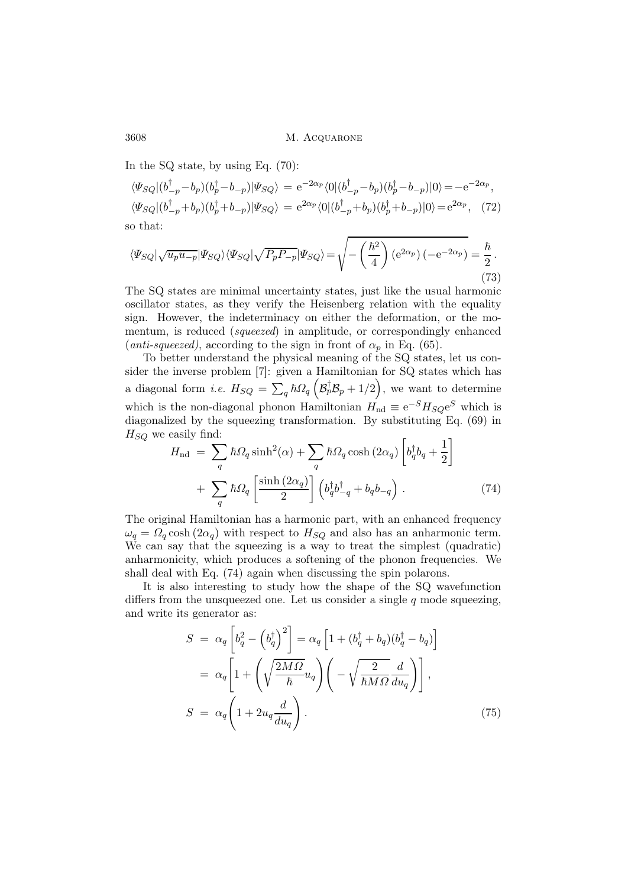In the SQ state, by using Eq. (70):

$$
\langle \Psi_{SQ} | (b_{-p}^{\dagger} - b_p)(b_p^{\dagger} - b_{-p}) | \Psi_{SQ} \rangle = e^{-2\alpha_p} \langle 0 | (b_{-p}^{\dagger} - b_p)(b_p^{\dagger} - b_{-p}) | 0 \rangle = -e^{-2\alpha_p},
$$
  

$$
\langle \Psi_{SQ} | (b_{-p}^{\dagger} + b_p)(b_p^{\dagger} + b_{-p}) | \Psi_{SQ} \rangle = e^{2\alpha_p} \langle 0 | (b_{-p}^{\dagger} + b_p)(b_p^{\dagger} + b_{-p}) | 0 \rangle = e^{2\alpha_p}, \quad (72)
$$
o that:

so that:

$$
\langle \Psi_{SQ} | \sqrt{u_p u_{-p}} | \Psi_{SQ} \rangle \langle \Psi_{SQ} | \sqrt{P_p P_{-p}} | \Psi_{SQ} \rangle = \sqrt{-\left(\frac{\hbar^2}{4}\right) \left(e^{2\alpha_p}\right) \left(-e^{-2\alpha_p}\right)} = \frac{\hbar}{2} \,. \tag{73}
$$

The SQ states are minimal uncertainty states, just like the usual harmonic oscillator states, as they verify the Heisenberg relation with the equality sign. However, the indeterminacy on either the deformation, or the momentum, is reduced (squeezed) in amplitude, or correspondingly enhanced (anti-squeezed), according to the sign in front of  $\alpha_n$  in Eq. (65).

To better understand the physical meaning of the SQ states, let us consider the inverse problem [7]: given a Hamiltonian for SQ states which has a diagonal form *i.e.*  $H_{SQ} = \sum_{q} \hbar \Omega_{q} \left( \mathcal{B}_{p}^{\dagger} \mathcal{B}_{p} + 1/2 \right)$ , we want to determine which is the non-diagonal phonon Hamiltonian  $H_{\text{nd}} \equiv e^{-S} H_{SQ} e^{S}$  which is diagonalized by the squeezing transformation. By substituting Eq. (69) in  $H_{SO}$  we easily find:

$$
H_{\rm nd} = \sum_{q} \hbar \Omega_{q} \sinh^{2}(\alpha) + \sum_{q} \hbar \Omega_{q} \cosh(2\alpha_{q}) \left[ b_{q}^{\dagger} b_{q} + \frac{1}{2} \right] + \sum_{q} \hbar \Omega_{q} \left[ \frac{\sinh(2\alpha_{q})}{2} \right] \left( b_{q}^{\dagger} b_{-q}^{\dagger} + b_{q} b_{-q} \right).
$$
 (74)

The original Hamiltonian has a harmonic part, with an enhanced frequency  $\omega_q = \Omega_q \cosh(2\alpha_q)$  with respect to  $H_{SQ}$  and also has an anharmonic term. We can say that the squeezing is a way to treat the simplest (quadratic) anharmonicity, which produces a softening of the phonon frequencies. We shall deal with Eq. (74) again when discussing the spin polarons.

It is also interesting to study how the shape of the SQ wavefunction differs from the unsqueezed one. Let us consider a single  $q$  mode squeezing, and write its generator as:

$$
S = \alpha_q \left[ b_q^2 - \left( b_q^{\dagger} \right)^2 \right] = \alpha_q \left[ 1 + (b_q^{\dagger} + b_q)(b_q^{\dagger} - b_q) \right]
$$
  

$$
= \alpha_q \left[ 1 + \left( \sqrt{\frac{2M\Omega}{\hbar}} u_q \right) \left( -\sqrt{\frac{2}{\hbar M\Omega}} \frac{d}{du_q} \right) \right],
$$
  

$$
S = \alpha_q \left( 1 + 2u_q \frac{d}{du_q} \right).
$$
 (75)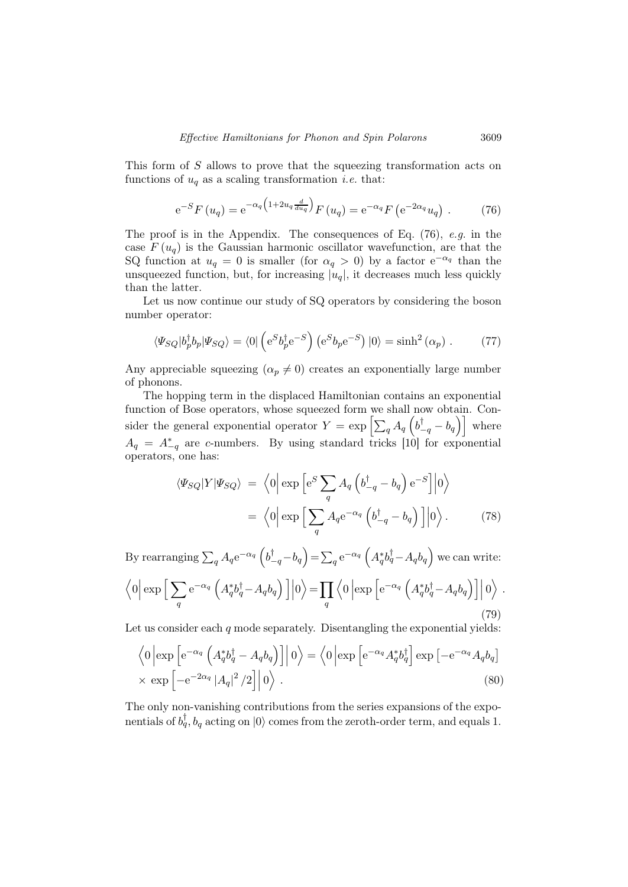This form of S allows to prove that the squeezing transformation acts on functions of  $u_q$  as a scaling transformation *i.e.* that:

$$
e^{-S}F(u_q) = e^{-\alpha_q \left(1 + 2u_q \frac{d}{du_q}\right)}F(u_q) = e^{-\alpha_q}F\left(e^{-2\alpha_q}u_q\right). \tag{76}
$$

The proof is in the Appendix. The consequences of Eq. (76), e.g. in the case  $F(u_q)$  is the Gaussian harmonic oscillator wavefunction, are that the SQ function at  $u_q = 0$  is smaller (for  $\alpha_q > 0$ ) by a factor  $e^{-\alpha_q}$  than the unsqueezed function, but, for increasing  $|u_q|$ , it decreases much less quickly than the latter.

Let us now continue our study of SQ operators by considering the boson number operator:

$$
\langle \Psi_{SQ} | b_p^{\dagger} b_p | \Psi_{SQ} \rangle = \langle 0 | \left( e^S b_p^{\dagger} e^{-S} \right) \left( e^S b_p e^{-S} \right) | 0 \rangle = \sinh^2(\alpha_p) . \tag{77}
$$

Any appreciable squeezing  $(\alpha_p \neq 0)$  creates an exponentially large number of phonons.

The hopping term in the displaced Hamiltonian contains an exponential function of Bose operators, whose squeezed form we shall now obtain. Consider the general exponential operator  $Y = \exp \left[\sum_q A_q \left(b_{-q}^{\dagger} - b_q\right)\right]$  where  $A_q = A_{-q}^*$  are c-numbers. By using standard tricks [10] for exponential operators, one has:

$$
\langle \Psi_{SQ} | Y | \Psi_{SQ} \rangle = \langle 0 | \exp \left[ e^S \sum_{q} A_q \left( b_{-q}^{\dagger} - b_q \right) e^{-S} \right] | 0 \rangle
$$

$$
= \langle 0 | \exp \left[ \sum_{q} A_q e^{-\alpha_q} \left( b_{-q}^{\dagger} - b_q \right) \right] | 0 \rangle. \tag{78}
$$

By rearranging  $\sum_q A_q e^{-\alpha_q} \left( b_{-q}^{\dagger} - b_q \right) = \sum_q e^{-\alpha_q} \left( A_q^* b_q^{\dagger} - A_q b_q \right)$  we can write:  $\left\langle 0 \right| \exp \Big[ \sum_q$  $\mathrm{e}^{-\alpha_q}\left( A_q^*b_q^{\dagger}\!-\!A_qb_q\right)\Big]\Big|$  $|0\rangle = \prod$ q  $\left\langle 0 \left| \exp \left[ \mathrm{e}^{-\alpha_q} \left( A_q^* b_q^\dagger - A_q b_q \right) \right] \right| \right\}$  $\ket{0}$  . (79)

Let us consider each  $q$  mode separately. Disentangling the exponential yields:

$$
\langle 0 | \exp \left[ e^{-\alpha_q} \left( A_q^* b_q^{\dagger} - A_q b_q \right) \right] | 0 \rangle = \langle 0 | \exp \left[ e^{-\alpha_q} A_q^* b_q^{\dagger} \right] \exp \left[ -e^{-\alpha_q} A_q b_q \right] \times \exp \left[ -e^{-2\alpha_q} |A_q|^2 / 2 \right] | 0 \rangle .
$$
\n(80)

The only non-vanishing contributions from the series expansions of the exponentials of  $b_q^{\dagger}$ ,  $b_q$  acting on  $|0\rangle$  comes from the zeroth-order term, and equals 1.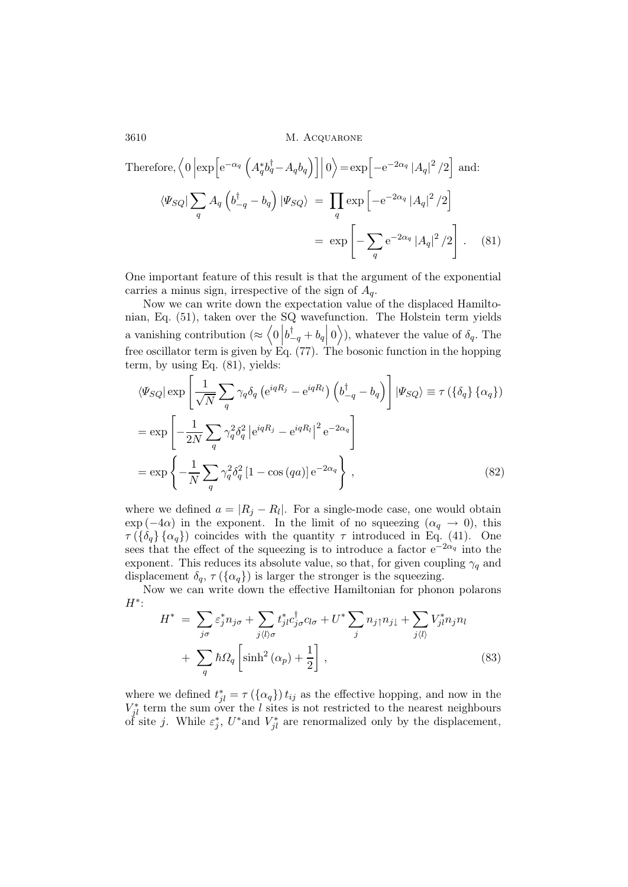Therefore, 
$$
\langle 0 | \exp \left[ e^{-\alpha_q} \left( A_q^* b_q^{\dagger} - A_q b_q \right) \right] | 0 \rangle = \exp \left[ -e^{-2\alpha_q} |A_q|^2 / 2 \right]
$$
 and:  

$$
\langle \Psi_{SQ} | \sum_q A_q \left( b_{-q}^{\dagger} - b_q \right) | \Psi_{SQ} \rangle = \prod_q \exp \left[ -e^{-2\alpha_q} |A_q|^2 / 2 \right]
$$

$$
= \exp \left[ -\sum_q e^{-2\alpha_q} |A_q|^2 / 2 \right]. \tag{81}
$$

One important feature of this result is that the argument of the exponential carries a minus sign, irrespective of the sign of  $A<sub>q</sub>$ .

Now we can write down the expectation value of the displaced Hamiltonian, Eq. (51), taken over the SQ wavefunction. The Holstein term yields a vanishing contribution ( $\approx \begin{pmatrix} 0 \\ \vdots \end{pmatrix}$  $b_{-q}^{\dagger} + b_q$ 0), whatever the value of  $\delta_q$ . The free oscillator term is given by Eq. (77). The bosonic function in the hopping term, by using Eq. (81), yields:

$$
\langle \Psi_{SQ} | \exp \left[ \frac{1}{\sqrt{N}} \sum_{q} \gamma_q \delta_q \left( e^{iqR_j} - e^{iqR_l} \right) \left( b_{-q}^{\dagger} - b_q \right) \right] | \Psi_{SQ} \rangle \equiv \tau \left( \{ \delta_q \} \{ \alpha_q \} \right)
$$

$$
= \exp \left[ -\frac{1}{2N} \sum_{q} \gamma_q^2 \delta_q^2 \left| e^{iqR_j} - e^{iqR_l} \right|^2 e^{-2\alpha_q} \right]
$$

$$
= \exp \left\{ -\frac{1}{N} \sum_{q} \gamma_q^2 \delta_q^2 \left[ 1 - \cos \left( qa \right) \right] e^{-2\alpha_q} \right\}, \tag{82}
$$

where we defined  $a = |R_j - R_l|$ . For a single-mode case, one would obtain  $\exp(-4\alpha)$  in the exponent. In the limit of no squeezing  $(\alpha_q \to 0)$ , this  $\tau(\{\delta_a\},\{\alpha_a\})$  coincides with the quantity  $\tau$  introduced in Eq. (41). One sees that the effect of the squeezing is to introduce a factor  $e^{-2\alpha_q}$  into the exponent. This reduces its absolute value, so that, for given coupling  $\gamma_q$  and displacement  $\delta_q$ ,  $\tau$  ( $\{\alpha_q\}$ ) is larger the stronger is the squeezing.

Now we can write down the effective Hamiltonian for phonon polarons  $H^*$ :

$$
H^* = \sum_{j\sigma} \varepsilon_j^* n_{j\sigma} + \sum_{j\langle l\rangle\sigma} t_{jl}^* c_{j\sigma}^{\dagger} c_{l\sigma} + U^* \sum_j n_{j\uparrow} n_{j\downarrow} + \sum_{j\langle l\rangle} V_{jl}^* n_{j} n_l
$$
  
+ 
$$
\sum_q \hbar \Omega_q \left[ \sinh^2(\alpha_p) + \frac{1}{2} \right],
$$
 (83)

where we defined  $t_{jl}^* = \tau(\{\alpha_q\}) t_{ij}$  as the effective hopping, and now in the  $V_{jl}^*$  term the sum over the l sites is not restricted to the nearest neighbours of site *j*. While  $\varepsilon_j^*$ ,  $U^*$  and  $V_{jl}^*$  are renormalized only by the displacement,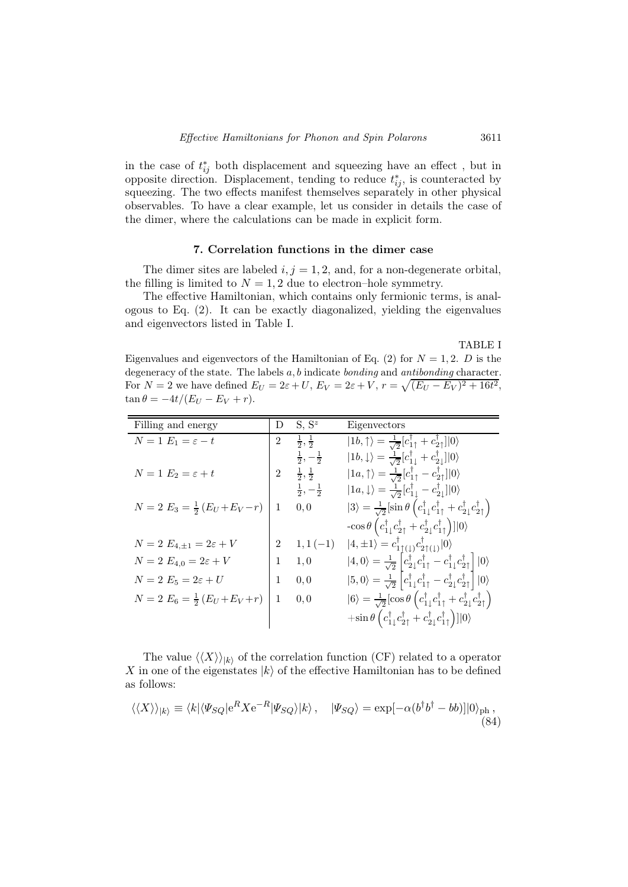in the case of  $t_{ij}^*$  both displacement and squeezing have an effect, but in opposite direction. Displacement, tending to reduce  $t_{ij}^*$ , is counteracted by squeezing. The two effects manifest themselves separately in other physical observables. To have a clear example, let us consider in details the case of the dimer, where the calculations can be made in explicit form.

## 7. Correlation functions in the dimer case

The dimer sites are labeled  $i, j = 1, 2$ , and, for a non-degenerate orbital, the filling is limited to  $N = 1, 2$  due to electron–hole symmetry.

The effective Hamiltonian, which contains only fermionic terms, is analogous to Eq. (2). It can be exactly diagonalized, yielding the eigenvalues and eigenvectors listed in Table I.

#### TABLE I

Eigenvalues and eigenvectors of the Hamiltonian of Eq. (2) for  $N = 1, 2$ . D is the degeneracy of the state. The labels  $a, b$  indicate *bonding* and *antibonding* character. For  $N = 2$  we have defined  $E_U = 2\varepsilon + U$ ,  $E_V = 2\varepsilon + V$ ,  $r = \sqrt{(E_U - E_V)^2 + 16t^2}$ ,  $\tan \theta = -4t/(E_U - E_V + r).$ 

| Filling and energy                        | D              | $S, S^z$                    | Eigenvectors                                                                                                                                                                  |
|-------------------------------------------|----------------|-----------------------------|-------------------------------------------------------------------------------------------------------------------------------------------------------------------------------|
| $N=1$ $E_1=\varepsilon-t$                 | $\overline{2}$ | $\frac{1}{2}, \frac{1}{2}$  | $ 1b,\uparrow\rangle = \frac{1}{\sqrt{2}} [c_{1\uparrow}^{\dagger} + c_{2\uparrow}^{\dagger}] 0\rangle$                                                                       |
|                                           |                | $\frac{1}{2}, -\frac{1}{2}$ | $ 1b,\downarrow\rangle = \frac{1}{\sqrt{2}} [c_{1\perp}^{\dagger} + c_{2\perp}^{\dagger}] 0\rangle$                                                                           |
| $N=1$ $E_2=\varepsilon+t$                 | $\overline{2}$ | $\frac{1}{2}, \frac{1}{2}$  | $ 1a,\uparrow\rangle = \frac{1}{\sqrt{2}} [c_{1\uparrow}^{\dagger} - c_{2\uparrow}^{\dagger}] 0\rangle$                                                                       |
|                                           |                | $\frac{1}{2}, -\frac{1}{2}$ | $ 1a,\downarrow\rangle = \frac{1}{\sqrt{2}} [c_{1\downarrow}^{\dagger} - c_{2\downarrow}^{\dagger}] 0\rangle$                                                                 |
| $N = 2 E_3 = \frac{1}{2} (E_U + E_V - r)$ | 1              | 0,0                         | $ 3\rangle = \frac{1}{\sqrt{2}} [\sin \theta \left( c_{1\downarrow}^{\dagger} c_{1\uparrow}^{\dagger} + c_{2\downarrow}^{\dagger} c_{2\uparrow}^{\dagger} \right)$            |
|                                           |                |                             | $-\cos\theta\left(c_{1\downarrow}^\dagger c_{2\uparrow}^\dagger+c_{2\downarrow}^\dagger c_{1\uparrow}^\dagger\right)$ ] 0)                                                    |
| $N=2$ $E_{4,\pm 1}=2\varepsilon +V$       | $\overline{2}$ | $1, 1(-1)$                  | $ 4,\pm 1\rangle = c_{1\uparrow(1)}^{\dagger}c_{2\uparrow(1)}^{\dagger} 0\rangle$                                                                                             |
| $N=2$ $E_{4,0}=2\varepsilon+V$            | $\mathbf{1}$   | 1,0                         | $ 4,0\rangle = \frac{1}{\sqrt{2}} \left  c_{2\downarrow}^{\dagger} c_{1\uparrow}^{\dagger} - c_{1\downarrow}^{\dagger} c_{2\uparrow}^{\dagger} \right   0\rangle$             |
| $N=2$ $E_5=2\varepsilon+U$                | 1              | 0,0                         | $\left 5,0\right\rangle=\frac{1}{\sqrt{2}}\left c_{1\downarrow}^{\dagger}c_{1\uparrow}^{\dagger}-c_{2\downarrow}^{\dagger}c_{2\uparrow}^{\dagger}\right \left 0\right\rangle$ |
| $N = 2 E_6 = \frac{1}{2} (E_U + E_V + r)$ | 1              | 0,0                         | $ 6\rangle = \frac{1}{\sqrt{2}} [\cos \theta \left( c_{1\downarrow}^\dagger c_{1\uparrow}^\dagger + c_{2\downarrow}^\dagger c_{2\uparrow}^\dagger \right)$                    |
|                                           |                |                             | $+\mathrm{sin} \, \theta \, \Big( c_{1\downarrow}^\dagger c_{2\uparrow}^\dagger + c_{2\downarrow}^\dagger c_{1\uparrow}^\dagger \Big) ]  0\rangle$                            |

The value  $\langle\langle X\rangle\rangle_{k}$  of the correlation function (CF) related to a operator X in one of the eigenstates  $|k\rangle$  of the effective Hamiltonian has to be defined as follows:

$$
\langle \langle X \rangle \rangle_{|k\rangle} \equiv \langle k | \langle \Psi_{SQ} | e^R X e^{-R} | \Psi_{SQ} \rangle | k \rangle, \quad | \Psi_{SQ} \rangle = \exp[-\alpha (b^{\dagger} b^{\dagger} - bb)] | 0 \rangle_{\text{ph}},
$$
\n(84)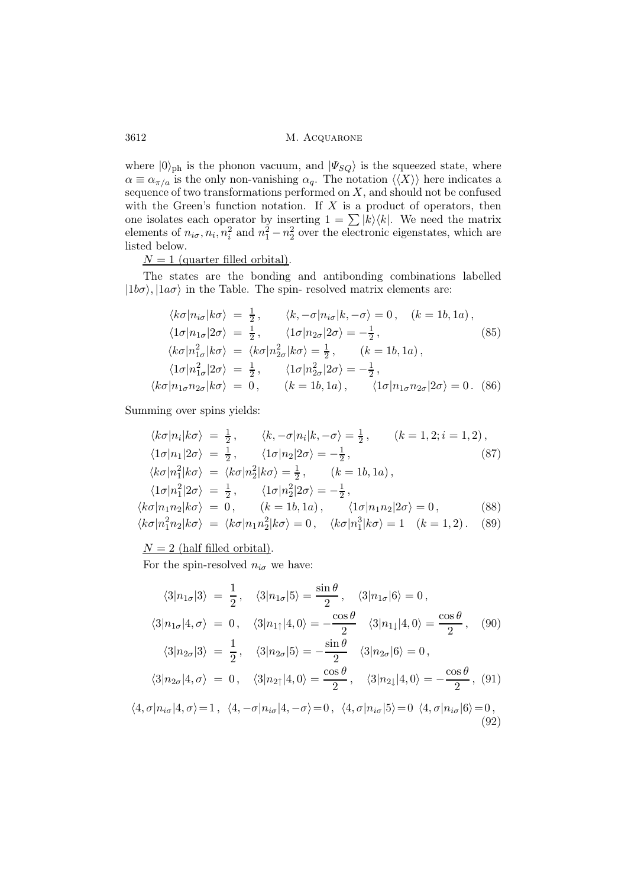where  $|0\rangle_{\text{ph}}$  is the phonon vacuum, and  $|\Psi_{SQ}\rangle$  is the squeezed state, where  $\alpha \equiv \alpha_{\pi/a}$  is the only non-vanishing  $\alpha_q$ . The notation  $\langle \langle X \rangle \rangle$  here indicates a sequence of two transformations performed on  $X$ , and should not be confused with the Green's function notation. If  $X$  is a product of operators, then one isolates each operator by inserting  $1 = \sum |k\rangle \langle k|$ . We need the matrix elements of  $n_{i\sigma}$ ,  $n_i$ ,  $n_i^2$  and  $n_1^2 - n_2^2$  over the electronic eigenstates, which are listed below.

 $N = 1$  (quarter filled orbital).

The states are the bonding and antibonding combinations labelled  $|1b\sigma\rangle$ ,  $|1a\sigma\rangle$  in the Table. The spin- resolved matrix elements are:

$$
\langle k\sigma | n_{i\sigma} | k\sigma \rangle = \frac{1}{2}, \qquad \langle k, -\sigma | n_{i\sigma} | k, -\sigma \rangle = 0, \quad (k = 1b, 1a),
$$
  
\n
$$
\langle 1\sigma | n_{1\sigma} | 2\sigma \rangle = \frac{1}{2}, \qquad \langle 1\sigma | n_{2\sigma} | 2\sigma \rangle = -\frac{1}{2}, \qquad (85)
$$
  
\n
$$
\langle k\sigma | n_{1\sigma}^2 | k\sigma \rangle = \langle k\sigma | n_{2\sigma}^2 | k\sigma \rangle = \frac{1}{2}, \qquad (k = 1b, 1a),
$$
  
\n
$$
\langle 1\sigma | n_{1\sigma}^2 | 2\sigma \rangle = \frac{1}{2}, \qquad \langle 1\sigma | n_{2\sigma}^2 | 2\sigma \rangle = -\frac{1}{2},
$$
  
\n
$$
\langle k\sigma | n_{1\sigma} n_{2\sigma} | k\sigma \rangle = 0, \qquad (k = 1b, 1a), \qquad \langle 1\sigma | n_{1\sigma} n_{2\sigma} | 2\sigma \rangle = 0.
$$
 (86)

Summing over spins yields:

$$
\langle k\sigma | n_i | k\sigma \rangle = \frac{1}{2}, \qquad \langle k, -\sigma | n_i | k, -\sigma \rangle = \frac{1}{2}, \qquad (k = 1, 2; i = 1, 2),
$$
  
\n
$$
\langle 1\sigma | n_1 | 2\sigma \rangle = \frac{1}{2}, \qquad \langle 1\sigma | n_2 | 2\sigma \rangle = -\frac{1}{2}, \qquad (87)
$$
  
\n
$$
\langle k\sigma | n_1^2 | k\sigma \rangle = \langle k\sigma | n_2^2 | k\sigma \rangle = \frac{1}{2}, \qquad (k = 1b, 1a),
$$
  
\n
$$
\langle 1\sigma | n_1^2 | 2\sigma \rangle = \frac{1}{2}, \qquad \langle 1\sigma | n_2^2 | 2\sigma \rangle = -\frac{1}{2},
$$
  
\n
$$
\langle k\sigma | n_1 n_2 | k\sigma \rangle = 0, \qquad (k = 1b, 1a), \qquad \langle 1\sigma | n_1 n_2 | 2\sigma \rangle = 0, \qquad (88)
$$
  
\n
$$
\langle k\sigma | n_1^2 n_2 | k\sigma \rangle = \langle k\sigma | n_1 n_2^2 | k\sigma \rangle = 0, \qquad \langle k\sigma | n_1^3 | k\sigma \rangle = 1 \quad (k = 1, 2). \qquad (89)
$$

 $N = 2$  (half filled orbital).

For the spin-resolved  $n_{i\sigma}$  we have:

$$
\langle 3|n_{1\sigma} | 3 \rangle = \frac{1}{2}, \quad \langle 3|n_{1\sigma} | 5 \rangle = \frac{\sin \theta}{2}, \quad \langle 3|n_{1\sigma} | 6 \rangle = 0,
$$
  

$$
\langle 3|n_{1\sigma} | 4, \sigma \rangle = 0, \quad \langle 3|n_{1\uparrow} | 4, 0 \rangle = -\frac{\cos \theta}{2} \quad \langle 3|n_{1\downarrow} | 4, 0 \rangle = \frac{\cos \theta}{2}, \quad (90)
$$
  

$$
\langle 3|n_{2\sigma} | 3 \rangle = \frac{1}{2}, \quad \langle 3|n_{2\sigma} | 5 \rangle = -\frac{\sin \theta}{2} \quad \langle 3|n_{2\sigma} | 6 \rangle = 0,
$$
  

$$
\langle 3|n_{2\sigma} | 4, \sigma \rangle = 0, \quad \langle 3|n_{2\uparrow} | 4, 0 \rangle = \frac{\cos \theta}{2}, \quad \langle 3|n_{2\downarrow} | 4, 0 \rangle = -\frac{\cos \theta}{2}, \quad (91)
$$
  

$$
\langle 4, \sigma | n_{i\sigma} | 4, \sigma \rangle = 1, \quad \langle 4, -\sigma | n_{i\sigma} | 4, -\sigma \rangle = 0, \quad \langle 4, \sigma | n_{i\sigma} | 5 \rangle = 0 \quad \langle 4, \sigma | n_{i\sigma} | 6 \rangle = 0,
$$
  

$$
(92)
$$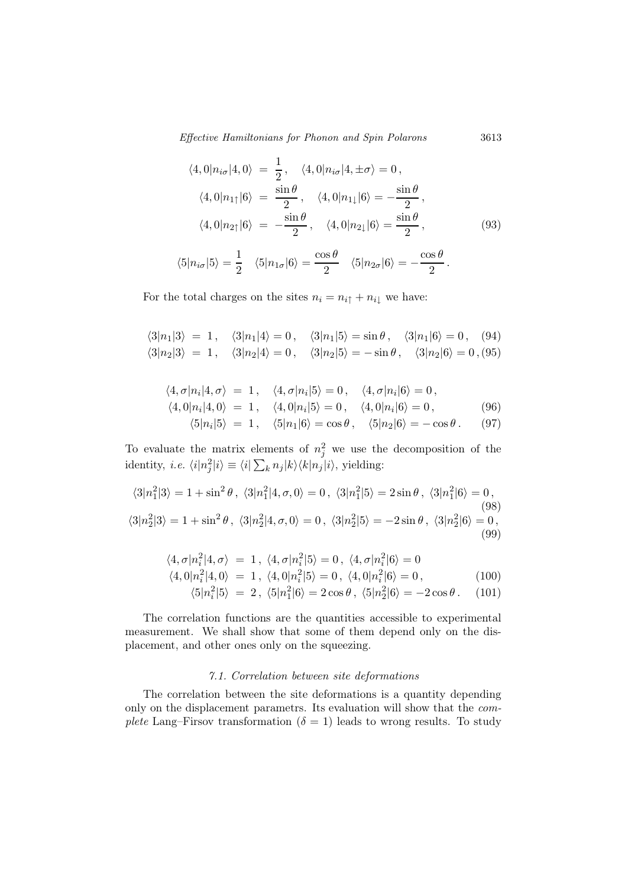Effective Hamiltonians for Phonon and Spin Polarons 3613

$$
\langle 4, 0 | n_{i\sigma} | 4, 0 \rangle = \frac{1}{2}, \quad \langle 4, 0 | n_{i\sigma} | 4, \pm \sigma \rangle = 0,
$$
  

$$
\langle 4, 0 | n_{1\uparrow} | 6 \rangle = \frac{\sin \theta}{2}, \quad \langle 4, 0 | n_{1\downarrow} | 6 \rangle = -\frac{\sin \theta}{2},
$$
  

$$
\langle 4, 0 | n_{2\uparrow} | 6 \rangle = -\frac{\sin \theta}{2}, \quad \langle 4, 0 | n_{2\downarrow} | 6 \rangle = \frac{\sin \theta}{2}, \quad (93)
$$

$$
\langle 5|n_{i\sigma}|5\rangle = \frac{1}{2} \quad \langle 5|n_{1\sigma}|6\rangle = \frac{\cos\theta}{2} \quad \langle 5|n_{2\sigma}|6\rangle = -\frac{\cos\theta}{2}.
$$

For the total charges on the sites  $n_i = n_{i\uparrow} + n_{i\downarrow}$  we have:

$$
\langle 3|n_1|3 \rangle = 1, \quad \langle 3|n_1|4 \rangle = 0, \quad \langle 3|n_1|5 \rangle = \sin \theta, \quad \langle 3|n_1|6 \rangle = 0, \quad (94)
$$
  

$$
\langle 3|n_2|3 \rangle = 1, \quad \langle 3|n_2|4 \rangle = 0, \quad \langle 3|n_2|5 \rangle = -\sin \theta, \quad \langle 3|n_2|6 \rangle = 0, \quad (95)
$$

$$
\langle 4, \sigma | n_i | 4, \sigma \rangle = 1, \quad \langle 4, \sigma | n_i | 5 \rangle = 0, \quad \langle 4, \sigma | n_i | 6 \rangle = 0, \n\langle 4, 0 | n_i | 4, 0 \rangle = 1, \quad \langle 4, 0 | n_i | 5 \rangle = 0, \quad \langle 4, 0 | n_i | 6 \rangle = 0, \n\langle 5 | 1, 15 \rangle = 1, \quad \langle 6 | 1, 16 \rangle = 0, \quad \langle 7 | 1, 16 \rangle = 0
$$
\n(96)

$$
\langle 5|n_1|5 \rangle = 1, \quad \langle 5|n_1|6 \rangle = \cos \theta, \quad \langle 5|n_2|6 \rangle = -\cos \theta. \quad (97)
$$

To evaluate the matrix elements of  $n_j^2$  we use the decomposition of the identity, *i.e.*  $\langle i | n_j^2 | i \rangle \equiv \langle i | \sum_k n_j | k \rangle \langle k | n_j | i \rangle$ , yielding:

$$
\langle 3|n_1^2|3\rangle = 1 + \sin^2\theta, \ \langle 3|n_1^2|4,\sigma,0\rangle = 0, \ \langle 3|n_1^2|5\rangle = 2\sin\theta, \ \langle 3|n_1^2|6\rangle = 0, \n\langle 3|n_2^2|3\rangle = 1 + \sin^2\theta, \ \langle 3|n_2^2|4,\sigma,0\rangle = 0, \ \langle 3|n_2^2|5\rangle = -2\sin\theta, \ \langle 3|n_2^2|6\rangle = 0, \n\tag{99}
$$

$$
\langle 4, \sigma | n_i^2 | 4, \sigma \rangle = 1, \ \langle 4, \sigma | n_i^2 | 5 \rangle = 0, \ \langle 4, \sigma | n_i^2 | 6 \rangle = 0
$$
  

$$
\langle 4, 0 | n_i^2 | 4, 0 \rangle = 1, \ \langle 4, 0 | n_i^2 | 5 \rangle = 0, \ \langle 4, 0 | n_i^2 | 6 \rangle = 0,
$$
  

$$
\langle 5 | n_i^2 | 5 \rangle = 2, \ \langle 5 | n_1^2 | 6 \rangle = 2 \cos \theta, \ \langle 5 | n_2^2 | 6 \rangle = -2 \cos \theta. \tag{101}
$$

The correlation functions are the quantities accessible to experimental measurement. We shall show that some of them depend only on the displacement, and other ones only on the squeezing.

## 7.1. Correlation between site deformations

The correlation between the site deformations is a quantity depending only on the displacement parametrs. Its evaluation will show that the complete Lang–Firsov transformation ( $\delta = 1$ ) leads to wrong results. To study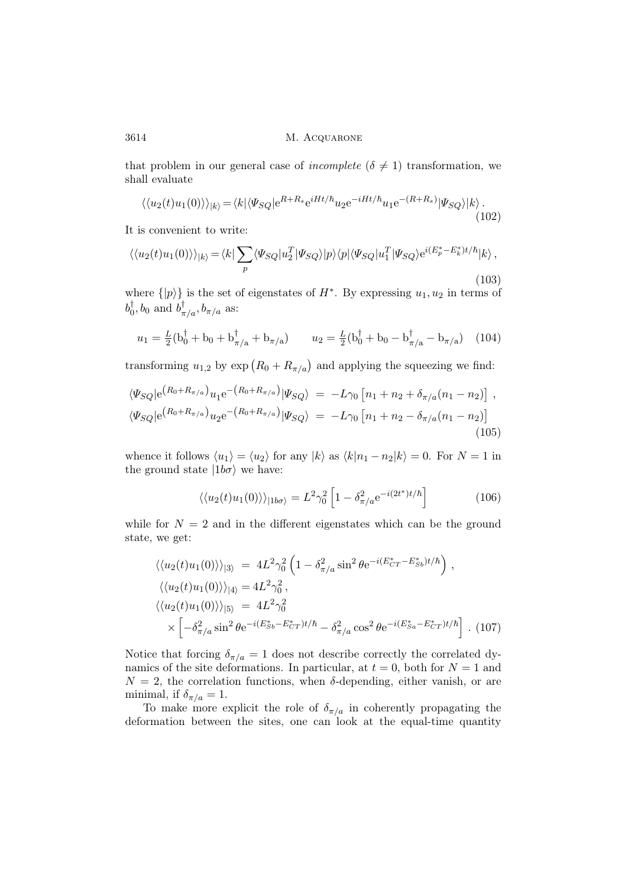3614 M. ACQUARONE

that problem in our general case of *incomplete* ( $\delta \neq 1$ ) transformation, we shall evaluate

$$
\langle \langle u_2(t)u_1(0)\rangle \rangle_{|k\rangle} = \langle k|\langle \Psi_{SQ} | e^{R+R_s} e^{iHt/\hbar} u_2 e^{-iHt/\hbar} u_1 e^{-(R+R_s)} | \Psi_{SQ} \rangle | k \rangle. \tag{102}
$$

It is convenient to write:

$$
\langle \langle u_2(t)u_1(0)\rangle \rangle_{|k\rangle} = \langle k|\sum_p \langle \Psi_{SQ}|u_2^T|\Psi_{SQ}\rangle|p\rangle\langle p|\langle \Psi_{SQ}|u_1^T|\Psi_{SQ}\rangle e^{i(E_p^* - E_k^*)t/\hbar}|k\rangle ,\tag{103}
$$

where  $\{|p\rangle\}$  is the set of eigenstates of  $H^*$ . By expressing  $u_1, u_2$  in terms of  $b_0^{\dagger}, b_0$  and  $b_{\pi/a}^{\dagger}, b_{\pi/a}$  as:

$$
u_1 = \frac{L}{2}(b_0^{\dagger} + b_0 + b_{\pi/a}^{\dagger} + b_{\pi/a}) \qquad u_2 = \frac{L}{2}(b_0^{\dagger} + b_0 - b_{\pi/a}^{\dagger} - b_{\pi/a}) \quad (104)
$$

transforming  $u_{1,2}$  by  $\exp(R_0 + R_{\pi/a})$  and applying the squeezing we find:

$$
\langle \Psi_{SQ} | e^{(R_0 + R_{\pi/a})} u_1 e^{-(R_0 + R_{\pi/a})} | \Psi_{SQ} \rangle = -L \gamma_0 \left[ n_1 + n_2 + \delta_{\pi/a} (n_1 - n_2) \right] ,
$$
  

$$
\langle \Psi_{SQ} | e^{(R_0 + R_{\pi/a})} u_2 e^{-(R_0 + R_{\pi/a})} | \Psi_{SQ} \rangle = -L \gamma_0 \left[ n_1 + n_2 - \delta_{\pi/a} (n_1 - n_2) \right]
$$
(105)

whence it follows  $\langle u_1 \rangle = \langle u_2 \rangle$  for any  $|k\rangle$  as  $\langle k|n_1 - n_2|k\rangle = 0$ . For  $N = 1$  in the ground state  $|1b\sigma\rangle$  we have:

$$
\langle \langle u_2(t)u_1(0) \rangle \rangle_{|1b\sigma\rangle} = L^2 \gamma_0^2 \left[ 1 - \delta_{\pi/a}^2 e^{-i(2t^*)t/\hbar} \right] \tag{106}
$$

while for  $N = 2$  and in the different eigenstates which can be the ground state, we get:

$$
\langle \langle u_2(t)u_1(0) \rangle \rangle_{|3\rangle} = 4L^2 \gamma_0^2 \left( 1 - \delta_{\pi/a}^2 \sin^2 \theta e^{-i(E_{CT}^* - E_{Sb}^*)t/\hbar} \right),
$$
  
\n
$$
\langle \langle u_2(t)u_1(0) \rangle \rangle_{|4\rangle} = 4L^2 \gamma_0^2,
$$
  
\n
$$
\langle \langle u_2(t)u_1(0) \rangle \rangle_{|5\rangle} = 4L^2 \gamma_0^2
$$
  
\n
$$
\times \left[ -\delta_{\pi/a}^2 \sin^2 \theta e^{-i(E_{Sb}^* - E_{CT}^*)t/\hbar} - \delta_{\pi/a}^2 \cos^2 \theta e^{-i(E_{Sa}^* - E_{CT}^*)t/\hbar} \right].
$$
 (107)

Notice that forcing  $\delta_{\pi/a} = 1$  does not describe correctly the correlated dynamics of the site deformations. In particular, at  $t = 0$ , both for  $N = 1$  and  $N = 2$ , the correlation functions, when  $\delta$ -depending, either vanish, or are minimal, if  $\delta_{\pi/a} = 1$ .

To make more explicit the role of  $\delta_{\pi/a}$  in coherently propagating the deformation between the sites, one can look at the equal-time quantity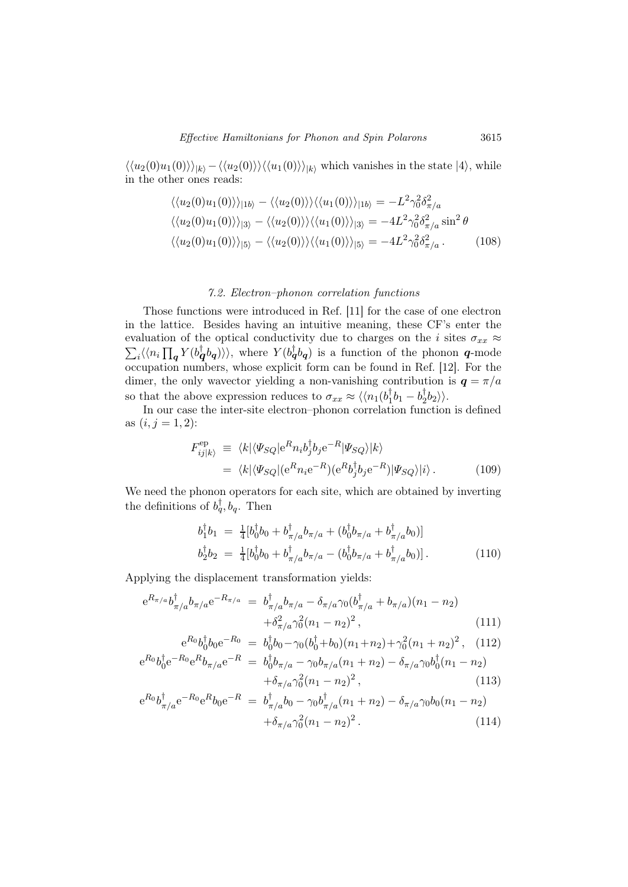$\langle \langle u_2(0)u_1(0)\rangle\rangle_{|k\rangle}-\langle \langle u_2(0)\rangle\rangle\langle \langle u_1(0)\rangle\rangle_{|k\rangle}$  which vanishes in the state  $|4\rangle$ , while in the other ones reads:

$$
\langle \langle u_2(0)u_1(0) \rangle \rangle_{|1b\rangle} - \langle \langle u_2(0) \rangle \rangle \langle \langle u_1(0) \rangle \rangle_{|1b\rangle} = -L^2 \gamma_0^2 \delta_{\pi/a}^2
$$
  

$$
\langle \langle u_2(0)u_1(0) \rangle \rangle_{|3\rangle} - \langle \langle u_2(0) \rangle \rangle \langle \langle u_1(0) \rangle \rangle_{|3\rangle} = -4L^2 \gamma_0^2 \delta_{\pi/a}^2 \sin^2 \theta
$$
  

$$
\langle \langle u_2(0)u_1(0) \rangle \rangle_{|5\rangle} - \langle \langle u_2(0) \rangle \rangle \langle \langle u_1(0) \rangle \rangle_{|5\rangle} = -4L^2 \gamma_0^2 \delta_{\pi/a}^2.
$$
 (108)

### 7.2. Electron–phonon correlation functions

Those functions were introduced in Ref. [11] for the case of one electron in the lattice. Besides having an intuitive meaning, these CF's enter the evaluation of the optical conductivity due to charges on the *i* sites  $\sigma_{xx} \approx$  $\sum_i \langle n_i \prod_{\bm{q}} Y(b_{\bm{q}}^{\dagger} b_{\bm{q}}) \rangle \rangle$ , where  $Y(b_{\bm{q}}^{\dagger} b_{\bm{q}})$  is a function of the phonon  $\bm{q}$ -mode occupation numbers, whose explicit form can be found in Ref. [12]. For the dimer, the only wavector yielding a non-vanishing contribution is  $q = \pi/a$ so that the above expression reduces to  $\sigma_{xx} \approx \langle \langle n_1(b_1^\dagger b_1 - b_2^\dagger b_2) \rangle$ .

In our case the inter-site electron–phonon correlation function is defined as  $(i, j = 1, 2)$ :

$$
F_{ij|k\rangle}^{\text{ep}} \equiv \langle k | \langle \Psi_{SQ} | e^R n_i b_j^{\dagger} b_j e^{-R} | \Psi_{SQ} \rangle | k \rangle
$$
  
= 
$$
\langle k | \langle \Psi_{SQ} | (e^R n_i e^{-R}) (e^R b_j^{\dagger} b_j e^{-R}) | \Psi_{SQ} \rangle | i \rangle.
$$
 (109)

We need the phonon operators for each site, which are obtained by inverting the definitions of  $b_q^{\dagger}, b_q$ . Then

$$
b_1^{\dagger} b_1 = \frac{1}{4} [b_0^{\dagger} b_0 + b_{\pi/a}^{\dagger} b_{\pi/a} + (b_0^{\dagger} b_{\pi/a} + b_{\pi/a}^{\dagger} b_0)]
$$
  
\n
$$
b_2^{\dagger} b_2 = \frac{1}{4} [b_0^{\dagger} b_0 + b_{\pi/a}^{\dagger} b_{\pi/a} - (b_0^{\dagger} b_{\pi/a} + b_{\pi/a}^{\dagger} b_0)].
$$
\n(110)

Applying the displacement transformation yields:

$$
e^{R_{\pi/a}}b_{\pi/a}^{\dagger}b_{\pi/a}e^{-R_{\pi/a}} = b_{\pi/a}^{\dagger}b_{\pi/a} - \delta_{\pi/a}\gamma_0(b_{\pi/a}^{\dagger} + b_{\pi/a})(n_1 - n_2) + \delta_{\pi/a}^2\gamma_0^2(n_1 - n_2)^2,
$$
\n(111)

$$
e^{R_0}b_0^{\dagger}b_0e^{-R_0} = b_0^{\dagger}b_0 - \gamma_0(b_0^{\dagger} + b_0)(n_1 + n_2) + \gamma_0^2(n_1 + n_2)^2, \quad (112)
$$
  

$$
e^{R_0}b_0^{\dagger}e^{-R_0}e^{R}b_{\pi/a}e^{-R} = b_0^{\dagger}b_{\pi/a} - \gamma_0b_{\pi/a}(n_1 + n_2) - \delta_{\pi/a}\gamma_0b_0^{\dagger}(n_1 - n_2)
$$

$$
+\delta_{\pi/a}\gamma_0^2(n_1-n_2)^2\,,\tag{113}
$$

$$
e^{R_0}b_{\pi/a}^{\dagger}e^{-R_0}e^{R}b_0e^{-R} = b_{\pi/a}^{\dagger}b_0 - \gamma_0 b_{\pi/a}^{\dagger}(n_1 + n_2) - \delta_{\pi/a}\gamma_0 b_0(n_1 - n_2) + \delta_{\pi/a}\gamma_0^2(n_1 - n_2)^2.
$$
 (114)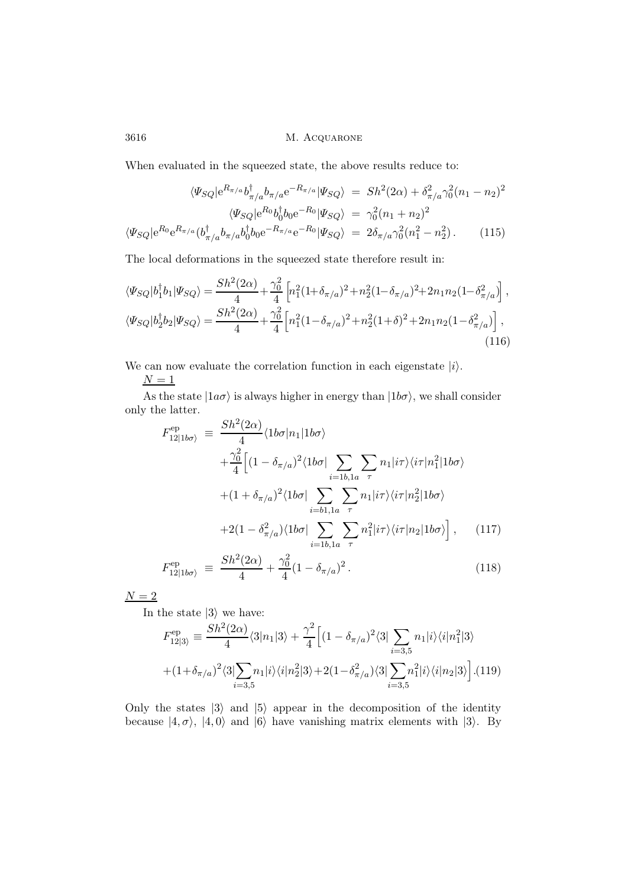When evaluated in the squeezed state, the above results reduce to:

$$
\langle \Psi_{SQ} | e^{R_{\pi/a}} b_{\pi/a}^{\dagger} b_{\pi/a} e^{-R_{\pi/a}} | \Psi_{SQ} \rangle = Sh^{2}(2\alpha) + \delta_{\pi/a}^{2} \gamma_{0}^{2} (n_{1} - n_{2})^{2}
$$

$$
\langle \Psi_{SQ} | e^{R_{0}} b_{0}^{\dagger} b_{0} e^{-R_{0}} | \Psi_{SQ} \rangle = \gamma_{0}^{2} (n_{1} + n_{2})^{2}
$$

$$
\langle \Psi_{SQ} | e^{R_{0}} e^{R_{\pi/a}} (b_{\pi/a}^{\dagger} b_{\pi/a} b_{0}^{\dagger} b_{0} e^{-R_{\pi/a}} e^{-R_{0}} | \Psi_{SQ} \rangle = 2\delta_{\pi/a} \gamma_{0}^{2} (n_{1}^{2} - n_{2}^{2}). \tag{115}
$$

The local deformations in the squeezed state therefore result in:

$$
\langle \Psi_{SQ} | b_1^{\dagger} b_1 | \Psi_{SQ} \rangle = \frac{Sh^2(2\alpha)}{4} + \frac{\gamma_0^2}{4} \left[ n_1^2 (1 + \delta_{\pi/a})^2 + n_2^2 (1 - \delta_{\pi/a})^2 + 2n_1 n_2 (1 - \delta_{\pi/a}^2) \right],
$$
  

$$
\langle \Psi_{SQ} | b_2^{\dagger} b_2 | \Psi_{SQ} \rangle = \frac{Sh^2(2\alpha)}{4} + \frac{\gamma_0^2}{4} \left[ n_1^2 (1 - \delta_{\pi/a})^2 + n_2^2 (1 + \delta)^2 + 2n_1 n_2 (1 - \delta_{\pi/a}^2) \right],
$$
\n(116)

We can now evaluate the correlation function in each eigenstate  $|i\rangle$ .

 $N = 1$ 

As the state  $|1a\sigma\rangle$  is always higher in energy than  $|1b\sigma\rangle$ , we shall consider only the latter.

$$
F_{12|1b\sigma\rangle}^{\text{ep}} \equiv \frac{Sh^{2}(2\alpha)}{4} \langle 1b\sigma |n_{1}|1b\sigma\rangle
$$
  
 
$$
+ \frac{\gamma_{0}^{2}}{4} \Big[ (1 - \delta_{\pi/a})^{2} \langle 1b\sigma | \sum_{i=1b,1a} \sum_{\tau} n_{1}|i\tau\rangle \langle i\tau |n_{1}^{2}|1b\sigma\rangle
$$
  
 
$$
+ (1 + \delta_{\pi/a})^{2} \langle 1b\sigma | \sum_{i=1b,1a} \sum_{\tau} n_{1}|i\tau\rangle \langle i\tau |n_{2}^{2}|1b\sigma\rangle
$$
  
 
$$
+ 2(1 - \delta_{\pi/a}^{2}) \langle 1b\sigma | \sum_{i=1b,1a} \sum_{\tau} n_{1}^{2}|i\tau\rangle \langle i\tau |n_{2}|1b\sigma\rangle \Big], \qquad (117)
$$
  
\n
$$
F_{12|1b\sigma\rangle}^{\text{ep}} \equiv \frac{Sh^{2}(2\alpha)}{4} + \frac{\gamma_{0}^{2}}{4} (1 - \delta_{\pi/a})^{2}. \qquad (118)
$$

 $N = 2$ 

In the state  $|3\rangle$  we have:

$$
F_{12|3\rangle}^{\text{ep}} \equiv \frac{Sh^2(2\alpha)}{4} \langle 3|n_1|3\rangle + \frac{\gamma^2}{4} \Big[ (1 - \delta_{\pi/a})^2 \langle 3| \sum_{i=3,5} n_1|i\rangle \langle i|n_1^2|3\rangle + (1 + \delta_{\pi/a})^2 \langle 3| \sum_{i=3,5} n_1|i\rangle \langle i|n_2^2|3\rangle + 2(1 - \delta_{\pi/a}^2) \langle 3| \sum_{i=3,5} n_1^2|i\rangle \langle i|n_2|3\rangle \Big]. \tag{119}
$$

Only the states  $|3\rangle$  and  $|5\rangle$  appear in the decomposition of the identity because  $|4, \sigma \rangle$ ,  $|4, 0 \rangle$  and  $|6 \rangle$  have vanishing matrix elements with  $|3 \rangle$ . By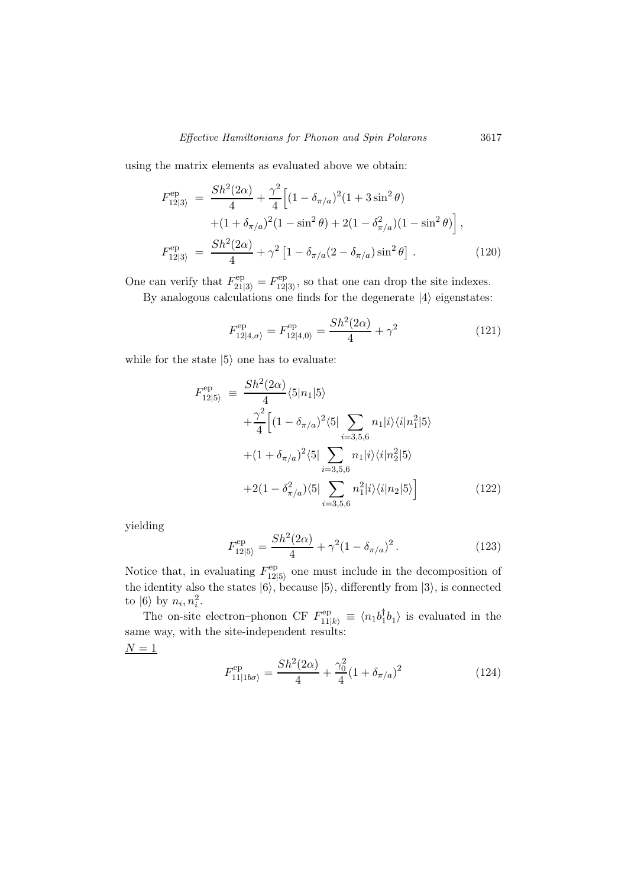using the matrix elements as evaluated above we obtain:

$$
F_{12|3\rangle}^{\text{ep}} = \frac{Sh^2(2\alpha)}{4} + \frac{\gamma^2}{4} \Big[ (1 - \delta_{\pi/a})^2 (1 + 3\sin^2\theta) + (1 + \delta_{\pi/a})^2 (1 - \sin^2\theta) + 2(1 - \delta_{\pi/a}^2)(1 - \sin^2\theta) \Big],
$$
  

$$
F_{12|3\rangle}^{\text{ep}} = \frac{Sh^2(2\alpha)}{4} + \gamma^2 \Big[ 1 - \delta_{\pi/a} (2 - \delta_{\pi/a}) \sin^2\theta \Big].
$$
 (120)

One can verify that  $F_{21|3\rangle}^{\text{ep}} = F_{12|}^{\text{ep}}$  $_{12|3\rangle}^{12}$ , so that one can drop the site indexes. By analogous calculations one finds for the degenerate  $|4\rangle$  eigenstates:

$$
F_{12|4,\sigma\rangle}^{\text{ep}} = F_{12|4,0\rangle}^{\text{ep}} = \frac{Sh^2(2\alpha)}{4} + \gamma^2 \tag{121}
$$

while for the state  $|5\rangle$  one has to evaluate:

$$
F_{12|5\rangle}^{\text{ep}} \equiv \frac{Sh^{2}(2\alpha)}{4} \langle 5|n_{1}|5\rangle
$$
  
 
$$
+ \frac{\gamma^{2}}{4} \Big[ (1 - \delta_{\pi/a})^{2} \langle 5| \sum_{i=3,5,6} n_{1}|i\rangle \langle i|n_{1}^{2}|5\rangle
$$
  
 
$$
+ (1 + \delta_{\pi/a})^{2} \langle 5| \sum_{i=3,5,6} n_{1}|i\rangle \langle i|n_{2}^{2}|5\rangle
$$
  
 
$$
+ 2(1 - \delta_{\pi/a}^{2}) \langle 5| \sum_{i=3,5,6} n_{1}^{2}|i\rangle \langle i|n_{2}|5\rangle \Big] \qquad (122)
$$

yielding

$$
F_{12|5\rangle}^{\text{ep}} = \frac{Sh^2(2\alpha)}{4} + \gamma^2 (1 - \delta_{\pi/a})^2. \tag{123}
$$

Notice that, in evaluating  $F_{12}^{\text{ep}}$  $12|5\rangle$  one must include in the decomposition of the identity also the states  $|6\rangle$ , because  $|5\rangle$ , differently from  $|3\rangle$ , is connected to  $|6\rangle$  by  $n_i, n_i^2$ .

The on-site electron–phonon CF  $F_{11|k}^{\text{ep}} \equiv \langle n_1 b_1^{\dagger} b_1 \rangle$  is evaluated in the same way, with the site-independent results:  ${\cal N}=1$ 

$$
F_{11|1b\sigma\rangle}^{\rm ep} = \frac{Sh^2(2\alpha)}{4} + \frac{\gamma_0^2}{4}(1 + \delta_{\pi/a})^2
$$
 (124)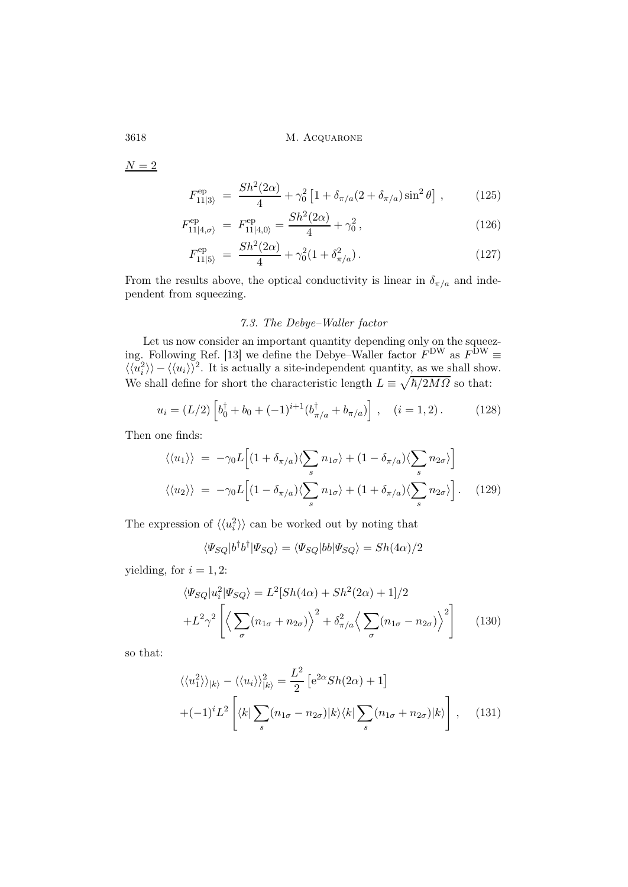${\cal N}=2$ 

$$
F_{11|3\rangle}^{\rm ep} = \frac{Sh^2(2\alpha)}{4} + \gamma_0^2 \left[ 1 + \delta_{\pi/a} (2 + \delta_{\pi/a}) \sin^2 \theta \right], \tag{125}
$$

$$
F_{11|4,\sigma}^{\text{ep}} = F_{11|4,0}^{\text{ep}} = \frac{Sh^2(2\alpha)}{4} + \gamma_0^2, \qquad (126)
$$

$$
F_{11|5\rangle}^{\rm ep} = \frac{Sh^2(2\alpha)}{4} + \gamma_0^2 (1 + \delta_{\pi/a}^2). \tag{127}
$$

From the results above, the optical conductivity is linear in  $\delta_{\pi/a}$  and independent from squeezing.

## 7.3. The Debye–Waller factor

Let us now consider an important quantity depending only on the squeezing. Following Ref. [13] we define the Debye–Waller factor  $F^{DW}$  as  $F^{DW} \equiv$  $\langle \langle u_i^2 \rangle \rangle - \langle \langle u_i \rangle \rangle^2$ . It is actually a site-independent quantity, as we shall show. We shall define for short the characteristic length  $L \equiv \sqrt{\hbar/2M\Omega}$  so that:

$$
u_i = (L/2) \left[ b_0^{\dagger} + b_0 + (-1)^{i+1} (b_{\pi/a}^{\dagger} + b_{\pi/a}) \right], \quad (i = 1, 2).
$$
 (128)

Then one finds:

$$
\langle \langle u_1 \rangle \rangle = -\gamma_0 L \Big[ (1 + \delta_{\pi/a}) \langle \sum_s n_{1\sigma} \rangle + (1 - \delta_{\pi/a}) \langle \sum_s n_{2\sigma} \rangle \Big]
$$
  

$$
\langle \langle u_2 \rangle \rangle = -\gamma_0 L \Big[ (1 - \delta_{\pi/a}) \langle \sum_s n_{1\sigma} \rangle + (1 + \delta_{\pi/a}) \langle \sum_s n_{2\sigma} \rangle \Big].
$$
 (129)

The expression of  $\langle \langle u_i^2 \rangle \rangle$  can be worked out by noting that

$$
\langle \Psi_{SQ} | b^{\dagger} b^{\dagger} | \Psi_{SQ} \rangle = \langle \Psi_{SQ} | bb | \Psi_{SQ} \rangle = Sh(4\alpha)/2
$$

yielding, for  $i = 1, 2$ :

$$
\langle \Psi_{SQ} | u_i^2 | \Psi_{SQ} \rangle = L^2 [Sh(4\alpha) + Sh^2(2\alpha) + 1] / 2
$$
  
+
$$
L^2 \gamma^2 \left[ \left\langle \sum_{\sigma} (n_{1\sigma} + n_{2\sigma}) \right\rangle^2 + \delta_{\pi/a}^2 \left\langle \sum_{\sigma} (n_{1\sigma} - n_{2\sigma}) \right\rangle^2 \right]
$$
(130)

so that:

$$
\langle \langle u_1^2 \rangle \rangle_{|k\rangle} - \langle \langle u_i \rangle \rangle_{|k\rangle}^2 = \frac{L^2}{2} \left[ e^{2\alpha} Sh(2\alpha) + 1 \right]
$$

$$
+ (-1)^i L^2 \left[ \langle k | \sum_s (n_{1\sigma} - n_{2\sigma}) |k\rangle \langle k | \sum_s (n_{1\sigma} + n_{2\sigma}) |k\rangle \right], \quad (131)
$$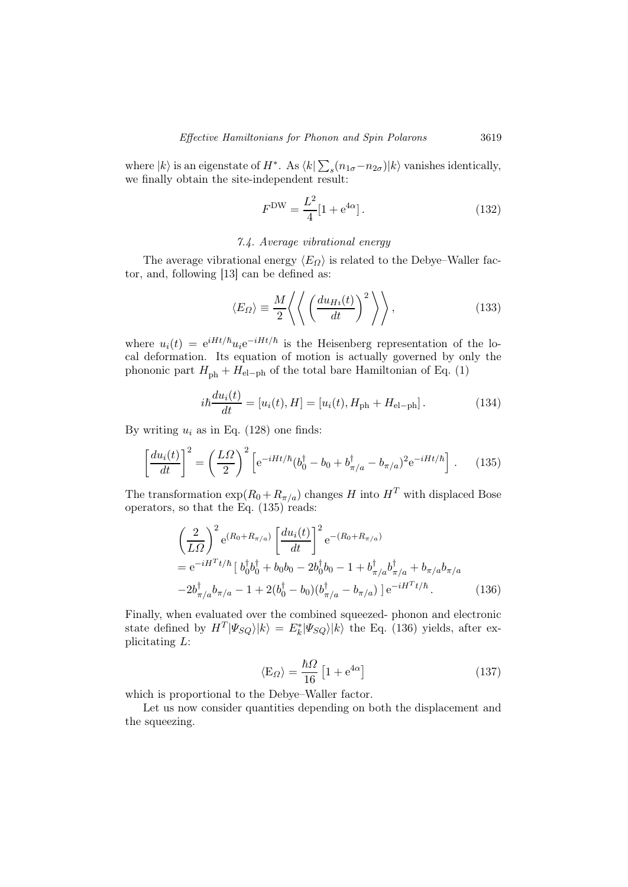where  $|k\rangle$  is an eigenstate of  $H^*$ . As  $\langle k|\sum_s(n_{1\sigma}-n_{2\sigma})|k\rangle$  vanishes identically, we finally obtain the site-independent result:

$$
F^{\rm DW} = \frac{L^2}{4} [1 + e^{4\alpha}]. \tag{132}
$$

## 7.4. Average vibrational energy

The average vibrational energy  $\langle E_{\Omega} \rangle$  is related to the Debye–Waller factor, and, following [13] can be defined as:

$$
\langle E_{\Omega} \rangle \equiv \frac{M}{2} \left\langle \left\langle \left( \frac{du_{Hi}(t)}{dt} \right)^2 \right\rangle \right\rangle, \tag{133}
$$

where  $u_i(t) = e^{iHt/\hbar} u_i e^{-iHt/\hbar}$  is the Heisenberg representation of the local deformation. Its equation of motion is actually governed by only the phononic part  $H_{\text{ph}} + H_{\text{el-ph}}$  of the total bare Hamiltonian of Eq. (1)

$$
i\hbar \frac{du_i(t)}{dt} = [u_i(t), H] = [u_i(t), H_{\text{ph}} + H_{\text{el-ph}}].
$$
 (134)

By writing  $u_i$  as in Eq. (128) one finds:

$$
\left[\frac{du_i(t)}{dt}\right]^2 = \left(\frac{L\Omega}{2}\right)^2 \left[e^{-iHt/\hbar} (b_0^\dagger - b_0 + b_{\pi/a}^\dagger - b_{\pi/a})^2 e^{-iHt/\hbar}\right].
$$
 (135)

The transformation  $\exp(R_0 + R_{\pi/a})$  changes H into  $H^T$  with displaced Bose operators, so that the Eq. (135) reads:

$$
\left(\frac{2}{L\Omega}\right)^2 e^{(R_0 + R_{\pi/a})} \left[\frac{du_i(t)}{dt}\right]^2 e^{-(R_0 + R_{\pi/a})}
$$
\n
$$
= e^{-iH^Tt/\hbar} \left[b_0^\dagger b_0^\dagger + b_0 b_0 - 2b_0^\dagger b_0 - 1 + b_{\pi/a}^\dagger b_{\pi/a}^\dagger + b_{\pi/a} b_{\pi/a} - 2b_{\pi/a}^\dagger b_{\pi/a} - 1 + 2(b_0^\dagger - b_0)(b_{\pi/a}^\dagger - b_{\pi/a})\right] e^{-iH^Tt/\hbar}.
$$
\n(136)

Finally, when evaluated over the combined squeezed- phonon and electronic state defined by  $H^T |\Psi_{SQ}\rangle |k\rangle = E_k^* |\Psi_{SQ}\rangle |k\rangle$  the Eq. (136) yields, after explicitating L:

$$
\langle \mathcal{E}_{\Omega} \rangle = \frac{\hbar \Omega}{16} \left[ 1 + e^{4\alpha} \right] \tag{137}
$$

which is proportional to the Debye–Waller factor.

Let us now consider quantities depending on both the displacement and the squeezing.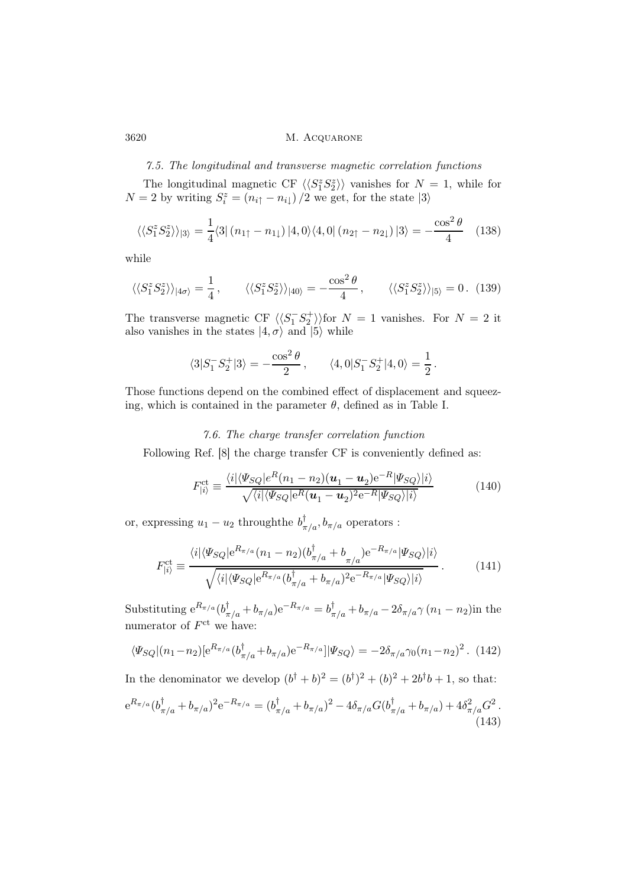#### 7.5. The longitudinal and transverse magnetic correlation functions

The longitudinal magnetic CF  $\langle \langle S_1^z S_2^z \rangle \rangle$  vanishes for  $N = 1$ , while for  $N = 2$  by writing  $S_i^z = (n_{i\uparrow} - n_{i\downarrow})/2$  we get, for the state  $|3\rangle$ 

$$
\langle \langle S_1^z S_2^z \rangle \rangle_{3} = \frac{1}{4} \langle 3 | (n_{1\uparrow} - n_{1\downarrow}) | 4, 0 \rangle \langle 4, 0 | (n_{2\uparrow} - n_{2\downarrow}) | 3 \rangle = -\frac{\cos^2 \theta}{4} \quad (138)
$$

while

$$
\langle\langle S_1^z S_2^z \rangle\rangle_{|4\sigma\rangle} = \frac{1}{4}, \qquad \langle\langle S_1^z S_2^z \rangle\rangle_{|40\rangle} = -\frac{\cos^2 \theta}{4}, \qquad \langle\langle S_1^z S_2^z \rangle\rangle_{|5\rangle} = 0. \tag{139}
$$

The transverse magnetic CF  $\langle \langle S_1^- S_2^+ \rangle \rangle$  for  $N = 1$  vanishes. For  $N = 2$  it also vanishes in the states  $|4, \sigma \rangle$  and  $|5 \rangle$  while

$$
\langle 3|S_1^-S_2^+|3\rangle = -\frac{\cos^2\theta}{2}\,,\qquad \langle 4,0|S_1^-S_2^+|4,0\rangle = \frac{1}{2}\,.
$$

Those functions depend on the combined effect of displacement and squeezing, which is contained in the parameter  $\theta$ , defined as in Table I.

### 7.6. The charge transfer correlation function

Following Ref. [8] the charge transfer CF is conveniently defined as:

$$
F_{|i\rangle}^{\text{ct}} \equiv \frac{\langle i | \langle \Psi_{SQ} | e^R (n_1 - n_2) (\mathbf{u}_1 - \mathbf{u}_2) e^{-R} | \Psi_{SQ} \rangle | i \rangle}{\sqrt{\langle i | \langle \Psi_{SQ} | e^R (\mathbf{u}_1 - \mathbf{u}_2)^2 e^{-R} | \Psi_{SQ} \rangle | i \rangle}} \tag{140}
$$

or, expressing  $u_1 - u_2$  through the  $b_{\pi/a}^{\dagger}, b_{\pi/a}$  operators :

$$
F_{|i\rangle}^{\text{ct}} \equiv \frac{\langle i | \langle \Psi_{SQ} | e^{R_{\pi/a}} (n_1 - n_2) (b_{\pi/a}^\dagger + b_{\pi/a}) e^{-R_{\pi/a}} | \Psi_{SQ} \rangle | i \rangle}{\sqrt{\langle i | \langle \Psi_{SQ} | e^{R_{\pi/a}} (b_{\pi/a}^\dagger + b_{\pi/a})^2 e^{-R_{\pi/a}} | \Psi_{SQ} \rangle | i \rangle}}.
$$
(141)

Substituting  $e^{R_{\pi/a}}(b_{\pi/a}^{\dagger}+b_{\pi/a})e^{-R_{\pi/a}}=b_{\pi/a}^{\dagger}+b_{\pi/a}-2\delta_{\pi/a}\gamma(n_1-n_2)$ in the numerator of  $F^{\text{ct}}$  we have:

$$
\langle \Psi_{SQ} | (n_1 - n_2) [e^{R_{\pi/a}} (b_{\pi/a}^\dagger + b_{\pi/a}) e^{-R_{\pi/a}}] | \Psi_{SQ} \rangle = -2 \delta_{\pi/a} \gamma_0 (n_1 - n_2)^2. \tag{142}
$$

In the denominator we develop  $(b^{\dagger} + b)^2 = (b^{\dagger})^2 + (b)^2 + 2b^{\dagger}b + 1$ , so that:  ${\rm e}^{R_{\pi/a}}(b_{\pi/a}^\dagger+b_{\pi/a})^2{\rm e}^{-R_{\pi/a}}=(b_{\pi/a}^\dagger+b_{\pi/a})^2-4\delta_{\pi/a}G(b_{\pi/a}^\dagger+b_{\pi/a})+4\delta_{\pi/a}^2G^2\,.$  $(143)$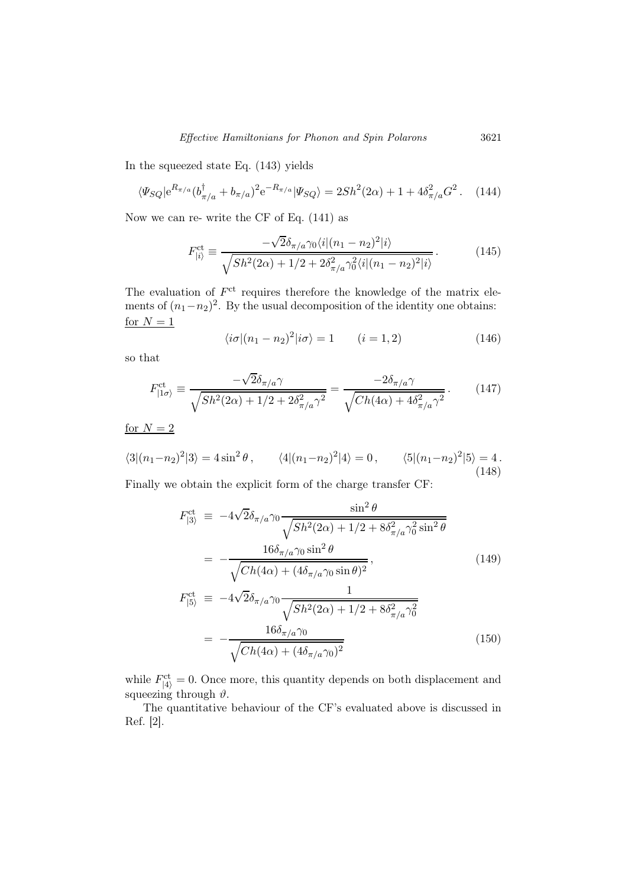In the squeezed state Eq. (143) yields

$$
\langle \Psi_{SQ} | e^{R_{\pi/a}} (b_{\pi/a}^{\dagger} + b_{\pi/a})^2 e^{-R_{\pi/a}} | \Psi_{SQ} \rangle = 2Sh^2(2\alpha) + 1 + 4\delta_{\pi/a}^2 G^2. \tag{144}
$$

Now we can re- write the CF of Eq. (141) as

$$
F_{|i\rangle}^{\text{ct}} \equiv \frac{-\sqrt{2}\delta_{\pi/a}\gamma_0\langle i|(n_1 - n_2)^2|i\rangle}{\sqrt{Sh^2(2\alpha) + 1/2 + 2\delta_{\pi/a}^2\gamma_0^2\langle i|(n_1 - n_2)^2|i\rangle}}.
$$
(145)

The evaluation of  $F^{\text{ct}}$  requires therefore the knowledge of the matrix elements of  $(n_1 - n_2)^2$ . By the usual decomposition of the identity one obtains: for  $N = 1$ 

$$
\langle i\sigma | (n_1 - n_2)^2 | i\sigma \rangle = 1 \qquad (i = 1, 2)
$$
 (146)

so that

$$
F_{|1\sigma\rangle}^{\text{ct}} \equiv \frac{-\sqrt{2}\delta_{\pi/a}\gamma}{\sqrt{Sh^2(2\alpha) + 1/2 + 2\delta_{\pi/a}^2 \gamma^2}} = \frac{-2\delta_{\pi/a}\gamma}{\sqrt{Ch(4\alpha) + 4\delta_{\pi/a}^2 \gamma^2}}.
$$
 (147)

for  $N = 2$ 

$$
\langle 3|(n_1 - n_2)^2|3 \rangle = 4\sin^2\theta, \qquad \langle 4|(n_1 - n_2)^2|4 \rangle = 0, \qquad \langle 5|(n_1 - n_2)^2|5 \rangle = 4.
$$
\n(148)

Finally we obtain the explicit form of the charge transfer CF:

$$
F_{|3\rangle}^{\text{ct}} \equiv -4\sqrt{2}\delta_{\pi/a}\gamma_0 \frac{\sin^2\theta}{\sqrt{Sh^2(2\alpha) + 1/2 + 8\delta_{\pi/a}^2 \gamma_0^2 \sin^2\theta}} = -\frac{16\delta_{\pi/a}\gamma_0 \sin^2\theta}{\sqrt{Ch(4\alpha) + (4\delta_{\pi/a}\gamma_0 \sin\theta)^2}}, \qquad (149)
$$
  

$$
F_{|5\rangle}^{\text{ct}} \equiv -4\sqrt{2}\delta_{\pi/a}\gamma_0 \frac{1}{\sqrt{Sh^2(2\alpha) + 1/2 + 8\delta_{\pi/a}^2 \gamma_0^2}} = -\frac{16\delta_{\pi/a}\gamma_0}{\sqrt{Ch(4\alpha) + (4\delta_{\pi/a}\gamma_0)^2}}
$$
(150)

while  $F_{|4\rangle}^{\text{ct}} = 0$ . Once more, this quantity depends on both displacement and squeezing through  $\vartheta.$ 

The quantitative behaviour of the CF's evaluated above is discussed in Ref. [2].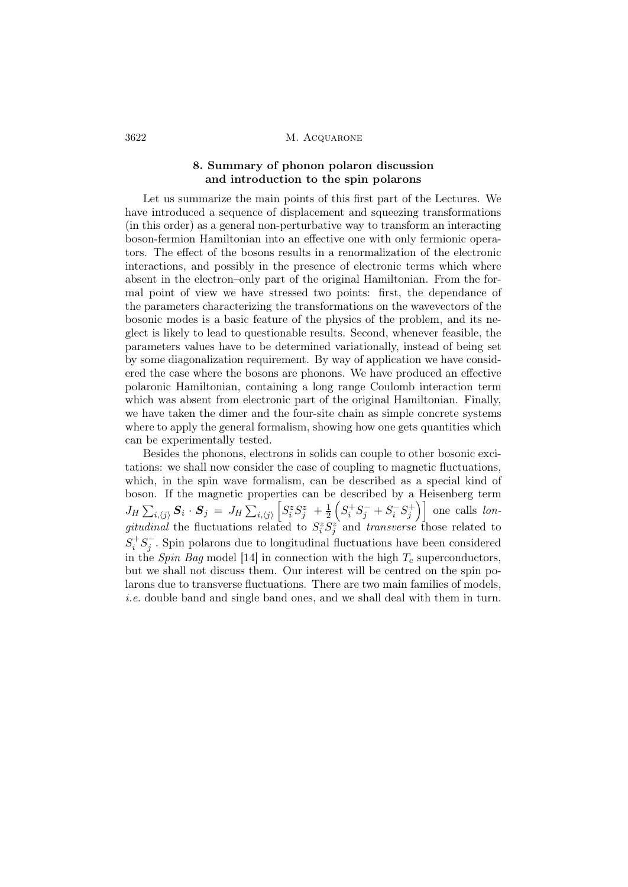## 8. Summary of phonon polaron discussion and introduction to the spin polarons

Let us summarize the main points of this first part of the Lectures. We have introduced a sequence of displacement and squeezing transformations (in this order) as a general non-perturbative way to transform an interacting boson-fermion Hamiltonian into an effective one with only fermionic operators. The effect of the bosons results in a renormalization of the electronic interactions, and possibly in the presence of electronic terms which where absent in the electron–only part of the original Hamiltonian. From the formal point of view we have stressed two points: first, the dependance of the parameters characterizing the transformations on the wavevectors of the bosonic modes is a basic feature of the physics of the problem, and its neglect is likely to lead to questionable results. Second, whenever feasible, the parameters values have to be determined variationally, instead of being set by some diagonalization requirement. By way of application we have considered the case where the bosons are phonons. We have produced an effective polaronic Hamiltonian, containing a long range Coulomb interaction term which was absent from electronic part of the original Hamiltonian. Finally, we have taken the dimer and the four-site chain as simple concrete systems where to apply the general formalism, showing how one gets quantities which can be experimentally tested.

Besides the phonons, electrons in solids can couple to other bosonic excitations: we shall now consider the case of coupling to magnetic fluctuations, which, in the spin wave formalism, can be described as a special kind of boson. If the magnetic properties can be described by a Heisenberg term  $J_H\sum_{i,\langle j\rangle}\bm{S}_i\cdot\bm{S}_j\,=\,J_H\sum_{i,\langle j\rangle}$  $\left[S_i^zS_j^z\right]+\frac{1}{2}\right.$  $\frac{1}{2}\left( S_{i}^{+}S_{j}^{-}+S_{i}^{-}S_{j}^{+}\right) \Big]$  one calls longitudinal the fluctuations related to  $S_i^z S_j^z$  and transverse those related to  $S_i^+S_j^-$ . Spin polarons due to longitudinal fluctuations have been considered in the Spin Bag model [14] in connection with the high  $T_c$  superconductors, but we shall not discuss them. Our interest will be centred on the spin polarons due to transverse fluctuations. There are two main families of models, i.e. double band and single band ones, and we shall deal with them in turn.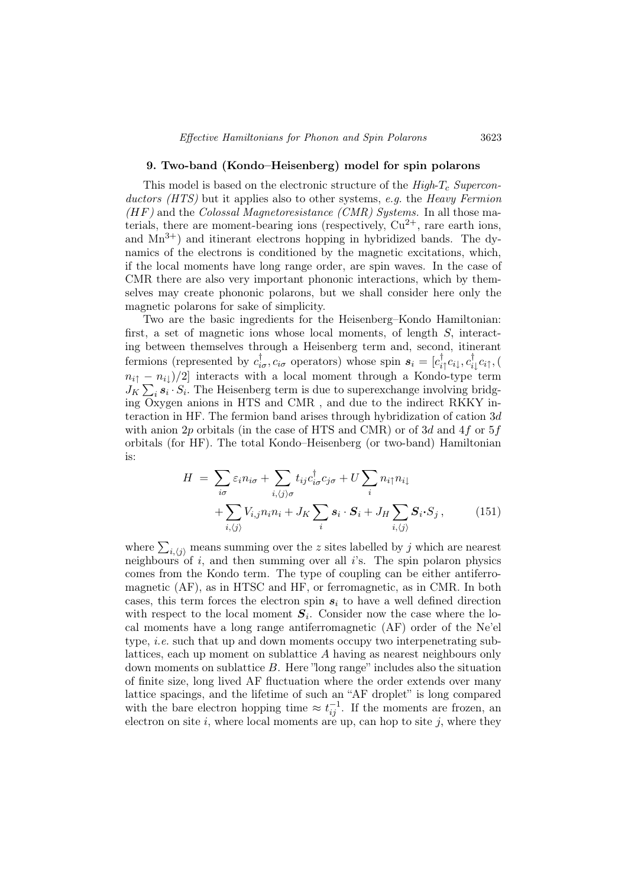#### 9. Two-band (Kondo–Heisenberg) model for spin polarons

This model is based on the electronic structure of the  $High - T_c$  Superconductors (HTS) but it applies also to other systems, e.g. the Heavy Fermion  $(HF)$  and the Colossal Magnetoresistance (CMR) Systems. In all those materials, there are moment-bearing ions (respectively,  $Cu^{2+}$ , rare earth ions, and  $Mn^{3+}$  and itinerant electrons hopping in hybridized bands. The dynamics of the electrons is conditioned by the magnetic excitations, which, if the local moments have long range order, are spin waves. In the case of CMR there are also very important phononic interactions, which by themselves may create phononic polarons, but we shall consider here only the magnetic polarons for sake of simplicity.

Two are the basic ingredients for the Heisenberg–Kondo Hamiltonian: first, a set of magnetic ions whose local moments, of length S, interacting between themselves through a Heisenberg term and, second, itinerant fermions (represented by  $c_{i\sigma}^{\dagger}$ ,  $c_{i\sigma}$  operators) whose spin  $s_i = [c_{i\uparrow}^{\dagger}c_{i\downarrow}, c_{i\downarrow}^{\dagger}c_{i\uparrow}, ($  $n_{i\uparrow} - n_{i\downarrow})/2$  interacts with a local moment through a Kondo-type term  $J_K \sum_i s_i \cdot S_i$ . The Heisenberg term is due to superexchange involving bridging Oxygen anions in HTS and CMR , and due to the indirect RKKY interaction in HF. The fermion band arises through hybridization of cation 3d with anion 2p orbitals (in the case of HTS and CMR) or of 3d and 4f or 5f orbitals (for HF). The total Kondo–Heisenberg (or two-band) Hamiltonian is:

$$
H = \sum_{i\sigma} \varepsilon_i n_{i\sigma} + \sum_{i,\langle j \rangle \sigma} t_{ij} c_{i\sigma}^{\dagger} c_{j\sigma} + U \sum_i n_{i\uparrow} n_{i\downarrow} + \sum_{i,\langle j \rangle} V_{i,j} n_i n_i + J_K \sum_i s_i \cdot S_i + J_H \sum_{i,\langle j \rangle} S_i \cdot S_j , \qquad (151)
$$

where  $\sum_{i,j}$  means summing over the z sites labelled by j which are nearest neighbours of i, and then summing over all i's. The spin polaron physics comes from the Kondo term. The type of coupling can be either antiferromagnetic (AF), as in HTSC and HF, or ferromagnetic, as in CMR. In both cases, this term forces the electron spin  $s_i$  to have a well defined direction with respect to the local moment  $S_i$ . Consider now the case where the local moments have a long range antiferromagnetic (AF) order of the Ne'el type, *i.e.* such that up and down moments occupy two interpenetrating sublattices, each up moment on sublattice A having as nearest neighbours only down moments on sublattice  $B$ . Here "long range" includes also the situation of finite size, long lived AF fluctuation where the order extends over many lattice spacings, and the lifetime of such an "AF droplet" is long compared with the bare electron hopping time  $\approx t_{ij}^{-1}$ . If the moments are frozen, an electron on site i, where local moments are up, can hop to site j, where they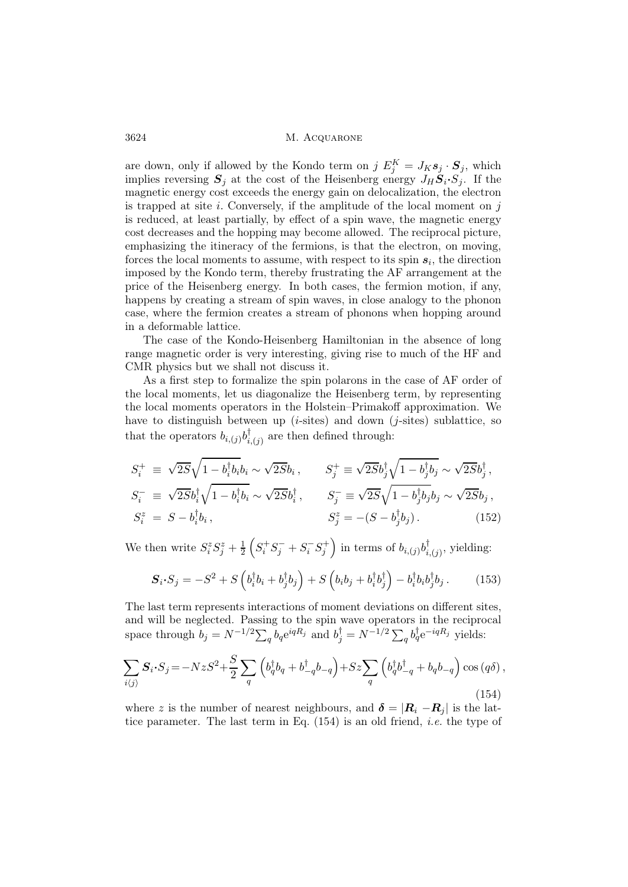are down, only if allowed by the Kondo term on j  $E_j^K = J_K s_j \cdot S_j$ , which implies reversing  $S_j$  at the cost of the Heisenberg energy  $J_H \dot{S}_i \cdot S_j$ . If the magnetic energy cost exceeds the energy gain on delocalization, the electron is trapped at site  $i$ . Conversely, if the amplitude of the local moment on  $j$ is reduced, at least partially, by effect of a spin wave, the magnetic energy cost decreases and the hopping may become allowed. The reciprocal picture, emphasizing the itineracy of the fermions, is that the electron, on moving, forces the local moments to assume, with respect to its spin  $s_i$ , the direction imposed by the Kondo term, thereby frustrating the AF arrangement at the price of the Heisenberg energy. In both cases, the fermion motion, if any, happens by creating a stream of spin waves, in close analogy to the phonon case, where the fermion creates a stream of phonons when hopping around in a deformable lattice.

The case of the Kondo-Heisenberg Hamiltonian in the absence of long range magnetic order is very interesting, giving rise to much of the HF and CMR physics but we shall not discuss it.

As a first step to formalize the spin polarons in the case of AF order of the local moments, let us diagonalize the Heisenberg term, by representing the local moments operators in the Holstein–Primakoff approximation. We have to distinguish between up (*i*-sites) and down (*j*-sites) sublattice, so that the operators  $b_{i,(j)}b_{i,(j)}^{\dagger}$  are then defined through:

$$
S_i^+ \equiv \sqrt{2S} \sqrt{1 - b_i^{\dagger} b_i} b_i \sim \sqrt{2S} b_i, \qquad S_j^+ \equiv \sqrt{2S} b_j^{\dagger} \sqrt{1 - b_j^{\dagger} b_j} \sim \sqrt{2S} b_j^{\dagger}, S_i^- \equiv \sqrt{2S} b_i^{\dagger} \sqrt{1 - b_i^{\dagger} b_i} \sim \sqrt{2S} b_i^{\dagger}, \qquad S_j^- \equiv \sqrt{2S} \sqrt{1 - b_j^{\dagger} b_j} b_j \sim \sqrt{2S} b_j, S_i^z = S - b_i^{\dagger} b_i, \qquad S_j^z = -(S - b_j^{\dagger} b_j). \qquad (152)
$$

We then write  $S_i^z S_j^z + \frac{1}{2}$  $\frac{1}{2}\left(S_i^+S_j^-+S_i^-S_j^+\right)$  in terms of  $b_{i,(j)}b_{i,(j)}^{\dagger}$ , yielding:

$$
\mathbf{S}_{i} \cdot \mathbf{S}_{j} = -S^{2} + S\left(b_{i}^{\dagger}b_{i} + b_{j}^{\dagger}b_{j}\right) + S\left(b_{i}b_{j} + b_{i}^{\dagger}b_{j}^{\dagger}\right) - b_{i}^{\dagger}b_{i}b_{j}^{\dagger}b_{j}.
$$
 (153)

The last term represents interactions of moment deviations on different sites, and will be neglected. Passing to the spin wave operators in the reciprocal space through  $b_j = N^{-1/2} \sum_q b_q e^{iqR_j}$  and  $b_j^{\dagger} = N^{-1/2} \sum_q b_q^{\dagger} e^{-iqR_j}$  yields:

$$
\sum_{i\langle j\rangle} S_i \cdot S_j = -NzS^2 + \frac{S}{2} \sum_q \left( b_q^\dagger b_q + b_{-q}^\dagger b_{-q} \right) + Sz \sum_q \left( b_q^\dagger b_{-q}^\dagger + b_q b_{-q} \right) \cos\left(q\delta\right),\tag{154}
$$

where z is the number of nearest neighbours, and  $\delta = |\mathbf{R}_i - \mathbf{R}_j|$  is the lattice parameter. The last term in Eq. (154) is an old friend, i.e. the type of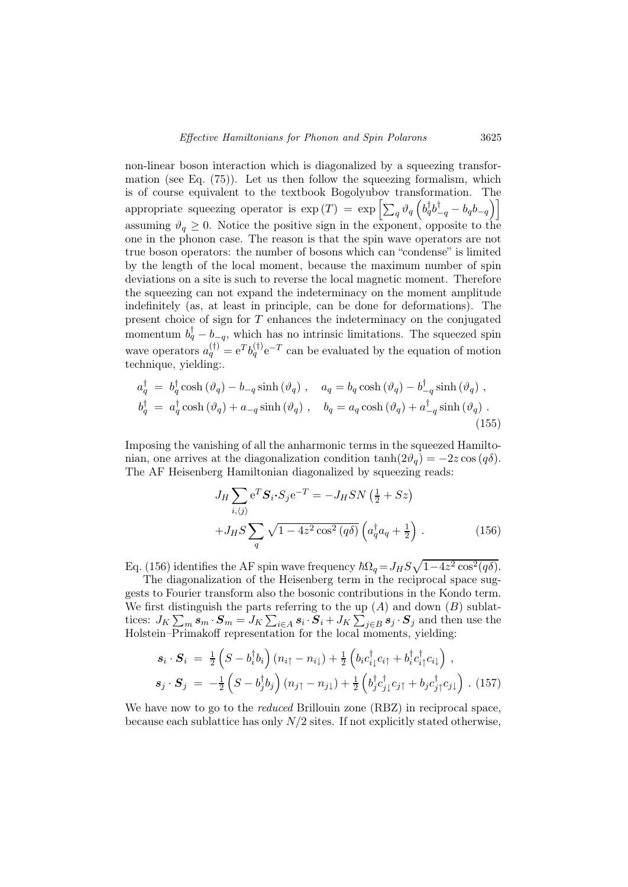non-linear boson interaction which is diagonalized by a squeezing transformation (see Eq. (75)). Let us then follow the squeezing formalism, which is of course equivalent to the textbook Bogolyubov transformation. The appropriate squeezing operator is  $\exp(T) = \exp\left[\sum_q \vartheta_q \left(b_q^{\dagger} b_{-q}^{\dagger} - b_q b_{-q}\right)\right]$ assuming  $\vartheta_q \geq 0$ . Notice the positive sign in the exponent, opposite to the one in the phonon case. The reason is that the spin wave operators are not true boson operators: the number of bosons which can "condense" is limited by the length of the local moment, because the maximum number of spin deviations on a site is such to reverse the local magnetic moment. Therefore the squeezing can not expand the indeterminacy on the moment amplitude indefinitely (as, at least in principle, can be done for deformations). The present choice of sign for  $T$  enhances the indeterminacy on the conjugated momentum  $b_q^{\dagger} - b_{-q}$ , which has no intrinsic limitations. The squeezed spin wave operators  $a_q^{(\dagger)} = e^T b_q^{(\dagger)} e^{-T}$  can be evaluated by the equation of motion technique, yielding:.

$$
a_q^{\dagger} = b_q^{\dagger} \cosh(\vartheta_q) - b_{-q} \sinh(\vartheta_q) , \quad a_q = b_q \cosh(\vartheta_q) - b_{-q}^{\dagger} \sinh(\vartheta_q) ,
$$
  

$$
b_q^{\dagger} = a_q^{\dagger} \cosh(\vartheta_q) + a_{-q} \sinh(\vartheta_q) , \quad b_q = a_q \cosh(\vartheta_q) + a_{-q}^{\dagger} \sinh(\vartheta_q) .
$$
 (155)

Imposing the vanishing of all the anharmonic terms in the squeezed Hamiltonian, one arrives at the diagonalization condition  $tanh(2\vartheta_a) = -2z \cos(q\delta)$ . The AF Heisenberg Hamiltonian diagonalized by squeezing reads:

$$
J_H \sum_{i,\langle j\rangle} e^T \mathbf{S}_i \cdot \mathbf{S}_j e^{-T} = -J_H S N \left(\frac{1}{2} + S z\right)
$$
  
+
$$
J_H S \sum_q \sqrt{1 - 4z^2 \cos^2(q\delta)} \left(a_q^\dagger a_q + \frac{1}{2}\right).
$$
 (156)

Eq. (156) identifies the AF spin wave frequency  $\hbar\Omega_q = J_H S \sqrt{1-4z^2 \cos^2(q\delta)}$ .

The diagonalization of the Heisenberg term in the reciprocal space suggests to Fourier transform also the bosonic contributions in the Kondo term. We first distinguish the parts referring to the up  $(A)$  and down  $(B)$  sublattices:  $J_K \sum_m s_m \cdot S_m = J_K \sum_{i \in A} s_i \cdot S_i + J_K \sum_{j \in B} s_j \cdot S_j$  and then use the Holstein–Primakoff representation for the local moments, yielding:

$$
\mathbf{s}_{i} \cdot \mathbf{S}_{i} = \frac{1}{2} \left( S - b_{i}^{\dagger} b_{i} \right) (n_{i\uparrow} - n_{i\downarrow}) + \frac{1}{2} \left( b_{i} c_{i\downarrow}^{\dagger} c_{i\uparrow} + b_{i}^{\dagger} c_{i\uparrow}^{\dagger} c_{i\downarrow} \right) ,
$$
  

$$
\mathbf{s}_{j} \cdot \mathbf{S}_{j} = -\frac{1}{2} \left( S - b_{j}^{\dagger} b_{j} \right) (n_{j\uparrow} - n_{j\downarrow}) + \frac{1}{2} \left( b_{j}^{\dagger} c_{j\downarrow}^{\dagger} c_{j\uparrow} + b_{j} c_{j\uparrow}^{\dagger} c_{j\downarrow} \right) .
$$
(157)

We have now to go to the *reduced* Brillouin zone (RBZ) in reciprocal space, because each sublattice has only  $N/2$  sites. If not explicitly stated otherwise,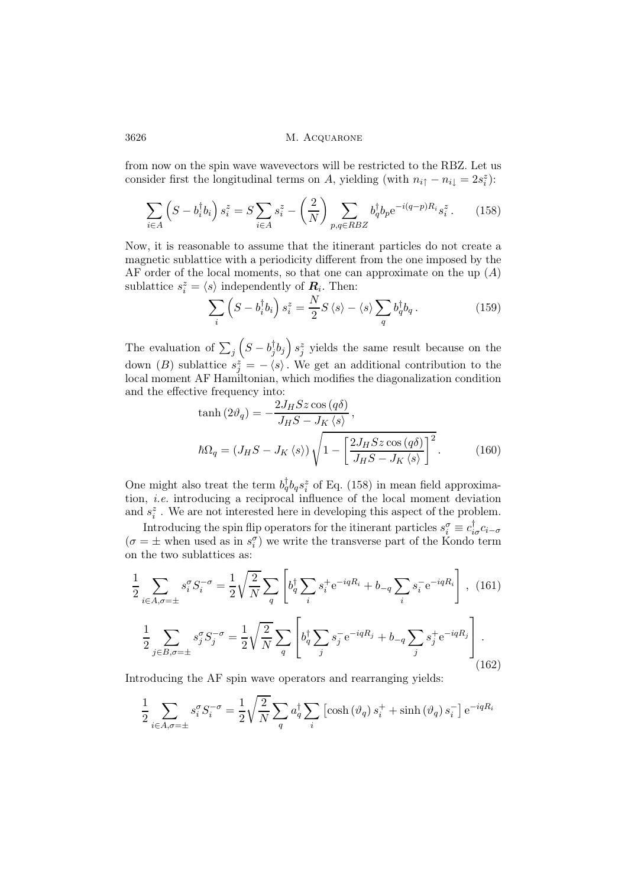from now on the spin wave wavevectors will be restricted to the RBZ. Let us consider first the longitudinal terms on A, yielding (with  $n_{i\uparrow} - n_{i\downarrow} = 2s_i^z$ ):

$$
\sum_{i \in A} \left( S - b_i^{\dagger} b_i \right) s_i^z = S \sum_{i \in A} s_i^z - \left( \frac{2}{N} \right) \sum_{p,q \in R\\BZ} b_q^{\dagger} b_p e^{-i(q-p)R_i} s_i^z. \tag{158}
$$

Now, it is reasonable to assume that the itinerant particles do not create a magnetic sublattice with a periodicity different from the one imposed by the AF order of the local moments, so that one can approximate on the up  $(A)$ sublattice  $s_i^z = \langle s \rangle$  independently of  $\mathbf{R}_i$ . Then:

$$
\sum_{i} \left( S - b_{i}^{\dagger} b_{i} \right) s_{i}^{z} = \frac{N}{2} S \left\langle s \right\rangle - \left\langle s \right\rangle \sum_{q} b_{q}^{\dagger} b_{q} . \tag{159}
$$

The evaluation of  $\sum_j \left( S - b_j^{\dagger} b_j \right) s_j^z$  yields the same result because on the down (B) sublattice  $s_j^z = -\langle s \rangle$ . We get an additional contribution to the local moment AF Hamiltonian, which modifies the diagonalization condition and the effective frequency into:

$$
\tanh\left(2\vartheta_q\right) = -\frac{2J_HSz\cos\left(q\delta\right)}{J_HS - J_K\left\langle s\right\rangle},
$$
\n
$$
\hbar\Omega_q = \left(J_HS - J_K\left\langle s\right\rangle\right)\sqrt{1 - \left[\frac{2J_HSz\cos\left(q\delta\right)}{J_HS - J_K\left\langle s\right\rangle}\right]^2}.
$$
\n(160)

One might also treat the term  $b_q^{\dagger} b_q s_i^z$  of Eq. (158) in mean field approximation, i.e. introducing a reciprocal influence of the local moment deviation and  $s_i^z$ . We are not interested here in developing this aspect of the problem.

Introducing the spin flip operators for the itinerant particles  $s_i^{\sigma} \equiv c_{i\sigma}^{\dagger} c_{i-\sigma}$  $(\sigma = \pm$  when used as in  $s_i^{\sigma}$  we write the transverse part of the Kondo term on the two sublattices as:

$$
\frac{1}{2} \sum_{i \in A, \sigma = \pm} s_i^{\sigma} S_i^{-\sigma} = \frac{1}{2} \sqrt{\frac{2}{N}} \sum_q \left[ b_q^{\dagger} \sum_i s_i^{\dagger} e^{-iqR_i} + b_{-q} \sum_i s_i^{-} e^{-iqR_i} \right], \quad (161)
$$

$$
\frac{1}{2} \sum_{j \in B, \sigma = \pm} s_j^{\sigma} S_j^{-\sigma} = \frac{1}{2} \sqrt{\frac{2}{N}} \sum_q \left[ b_q^{\dagger} \sum_j s_j^{-} e^{-iqR_j} + b_{-q} \sum_j s_j^{+} e^{-iqR_j} \right]. \tag{162}
$$

Introducing the AF spin wave operators and rearranging yields:

$$
\frac{1}{2} \sum_{i \in A, \sigma = \pm} s_i^{\sigma} S_i^{-\sigma} = \frac{1}{2} \sqrt{\frac{2}{N}} \sum_q a_q^{\dagger} \sum_i \left[ \cosh \left( \vartheta_q \right) s_i^+ + \sinh \left( \vartheta_q \right) s_i^- \right] e^{-iqR_i}
$$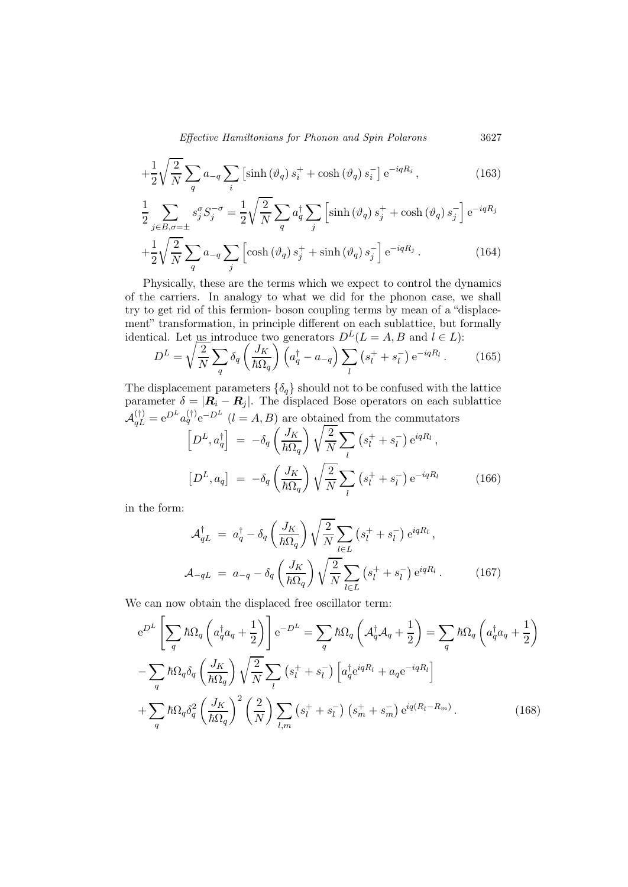Effective Hamiltonians for Phonon and Spin Polarons 3627

$$
+\frac{1}{2}\sqrt{\frac{2}{N}}\sum_{q}a_{-q}\sum_{i}\left[\sinh\left(\vartheta_{q}\right)s_{i}^{+}+\cosh\left(\vartheta_{q}\right)s_{i}^{-}\right]e^{-iqR_{i}},\tag{163}
$$

$$
\frac{1}{2} \sum_{j \in B, \sigma = \pm} s_j^{\sigma} S_j^{-\sigma} = \frac{1}{2} \sqrt{\frac{2}{N}} \sum_q a_q^{\dagger} \sum_j \left[ \sinh(\vartheta_q) s_j^+ + \cosh(\vartheta_q) s_j^- \right] e^{-iqR_j}
$$

$$
+ \frac{1}{2} \sqrt{\frac{2}{N}} \sum_q a_{-q} \sum_j \left[ \cosh(\vartheta_q) s_j^+ + \sinh(\vartheta_q) s_j^- \right] e^{-iqR_j} . \tag{164}
$$

Physically, these are the terms which we expect to control the dynamics of the carriers. In analogy to what we did for the phonon case, we shall try to get rid of this fermion- boson coupling terms by mean of a "displacement" transformation, in principle different on each sublattice, but formally identical. Let us introduce two generators  $D^{L}(L = A, B$  and  $l \in L)$ :

$$
D^{L} = \sqrt{\frac{2}{N}} \sum_{q} \delta_{q} \left( \frac{J_{K}}{\hbar \Omega_{q}} \right) \left( a_{q}^{\dagger} - a_{-q} \right) \sum_{l} \left( s_{l}^{+} + s_{l}^{-} \right) e^{-iqR_{l}}.
$$
 (165)

The displacement parameters  $\{\delta_q\}$  should not to be confused with the lattice parameter  $\delta = |\mathbf{R}_i - \mathbf{R}_j|$ . The displaced Bose operators on each sublattice  $A_{qL}^{(\dagger)} = e^{D^L} a_q^{(\dagger)} e^{-D^L}$   $(l = A, B)$  are obtained from the commutators

$$
\left[D^{L}, a_{q}^{\dagger}\right] = -\delta_{q} \left(\frac{J_{K}}{\hbar \Omega_{q}}\right) \sqrt{\frac{2}{N}} \sum_{l} \left(s_{l}^{+} + s_{l}^{-}\right) e^{iqR_{l}},
$$
\n
$$
\left[D^{L}, a_{q}\right] = -\delta_{q} \left(\frac{J_{K}}{\hbar \Omega_{q}}\right) \sqrt{\frac{2}{N}} \sum_{l} \left(s_{l}^{+} + s_{l}^{-}\right) e^{-iqR_{l}} \tag{166}
$$

in the form:

$$
\mathcal{A}_{qL}^{\dagger} = a_q^{\dagger} - \delta_q \left( \frac{J_K}{\hbar \Omega_q} \right) \sqrt{\frac{2}{N}} \sum_{l \in L} \left( s_l^+ + s_l^- \right) e^{iqR_l},
$$
\n
$$
\mathcal{A}_{-qL} = a_{-q} - \delta_q \left( \frac{J_K}{\hbar \Omega_q} \right) \sqrt{\frac{2}{N}} \sum_{l \in L} \left( s_l^+ + s_l^- \right) e^{iqR_l}. \tag{167}
$$

We can now obtain the displaced free oscillator term:

$$
e^{D^{L}}\left[\sum_{q} \hbar \Omega_{q} \left(a_{q}^{\dagger} a_{q} + \frac{1}{2}\right)\right] e^{-D^{L}} = \sum_{q} \hbar \Omega_{q} \left(\mathcal{A}_{q}^{\dagger} \mathcal{A}_{q} + \frac{1}{2}\right) = \sum_{q} \hbar \Omega_{q} \left(a_{q}^{\dagger} a_{q} + \frac{1}{2}\right)
$$

$$
-\sum_{q} \hbar \Omega_{q} \delta_{q} \left(\frac{J_{K}}{\hbar \Omega_{q}}\right) \sqrt{\frac{2}{N}} \sum_{l} \left(s_{l}^{+} + s_{l}^{-}\right) \left[a_{q}^{\dagger} e^{iqR_{l}} + a_{q} e^{-iqR_{l}}\right]
$$

$$
+\sum_{q} \hbar \Omega_{q} \delta_{q}^{2} \left(\frac{J_{K}}{\hbar \Omega_{q}}\right)^{2} \left(\frac{2}{N}\right) \sum_{l,m} \left(s_{l}^{+} + s_{l}^{-}\right) \left(s_{m}^{+} + s_{m}^{-}\right) e^{iq(R_{l} - R_{m})}.
$$
(168)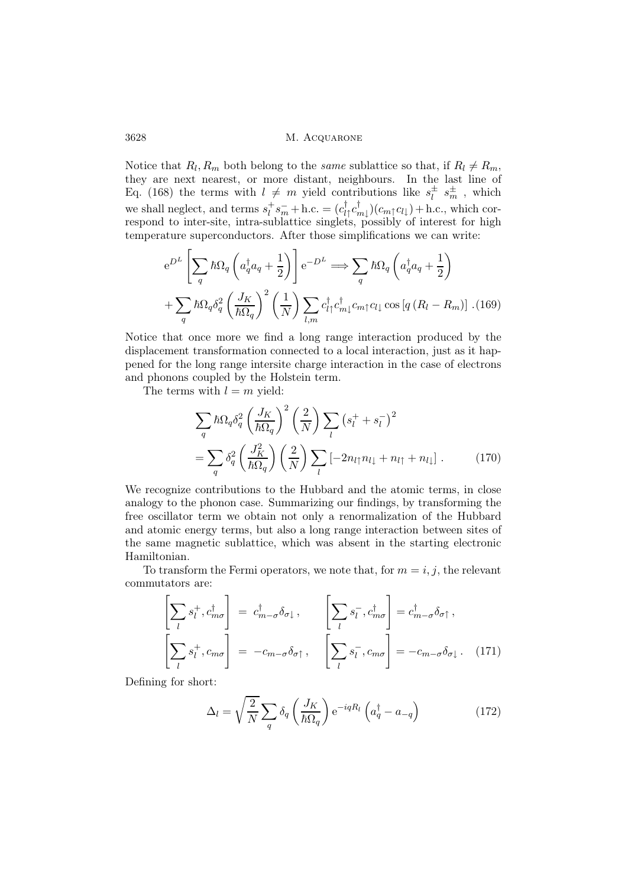Notice that  $R_l, R_m$  both belong to the same sublattice so that, if  $R_l \neq R_m$ , they are next nearest, or more distant, neighbours. In the last line of Eq. (168) the terms with  $l \neq m$  yield contributions like  $s_l^{\pm} s_m^{\pm}$ , which we shall neglect, and terms  $s_l^+$  $\int_l^+ s_m^- + \text{h.c.} = (c_{l\uparrow}^\dagger c_{m\downarrow}^\dagger)(c_{m\uparrow} c_{l\downarrow}) + \text{h.c., which cor-}$ respond to inter-site, intra-sublattice singlets, possibly of interest for high temperature superconductors. After those simplifications we can write:

$$
e^{D^{L}}\left[\sum_{q} \hbar \Omega_{q} \left(a_{q}^{\dagger} a_{q} + \frac{1}{2}\right)\right] e^{-D^{L}} \Longrightarrow \sum_{q} \hbar \Omega_{q} \left(a_{q}^{\dagger} a_{q} + \frac{1}{2}\right)
$$

$$
+ \sum_{q} \hbar \Omega_{q} \delta_{q}^{2} \left(\frac{J_{K}}{\hbar \Omega_{q}}\right)^{2} \left(\frac{1}{N}\right) \sum_{l,m} c_{l\uparrow}^{\dagger} c_{m\downarrow}^{\dagger} c_{m\uparrow} c_{l\downarrow} \cos\left[q\left(R_{l} - R_{m}\right)\right]. (169)
$$

Notice that once more we find a long range interaction produced by the displacement transformation connected to a local interaction, just as it happened for the long range intersite charge interaction in the case of electrons and phonons coupled by the Holstein term.

The terms with  $l = m$  yield:

$$
\sum_{q} \hbar \Omega_{q} \delta_{q}^{2} \left(\frac{J_{K}}{\hbar \Omega_{q}}\right)^{2} \left(\frac{2}{N}\right) \sum_{l} \left(s_{l}^{+} + s_{l}^{-}\right)^{2}
$$
\n
$$
= \sum_{q} \delta_{q}^{2} \left(\frac{J_{K}^{2}}{\hbar \Omega_{q}}\right) \left(\frac{2}{N}\right) \sum_{l} \left[-2n_{l\uparrow}n_{l\downarrow} + n_{l\uparrow} + n_{l\downarrow}\right]. \tag{170}
$$

We recognize contributions to the Hubbard and the atomic terms, in close analogy to the phonon case. Summarizing our findings, by transforming the free oscillator term we obtain not only a renormalization of the Hubbard and atomic energy terms, but also a long range interaction between sites of the same magnetic sublattice, which was absent in the starting electronic Hamiltonian.

To transform the Fermi operators, we note that, for  $m = i, j$ , the relevant commutators are:

$$
\left[\sum_{l} s_{l}^{+}, c_{m\sigma}^{\dagger}\right] = c_{m-\sigma}^{\dagger} \delta_{\sigma\downarrow}, \qquad \left[\sum_{l} s_{l}^{-}, c_{m\sigma}^{\dagger}\right] = c_{m-\sigma}^{\dagger} \delta_{\sigma\uparrow},
$$
\n
$$
\left[\sum_{l} s_{l}^{+}, c_{m\sigma}\right] = -c_{m-\sigma} \delta_{\sigma\uparrow}, \qquad \left[\sum_{l} s_{l}^{-}, c_{m\sigma}\right] = -c_{m-\sigma} \delta_{\sigma\downarrow}. \quad (171)
$$

Defining for short:

$$
\Delta_l = \sqrt{\frac{2}{N}} \sum_q \delta_q \left( \frac{J_K}{\hbar \Omega_q} \right) e^{-iqR_l} \left( a_q^{\dagger} - a_{-q} \right)
$$
 (172)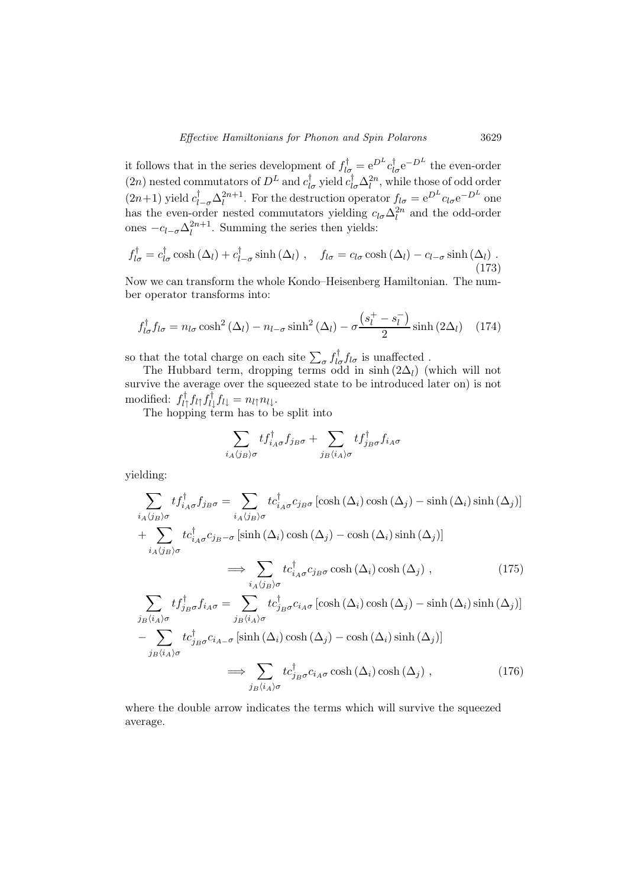it follows that in the series development of  $f_{l\sigma}^{\dagger} = e^{D^{L}} c_{l\sigma}^{\dagger} e^{-D^{L}}$  the even-order (2n) nested commutators of  $D^L$  and  $c_{l\sigma}^{\dagger}$  yield  $c_{l\sigma}^{\dagger} \Delta_l^{2n}$ , while those of odd order  $(2n+1)$  yield  $c_{l-\sigma}^{\dagger} \Delta_l^{2n+1}$  $l^{2n+1}$ . For the destruction operator  $f_{l\sigma} = e^{D^L} c_{l\sigma} e^{-D^L}$  one has the even-order nested commutators yielding  $c_{l\sigma} \Delta_l^{2n}$  and the odd-order ones  $-c_{l-\sigma}\Delta_l^{2n+1}$  $\ell^{2n+1}$ . Summing the series then yields:

$$
f_{l\sigma}^{\dagger} = c_{l\sigma}^{\dagger} \cosh\left(\Delta_{l}\right) + c_{l-\sigma}^{\dagger} \sinh\left(\Delta_{l}\right) , \quad f_{l\sigma} = c_{l\sigma} \cosh\left(\Delta_{l}\right) - c_{l-\sigma} \sinh\left(\Delta_{l}\right) . \tag{173}
$$

Now we can transform the whole Kondo–Heisenberg Hamiltonian. The number operator transforms into:

$$
f_{l\sigma}^{\dagger}f_{l\sigma} = n_{l\sigma}\cosh^2\left(\Delta_l\right) - n_{l-\sigma}\sinh^2\left(\Delta_l\right) - \sigma\frac{\left(s_l^+ - s_l^-\right)}{2}\sinh\left(2\Delta_l\right) \quad (174)
$$

so that the total charge on each site  $\sum_{\sigma} f_{l\sigma}^{\dagger} f_{l\sigma}$  is unaffected.

The Hubbard term, dropping terms odd in sinh  $(2\Delta_l)$  (which will not survive the average over the squeezed state to be introduced later on) is not modified:  $f_{l\uparrow}^{\dagger} f_{l\uparrow} f_{l\downarrow}^{\dagger} f_{l\downarrow} = n_{l\uparrow} n_{l\downarrow}$ .

The hopping term has to be split into

$$
\sum_{i_A\langle j_B\rangle\sigma} t f_{i_A\sigma}^\dagger f_{j_B\sigma} + \sum_{j_B\langle i_A\rangle\sigma} t f_{j_B\sigma}^\dagger f_{i_A\sigma}
$$

yielding:

$$
\sum_{i_{A}\langle j_{B}\rangle\sigma} t f_{i_{A}\sigma}^{\dagger} f_{j_{B}\sigma} = \sum_{i_{A}\langle j_{B}\rangle\sigma} t c_{i_{A}\sigma}^{\dagger} c_{j_{B}\sigma} \left[ \cosh\left(\Delta_{i}\right) \cosh\left(\Delta_{j}\right) - \sinh\left(\Delta_{i}\right) \sinh\left(\Delta_{j}\right) \right]
$$
  
+ 
$$
\sum_{i_{A}\langle j_{B}\rangle\sigma} t c_{i_{A}\sigma}^{\dagger} c_{j_{B}-\sigma} \left[ \sinh\left(\Delta_{i}\right) \cosh\left(\Delta_{j}\right) - \cosh\left(\Delta_{i}\right) \sinh\left(\Delta_{j}\right) \right]
$$
  

$$
\implies \sum_{i_{A}\langle j_{B}\rangle\sigma} t c_{i_{A}\sigma}^{\dagger} c_{j_{B}\sigma} \cosh\left(\Delta_{i}\right) \cosh\left(\Delta_{j}\right) , \qquad (175)
$$
  

$$
\sum_{j_{B}\langle i_{A}\rangle\sigma} t f_{j_{B}\sigma}^{\dagger} f_{i_{A}\sigma} = \sum_{j_{B}\langle i_{A}\rangle\sigma} t c_{j_{B}\sigma}^{\dagger} c_{i_{A}\sigma} \left[ \cosh\left(\Delta_{i}\right) \cosh\left(\Delta_{j}\right) - \sinh\left(\Delta_{i}\right) \sinh\left(\Delta_{j}\right) \right]
$$
  

$$
-\sum_{j_{B}\langle i_{A}\rangle\sigma} t c_{j_{B}\sigma}^{\dagger} c_{i_{A}-\sigma} \left[ \sinh\left(\Delta_{i}\right) \cosh\left(\Delta_{j}\right) - \cosh\left(\Delta_{i}\right) \sinh\left(\Delta_{j}\right) \right]
$$
  

$$
\implies \sum_{j_{B}\langle i_{A}\rangle\sigma} t c_{j_{B}\sigma}^{\dagger} c_{i_{A}\sigma} \cosh\left(\Delta_{i}\right) \cosh\left(\Delta_{j}\right) , \qquad (176)
$$

where the double arrow indicates the terms which will survive the squeezed average.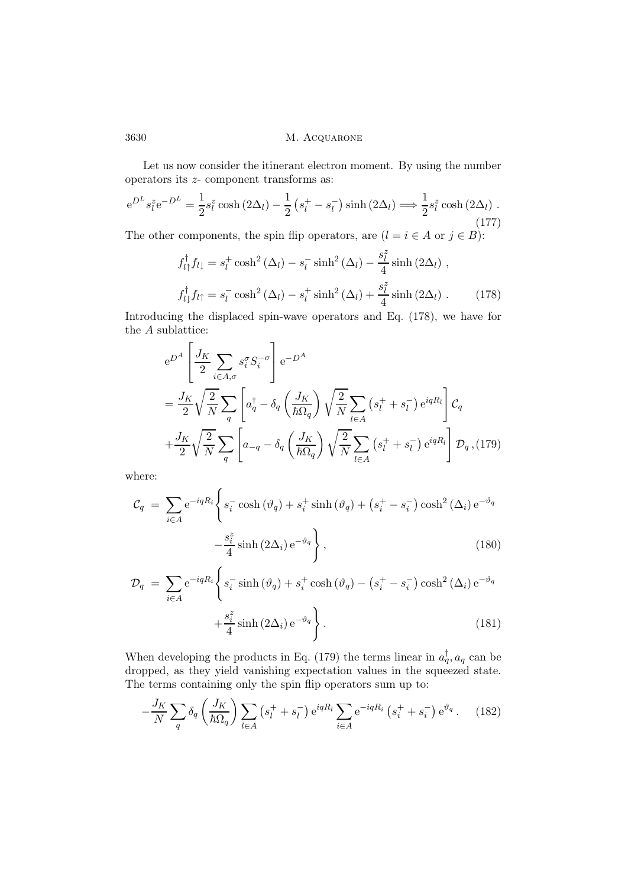Let us now consider the itinerant electron moment. By using the number operators its z- component transforms as:

$$
e^{D^L} s_l^z e^{-D^L} = \frac{1}{2} s_l^z \cosh(2\Delta_l) - \frac{1}{2} \left( s_l^+ - s_l^- \right) \sinh(2\Delta_l) \Longrightarrow \frac{1}{2} s_l^z \cosh(2\Delta_l) .
$$
\n(177)

The other components, the spin flip operators, are  $(l = i \in A$  or  $j \in B)$ :

$$
f_{l\uparrow}^{\dagger} f_{l\downarrow} = s_l^+ \cosh^2(\Delta_l) - s_l^- \sinh^2(\Delta_l) - \frac{s_l^z}{4} \sinh(2\Delta_l) ,
$$
  

$$
f_{l\downarrow}^{\dagger} f_{l\uparrow} = s_l^- \cosh^2(\Delta_l) - s_l^+ \sinh^2(\Delta_l) + \frac{s_l^z}{4} \sinh(2\Delta_l) .
$$
 (178)

Introducing the displaced spin-wave operators and Eq. (178), we have for the  $\boldsymbol{A}$  sublattice:

$$
e^{D^{A}} \left[ \frac{J_{K}}{2} \sum_{i \in A, \sigma} s_{i}^{\sigma} S_{i}^{-\sigma} \right] e^{-D^{A}}
$$
  
=  $\frac{J_{K}}{2} \sqrt{\frac{2}{N}} \sum_{q} \left[ a_{q}^{\dagger} - \delta_{q} \left( \frac{J_{K}}{\hbar \Omega_{q}} \right) \sqrt{\frac{2}{N}} \sum_{l \in A} \left( s_{l}^{+} + s_{l}^{-} \right) e^{iqR_{l}} \right] C_{q}$   
+  $\frac{J_{K}}{2} \sqrt{\frac{2}{N}} \sum_{q} \left[ a_{-q} - \delta_{q} \left( \frac{J_{K}}{\hbar \Omega_{q}} \right) \sqrt{\frac{2}{N}} \sum_{l \in A} \left( s_{l}^{+} + s_{l}^{-} \right) e^{iqR_{l}} \right] \mathcal{D}_{q}, (179)$ 

where:

$$
\mathcal{C}_q = \sum_{i \in A} e^{-iqR_i} \left\{ s_i^- \cosh(\vartheta_q) + s_i^+ \sinh(\vartheta_q) + \left( s_i^+ - s_i^- \right) \cosh^2(\Delta_i) e^{-\vartheta_q} - \frac{s_i^z}{4} \sinh(2\Delta_i) e^{-\vartheta_q} \right\},
$$
\n(180)

$$
\mathcal{D}_{q} = \sum_{i \in A} e^{-iqR_{i}} \left\{ s_{i}^{-} \sinh\left(\vartheta_{q}\right) + s_{i}^{+} \cosh\left(\vartheta_{q}\right) - \left(s_{i}^{+} - s_{i}^{-}\right) \cosh^{2}\left(\Delta_{i}\right) e^{-\vartheta_{q}} + \frac{s_{i}^{z}}{4} \sinh\left(2\Delta_{i}\right) e^{-\vartheta_{q}} \right\}.
$$
\n(181)

When developing the products in Eq. (179) the terms linear in  $a_q^{\dagger}$ ,  $a_q$  can be dropped, as they yield vanishing expectation values in the squeezed state. The terms containing only the spin flip operators sum up to:

$$
-\frac{J_K}{N} \sum_{q} \delta_q \left(\frac{J_K}{\hbar \Omega_q}\right) \sum_{l \in A} \left(s_l^+ + s_l^-\right) e^{iqR_l} \sum_{i \in A} e^{-iqR_i} \left(s_i^+ + s_i^-\right) e^{\vartheta_q}.
$$
 (182)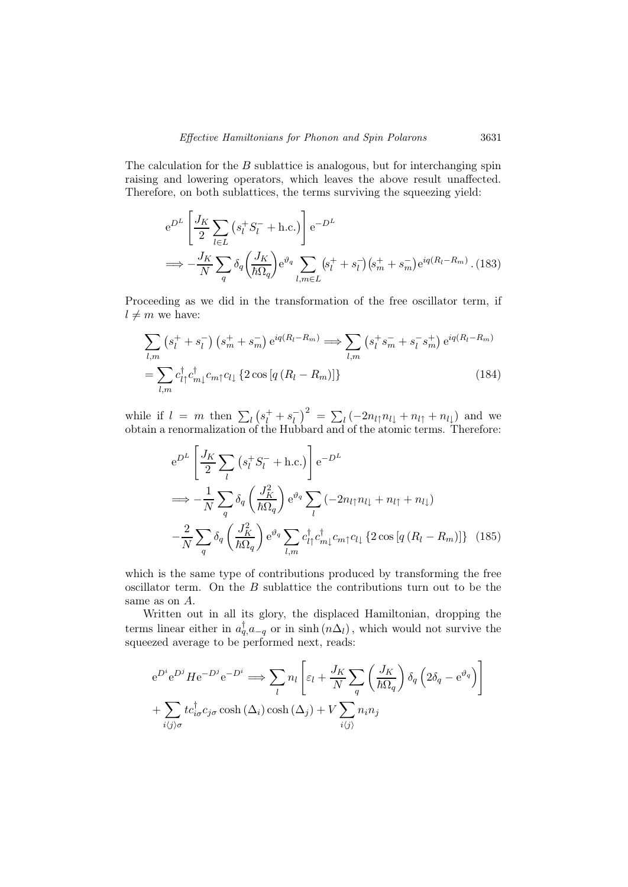The calculation for the  $B$  sublattice is analogous, but for interchanging spin raising and lowering operators, which leaves the above result unaffected. Therefore, on both sublattices, the terms surviving the squeezing yield:

$$
e^{D^{L}}\left[\frac{J_{K}}{2}\sum_{l\in L}\left(s_{l}^{+}S_{l}^{-}+\text{h.c.}\right)\right]e^{-D^{L}}
$$

$$
\implies -\frac{J_{K}}{N}\sum_{q}\delta_{q}\left(\frac{J_{K}}{\hbar\Omega_{q}}\right)e^{\vartheta_{q}}\sum_{l,m\in L}\left(s_{l}^{+}+s_{l}^{-}\right)\left(s_{m}^{+}+s_{m}^{-}\right)e^{iq\left(R_{l}-R_{m}\right)}.(183)
$$

Proceeding as we did in the transformation of the free oscillator term, if  $l \neq m$  we have:

$$
\sum_{l,m} \left( s_l^+ + s_l^- \right) \left( s_m^+ + s_m^- \right) e^{iq(R_l - R_m)} \Longrightarrow \sum_{l,m} \left( s_l^+ s_m^- + s_l^- s_m^+ \right) e^{iq(R_l - R_m)}
$$

$$
= \sum_{l,m} c_{l\uparrow}^\dagger c_{m\downarrow}^\dagger c_{m\uparrow} c_{l\downarrow} \left\{ 2 \cos \left[ q \left( R_l - R_m \right) \right] \right\} \tag{184}
$$

while if  $l = m$  then  $\sum_l (s_l^+ + s_l^-)^2 = \sum_l (-2n_l \uparrow n_l + n_l \uparrow + n_l \downarrow)$  and we obtain a renormalization of the Hubbard and of the atomic terms. Therefore:

$$
e^{D^{L}}\left[\frac{J_{K}}{2}\sum_{l}\left(s_{l}^{+}S_{l}^{-}+\text{h.c.}\right)\right]e^{-D^{L}}
$$
\n
$$
\implies -\frac{1}{N}\sum_{q}\delta_{q}\left(\frac{J_{K}^{2}}{\hbar\Omega_{q}}\right)e^{\vartheta_{q}}\sum_{l}\left(-2n_{l\uparrow}n_{l\downarrow}+n_{l\uparrow}+n_{l\downarrow}\right)
$$
\n
$$
-\frac{2}{N}\sum_{q}\delta_{q}\left(\frac{J_{K}^{2}}{\hbar\Omega_{q}}\right)e^{\vartheta_{q}}\sum_{l,m}c_{l\uparrow}^{\dagger}c_{m\downarrow}^{\dagger}c_{m\uparrow}c_{l\downarrow}\left\{2\cos\left[q\left(R_{l}-R_{m}\right)\right]\right\}\tag{185}
$$

which is the same type of contributions produced by transforming the free oscillator term. On the  $B$  sublattice the contributions turn out to be the same as on A.

Written out in all its glory, the displaced Hamiltonian, dropping the terms linear either in  $a_q^{\dagger} a_{-q}$  or in sinh  $(n\Delta_l)$ , which would not survive the squeezed average to be performed next, reads:

$$
e^{D^{i}} e^{D^{j}} H e^{-D^{j}} e^{-D^{i}} \Longrightarrow \sum_{l} n_{l} \left[ \varepsilon_{l} + \frac{J_{K}}{N} \sum_{q} \left( \frac{J_{K}}{\hbar \Omega_{q}} \right) \delta_{q} \left( 2\delta_{q} - e^{\vartheta_{q}} \right) \right]
$$

$$
+ \sum_{i \langle j \rangle \sigma} t c_{i\sigma}^{\dagger} c_{j\sigma} \cosh \left( \Delta_{i} \right) \cosh \left( \Delta_{j} \right) + V \sum_{i \langle j \rangle} n_{i} n_{j}
$$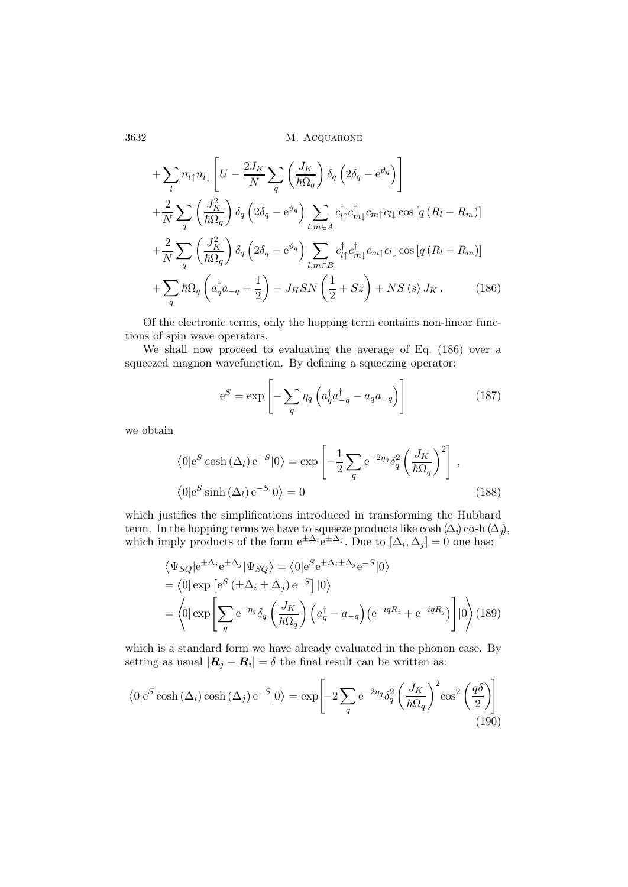$$
+\sum_{l} n_{l\uparrow} n_{l\downarrow} \left[ U - \frac{2J_K}{N} \sum_{q} \left( \frac{J_K}{\hbar \Omega_q} \right) \delta_q \left( 2\delta_q - e^{\vartheta_q} \right) \right] + \frac{2}{N} \sum_{q} \left( \frac{J_K^2}{\hbar \Omega_q} \right) \delta_q \left( 2\delta_q - e^{\vartheta_q} \right) \sum_{l,m \in A} c_{l\uparrow}^{\dagger} c_{m\downarrow}^{\dagger} c_{m\uparrow} c_{l\downarrow} \cos \left[ q \left( R_l - R_m \right) \right] + \frac{2}{N} \sum_{q} \left( \frac{J_K^2}{\hbar \Omega_q} \right) \delta_q \left( 2\delta_q - e^{\vartheta_q} \right) \sum_{l,m \in B} c_{l\uparrow}^{\dagger} c_{m\downarrow}^{\dagger} c_{m\uparrow} c_{l\downarrow} \cos \left[ q \left( R_l - R_m \right) \right] + \sum_{q} \hbar \Omega_q \left( a_q^{\dagger} a_{-q} + \frac{1}{2} \right) - J_H S N \left( \frac{1}{2} + Sz \right) + N S \left\langle s \right\rangle J_K. \tag{186}
$$

Of the electronic terms, only the hopping term contains non-linear functions of spin wave operators.

We shall now proceed to evaluating the average of Eq. (186) over a squeezed magnon wavefunction. By defining a squeezing operator:

$$
e^{S} = \exp\left[-\sum_{q} \eta_{q} \left(a_{q}^{\dagger} a_{-q}^{\dagger} - a_{q} a_{-q}\right)\right]
$$
(187)

we obtain

$$
\langle 0|e^{S} \cosh(\Delta_{l}) e^{-S} |0\rangle = \exp\left[-\frac{1}{2} \sum_{q} e^{-2\eta_{q}} \delta_{q}^{2} \left(\frac{J_{K}}{\hbar \Omega_{q}}\right)^{2}\right],
$$
  

$$
\langle 0|e^{S} \sinh(\Delta_{l}) e^{-S} |0\rangle = 0
$$
 (188)

which justifies the simplifications introduced in transforming the Hubbard term. In the hopping terms we have to squeeze products like cosh  $(\Delta_i)$  cosh  $(\Delta_j)$ , which imply products of the form  $e^{\pm \Delta_i} e^{\pm \Delta_j}$ . Due to  $[\Delta_i, \Delta_j] = 0$  one has:

$$
\langle \Psi_{SQ} | e^{\pm \Delta_i} e^{\pm \Delta_j} | \Psi_{SQ} \rangle = \langle 0 | e^S e^{\pm \Delta_i \pm \Delta_j} e^{-S} | 0 \rangle
$$
  
=  $\langle 0 | \exp \left[ e^S (\pm \Delta_i \pm \Delta_j) e^{-S} \right] | 0 \rangle$   
=  $\langle 0 | \exp \left[ \sum_q e^{-\eta_q} \delta_q \left( \frac{J_K}{\hbar \Omega_q} \right) \left( a_q^{\dagger} - a_{-q} \right) \left( e^{-iqR_i} + e^{-iqR_j} \right) \right] | 0 \rangle (189)$ 

which is a standard form we have already evaluated in the phonon case. By setting as usual  $|\mathbf{R}_j - \mathbf{R}_i| = \delta$  the final result can be written as:

$$
\langle 0 | e^{S} \cosh(\Delta_{i}) \cosh(\Delta_{j}) e^{-S} | 0 \rangle = \exp \left[ -2 \sum_{q} e^{-2\eta_{q}} \delta_{q}^{2} \left( \frac{J_{K}}{\hbar \Omega_{q}} \right)^{2} \cos^{2} \left( \frac{q \delta}{2} \right) \right]
$$
(190)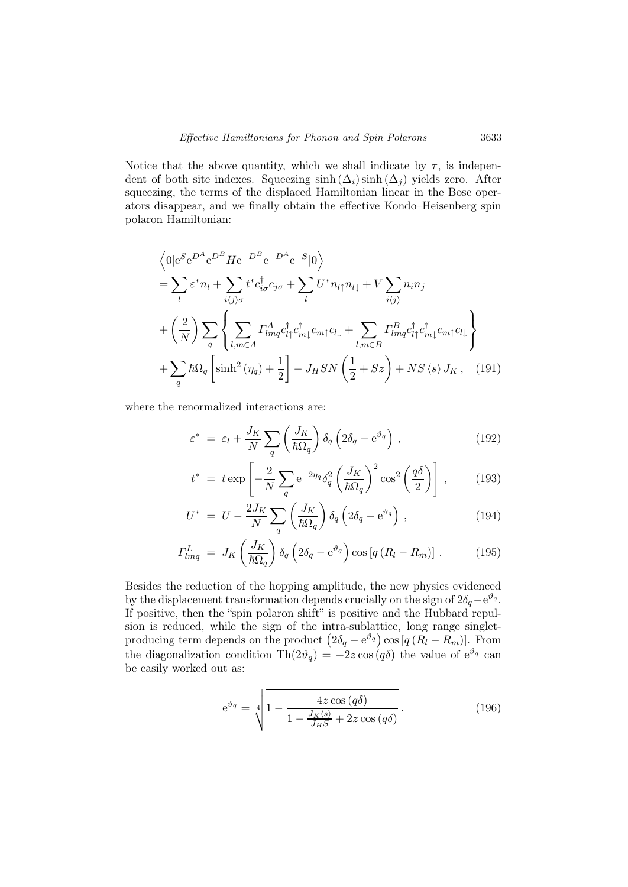Notice that the above quantity, which we shall indicate by  $\tau$ , is independent of both site indexes. Squeezing  $\sinh(\Delta_i) \sinh(\Delta_j)$  yields zero. After squeezing, the terms of the displaced Hamiltonian linear in the Bose operators disappear, and we finally obtain the effective Kondo–Heisenberg spin polaron Hamiltonian:

$$
\langle 0|e^{S}e^{D^{A}}e^{D^{B}}He^{-D^{B}}e^{-D^{A}}e^{-S}|0\rangle
$$
\n
$$
= \sum_{l} \varepsilon^{*}n_{l} + \sum_{i\langle j\rangle\sigma} t^{*}c_{i\sigma}^{\dagger}c_{j\sigma} + \sum_{l} U^{*}n_{l\uparrow}n_{l\downarrow} + V \sum_{i\langle j\rangle} n_{i}n_{j}
$$
\n
$$
+ \left(\frac{2}{N}\right) \sum_{q} \left\{ \sum_{l,m \in A} \Gamma_{lmq}^{A} c_{l\uparrow}^{\dagger} c_{m\downarrow}^{\dagger} c_{m\uparrow}c_{l\downarrow} + \sum_{l,m \in B} \Gamma_{lmq}^{B} c_{l\uparrow}^{\dagger} c_{m\downarrow}^{\dagger} c_{m\uparrow}c_{l\downarrow} \right\}
$$
\n
$$
+ \sum_{q} \hbar \Omega_{q} \left[ \sinh^{2}(\eta_{q}) + \frac{1}{2} \right] - J_{H}SN \left( \frac{1}{2} + Sz \right) + NS \langle s \rangle J_{K}, \quad (191)
$$

where the renormalized interactions are:

$$
\varepsilon^* = \varepsilon_l + \frac{J_K}{N} \sum_q \left( \frac{J_K}{\hbar \Omega_q} \right) \delta_q \left( 2\delta_q - e^{\vartheta_q} \right) , \qquad (192)
$$

$$
t^* = t \exp\left[-\frac{2}{N}\sum_{q} e^{-2\eta_q} \delta_q^2 \left(\frac{J_K}{\hbar \Omega_q}\right)^2 \cos^2\left(\frac{q\delta}{2}\right)\right],\qquad(193)
$$

$$
U^* = U - \frac{2J_K}{N} \sum_{q} \left(\frac{J_K}{\hbar \Omega_q}\right) \delta_q \left(2\delta_q - e^{\vartheta_q}\right) , \qquad (194)
$$

$$
\Gamma_{lmq}^{L} = J_K \left( \frac{J_K}{\hbar \Omega_q} \right) \delta_q \left( 2\delta_q - e^{\vartheta_q} \right) \cos \left[ q \left( R_l - R_m \right) \right] . \tag{195}
$$

Besides the reduction of the hopping amplitude, the new physics evidenced by the displacement transformation depends crucially on the sign of  $2\delta_q - e^{\vartheta_q}$ . If positive, then the "spin polaron shift" is positive and the Hubbard repulsion is reduced, while the sign of the intra-sublattice, long range singletproducing term depends on the product  $(2\delta_q - e^{\vartheta_q}) \cos[q(R_l - R_m)]$ . From the diagonalization condition Th $(2\vartheta_q) = -2z \cos(q\delta)$  the value of  $e^{\vartheta_q}$  can be easily worked out as:

$$
e^{\vartheta_q} = \sqrt[4]{1 - \frac{4z \cos(q\delta)}{1 - \frac{J_K(s)}{J_H S} + 2z \cos(q\delta)}}.
$$
\n(196)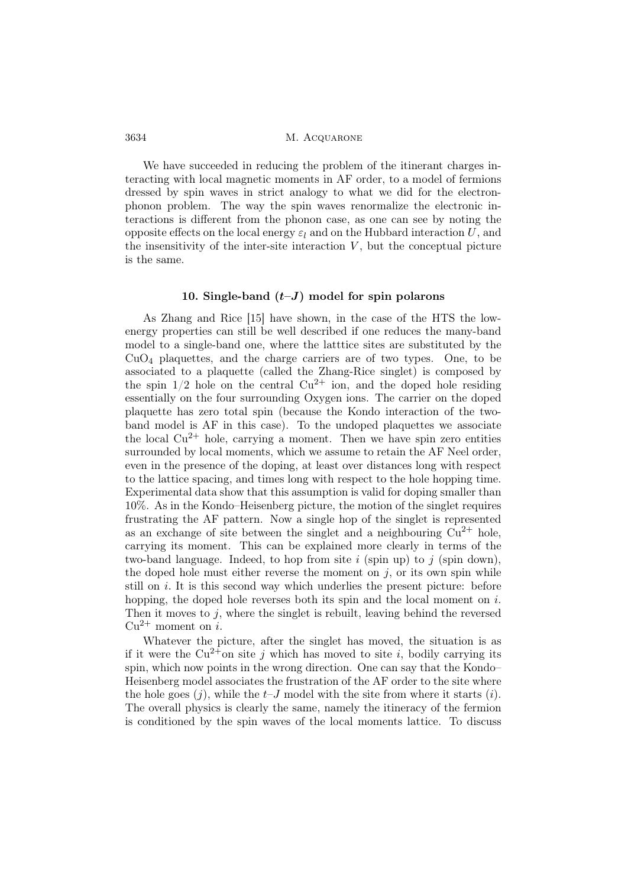We have succeeded in reducing the problem of the itinerant charges interacting with local magnetic moments in AF order, to a model of fermions dressed by spin waves in strict analogy to what we did for the electronphonon problem. The way the spin waves renormalize the electronic interactions is different from the phonon case, as one can see by noting the opposite effects on the local energy  $\varepsilon_l$  and on the Hubbard interaction U, and the insensitivity of the inter-site interaction  $V$ , but the conceptual picture is the same.

### 10. Single-band  $(t-J)$  model for spin polarons

As Zhang and Rice [15] have shown, in the case of the HTS the lowenergy properties can still be well described if one reduces the many-band model to a single-band one, where the latttice sites are substituted by the  $CuO<sub>4</sub>$  plaquettes, and the charge carriers are of two types. One, to be associated to a plaquette (called the Zhang-Rice singlet) is composed by the spin  $1/2$  hole on the central  $Cu^{2+}$  ion, and the doped hole residing essentially on the four surrounding Oxygen ions. The carrier on the doped plaquette has zero total spin (because the Kondo interaction of the twoband model is AF in this case). To the undoped plaquettes we associate the local  $Cu^{2+}$  hole, carrying a moment. Then we have spin zero entities surrounded by local moments, which we assume to retain the AF Neel order, even in the presence of the doping, at least over distances long with respect to the lattice spacing, and times long with respect to the hole hopping time. Experimental data show that this assumption is valid for doping smaller than 10%. As in the Kondo–Heisenberg picture, the motion of the singlet requires frustrating the AF pattern. Now a single hop of the singlet is represented as an exchange of site between the singlet and a neighbouring  $Cu^{2+}$  hole, carrying its moment. This can be explained more clearly in terms of the two-band language. Indeed, to hop from site i (spin up) to j (spin down), the doped hole must either reverse the moment on  $i$ , or its own spin while still on  $i$ . It is this second way which underlies the present picture: before hopping, the doped hole reverses both its spin and the local moment on  $i$ . Then it moves to  $j$ , where the singlet is rebuilt, leaving behind the reversed  $Cu^{2+}$  moment on i.

Whatever the picture, after the singlet has moved, the situation is as if it were the  $Cu^{2+}$ on site j which has moved to site i, bodily carrying its spin, which now points in the wrong direction. One can say that the Kondo– Heisenberg model associates the frustration of the AF order to the site where the hole goes  $(j)$ , while the  $t-J$  model with the site from where it starts  $(i)$ . The overall physics is clearly the same, namely the itineracy of the fermion is conditioned by the spin waves of the local moments lattice. To discuss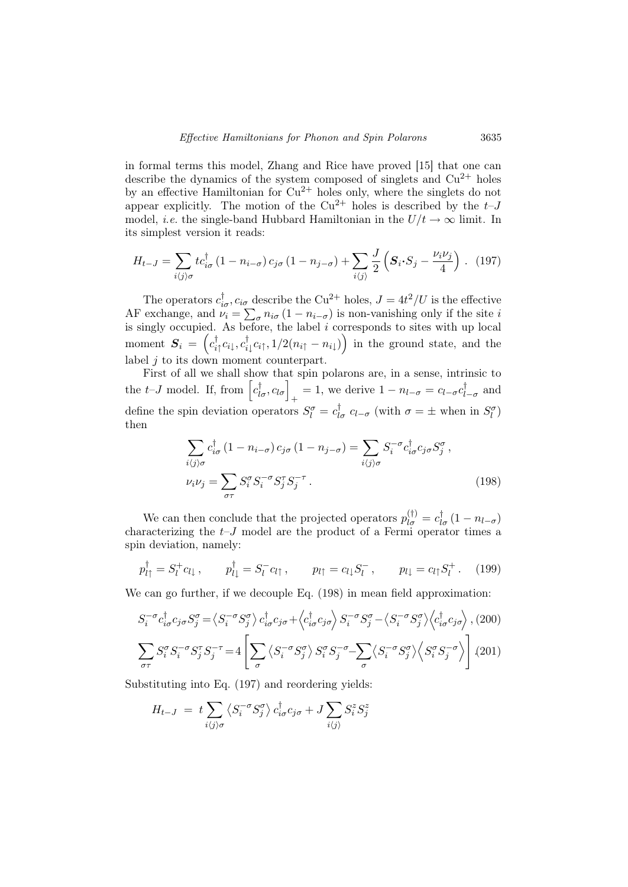in formal terms this model, Zhang and Rice have proved [15] that one can describe the dynamics of the system composed of singlets and  $Cu^{2+}$  holes by an effective Hamiltonian for  $Cu^{2+}$  holes only, where the singlets do not appear explicitly. The motion of the  $Cu^{2+}$  holes is described by the  $t-J$ model, *i.e.* the single-band Hubbard Hamiltonian in the  $U/t \rightarrow \infty$  limit. In its simplest version it reads:

$$
H_{t-J} = \sum_{i\langle j\rangle\sigma} tc_{i\sigma}^{\dagger} (1 - n_{i-\sigma}) c_{j\sigma} (1 - n_{j-\sigma}) + \sum_{i\langle j\rangle} \frac{J}{2} \left( \mathbf{S}_i \cdot \mathbf{S}_j - \frac{\nu_i \nu_j}{4} \right). \tag{197}
$$

The operators  $c_{i\sigma}^{\dagger}$ ,  $c_{i\sigma}$  describe the Cu<sup>2+</sup> holes,  $J = 4t^2/U$  is the effective AF exchange, and  $\nu_i = \sum_{\sigma} n_{i\sigma} (1 - n_{i-\sigma})$  is non-vanishing only if the site i is singly occupied. As before, the label  $i$  corresponds to sites with up local moment  $\boldsymbol{S}_i = \left( c^\dagger_{i\uparrow}c_{i\downarrow}, c^\dagger_{i\downarrow}c_{i\uparrow}, 1/2(n_{i\uparrow}-n_{i\downarrow}) \right)$  in the ground state, and the label  $j$  to its down moment counterpart.

First of all we shall show that spin polarons are, in a sense, intrinsic to the *t*-*J* model. If, from  $\left[c_{l\sigma}^{\dagger}, c_{l\sigma}\right]_{+} = 1$ , we derive  $1 - n_{l-\sigma} = c_{l-\sigma}c_{l-\sigma}^{\dagger}$  and define the spin deviation operators  $S_l^{\sigma} = c_{l\sigma}^{\dagger}$   $c_{l-\sigma}$  (with  $\sigma = \pm$  when in  $S_l^{\sigma}$ ) then

$$
\sum_{i\langle j\rangle\sigma} c_{i\sigma}^{\dagger} (1 - n_{i-\sigma}) c_{j\sigma} (1 - n_{j-\sigma}) = \sum_{i\langle j\rangle\sigma} S_i^{-\sigma} c_{i\sigma}^{\dagger} c_{j\sigma} S_j^{\sigma} ,
$$
  

$$
\nu_i \nu_j = \sum_{\sigma\tau} S_i^{\sigma} S_j^{-\sigma} S_j^{\tau} S_j^{-\tau} .
$$
 (198)

We can then conclude that the projected operators  $p_{l\sigma}^{(\dagger)} = c_{l\sigma}^{\dagger} (1 - n_{l-\sigma})$ characterizing the  $t-J$  model are the product of a Fermi operator times a spin deviation, namely:

$$
p_{l\uparrow}^{\dagger} = S_l^+ c_{l\downarrow}, \qquad p_{l\downarrow}^{\dagger} = S_l^- c_{l\uparrow}, \qquad p_{l\uparrow} = c_{l\downarrow} S_l^- , \qquad p_{l\downarrow} = c_{l\uparrow} S_l^+ .
$$
 (199)

We can go further, if we decouple Eq. (198) in mean field approximation:

$$
S_i^{-\sigma} c_{i\sigma}^{\dagger} c_{j\sigma} S_j^{\sigma} = \left\langle S_i^{-\sigma} S_j^{\sigma} \right\rangle c_{i\sigma}^{\dagger} c_{j\sigma} + \left\langle c_{i\sigma}^{\dagger} c_{j\sigma} \right\rangle S_i^{-\sigma} S_j^{\sigma} - \left\langle S_i^{-\sigma} S_j^{\sigma} \right\rangle \left\langle c_{i\sigma}^{\dagger} c_{j\sigma} \right\rangle, (200)
$$

$$
\sum_{\sigma\tau} S_i^{\sigma} S_i^{-\sigma} S_j^{\tau} S_j^{-\tau} = 4 \left[ \sum_{\sigma} \left\langle S_i^{-\sigma} S_j^{\sigma} \right\rangle S_i^{\sigma} S_j^{-\sigma} - \sum_{\sigma} \left\langle S_i^{-\sigma} S_j^{\sigma} \right\rangle \left\langle S_i^{\sigma} S_j^{-\sigma} \right\rangle \right] (201)
$$

Substituting into Eq. (197) and reordering yields:

$$
H_{t-J} = t \sum_{i \langle j \rangle \sigma} \langle S_i^{-\sigma} S_j^{\sigma} \rangle c_{i\sigma}^{\dagger} c_{j\sigma} + J \sum_{i \langle j \rangle} S_i^z S_j^z
$$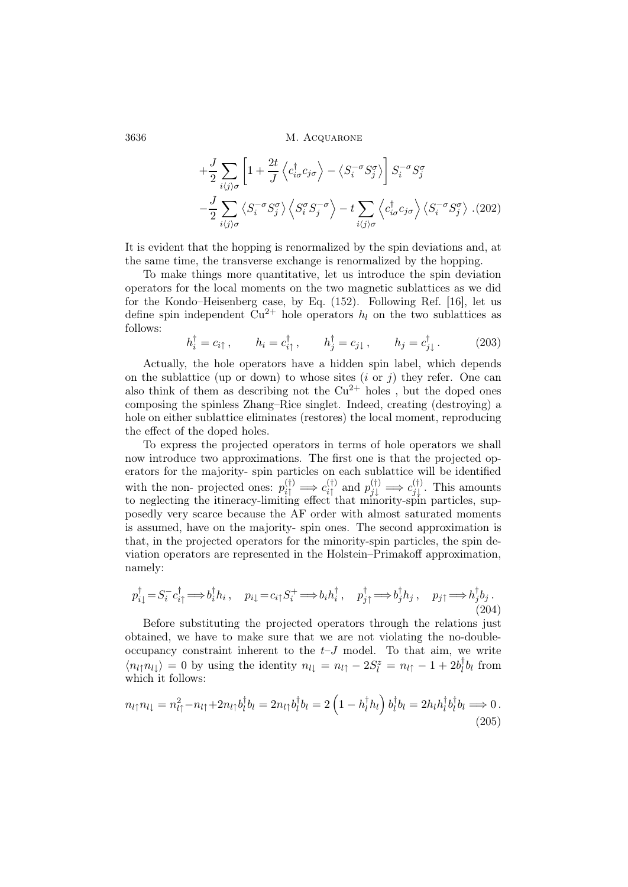$$
+\frac{J}{2} \sum_{i\langle j \rangle \sigma} \left[ 1 + \frac{2t}{J} \left\langle c_{i\sigma}^{\dagger} c_{j\sigma} \right\rangle - \left\langle S_{i}^{-\sigma} S_{j}^{\sigma} \right\rangle \right] S_{i}^{-\sigma} S_{j}^{\sigma} -\frac{J}{2} \sum_{i\langle j \rangle \sigma} \left\langle S_{i}^{-\sigma} S_{j}^{\sigma} \right\rangle \left\langle S_{i}^{\sigma} S_{j}^{-\sigma} \right\rangle - t \sum_{i\langle j \rangle \sigma} \left\langle c_{i\sigma}^{\dagger} c_{j\sigma} \right\rangle \left\langle S_{i}^{-\sigma} S_{j}^{\sigma} \right\rangle . (202)
$$

It is evident that the hopping is renormalized by the spin deviations and, at the same time, the transverse exchange is renormalized by the hopping.

To make things more quantitative, let us introduce the spin deviation operators for the local moments on the two magnetic sublattices as we did for the Kondo–Heisenberg case, by Eq. (152). Following Ref. [16], let us define spin independent  $Cu^{2+}$  hole operators  $h_l$  on the two sublattices as follows:

$$
h_i^{\dagger} = c_{i\uparrow} , \qquad h_i = c_{i\uparrow}^{\dagger} , \qquad h_j^{\dagger} = c_{j\downarrow} , \qquad h_j = c_{j\downarrow}^{\dagger} . \tag{203}
$$

Actually, the hole operators have a hidden spin label, which depends on the sublattice (up or down) to whose sites  $(i \text{ or } i)$  they refer. One can also think of them as describing not the  $Cu^{2+}$  holes, but the doped ones composing the spinless Zhang–Rice singlet. Indeed, creating (destroying) a hole on either sublattice eliminates (restores) the local moment, reproducing the effect of the doped holes.

To express the projected operators in terms of hole operators we shall now introduce two approximations. The first one is that the projected operators for the majority- spin particles on each sublattice will be identified with the non-projected ones:  $p_{i\uparrow}^{(\dagger)} \implies c_{i\uparrow}^{(\dagger)}$  $\hat{p}_{j\downarrow}^{(\dagger)}$  and  $p_{j\downarrow}^{(\dagger)} \implies c_{j\downarrow}^{(\dagger)}$  $\mathcal{F}_{j}^{(1)}$ . This amounts to neglecting the itineracy-limiting effect that minority-spin particles, supposedly very scarce because the AF order with almost saturated moments is assumed, have on the majority- spin ones. The second approximation is that, in the projected operators for the minority-spin particles, the spin deviation operators are represented in the Holstein–Primakoff approximation, namely:

$$
p_{i\downarrow}^{\dagger} = S_i^- c_{i\uparrow}^{\dagger} \Longrightarrow b_i^{\dagger} h_i \,, \quad p_{i\downarrow} = c_{i\uparrow} S_i^+ \Longrightarrow b_i h_i^{\dagger} \,, \quad p_{j\uparrow}^{\dagger} \Longrightarrow b_j^{\dagger} h_j \,, \quad p_{j\uparrow} \Longrightarrow h_j^{\dagger} b_j \,. \tag{204}
$$

Before substituting the projected operators through the relations just obtained, we have to make sure that we are not violating the no-doubleoccupancy constraint inherent to the  $t-J$  model. To that aim, we write  $\langle n_l | n_l |\rangle = 0$  by using the identity  $n_l \equiv n_l \gamma - 2S_l^z = n_l \gamma - 1 + 2b_l^{\dagger} b_l$  from which it follows:

$$
n_{l\uparrow}n_{l\downarrow} = n_{l\uparrow}^2 - n_{l\uparrow} + 2n_{l\uparrow}b_l^{\dagger}b_l = 2n_{l\uparrow}b_l^{\dagger}b_l = 2\left(1 - h_l^{\dagger}h_l\right)b_l^{\dagger}b_l = 2h_lh_l^{\dagger}b_l^{\dagger}b_l \Longrightarrow 0. \tag{205}
$$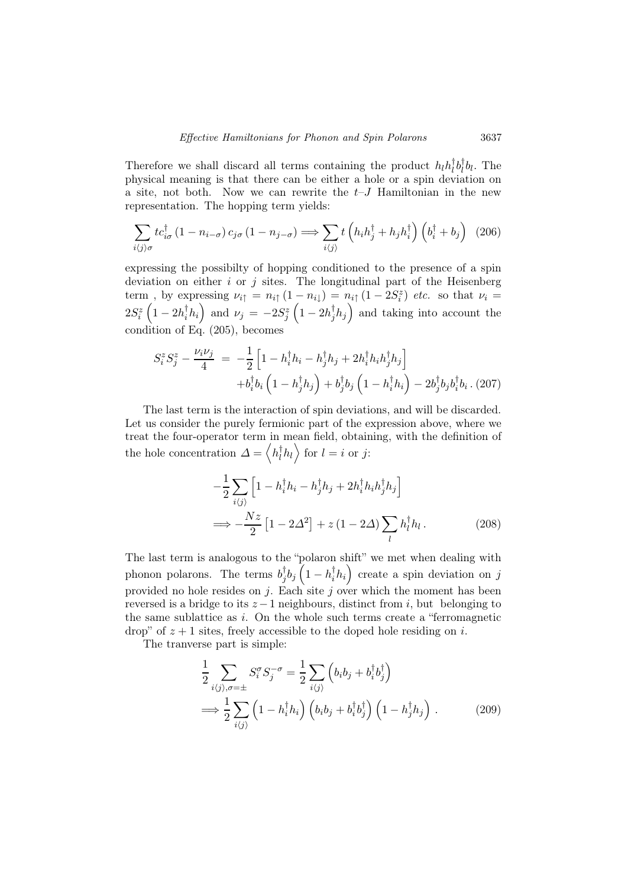Therefore we shall discard all terms containing the product  $h_l h_l^{\dagger} b_l^{\dagger} b_l$ . The physical meaning is that there can be either a hole or a spin deviation on a site, not both. Now we can rewrite the  $t-J$  Hamiltonian in the new representation. The hopping term yields:

$$
\sum_{i\langle j\rangle\sigma} tc_{i\sigma}^{\dagger} (1 - n_{i-\sigma}) c_{j\sigma} (1 - n_{j-\sigma}) \Longrightarrow \sum_{i\langle j\rangle} t\left( h_i h_j^{\dagger} + h_j h_i^{\dagger} \right) \left( b_i^{\dagger} + b_j \right) (206)
$$

expressing the possibilty of hopping conditioned to the presence of a spin deviation on either  $i$  or  $j$  sites. The longitudinal part of the Heisenberg term, by expressing  $\nu_{i\uparrow} = n_{i\uparrow} (1 - n_{i\downarrow}) = n_{i\uparrow} (1 - 2S_i^z)$  *etc.* so that  $\nu_i =$  $2S_i^z\left(1-2h_i^{\dagger}h_i\right)$  and  $\nu_j=-2S_j^z\left(1-2h_j^{\dagger}h_j\right)$  and taking into account the condition of Eq.  $(205)$ , becomes

$$
S_i^z S_j^z - \frac{\nu_i \nu_j}{4} = -\frac{1}{2} \left[ 1 - h_i^\dagger h_i - h_j^\dagger h_j + 2 h_i^\dagger h_i h_j^\dagger h_j \right] + b_i^\dagger b_i \left( 1 - h_j^\dagger h_j \right) + b_j^\dagger b_j \left( 1 - h_i^\dagger h_i \right) - 2 b_j^\dagger b_j b_i^\dagger b_i .
$$
 (207)

The last term is the interaction of spin deviations, and will be discarded. Let us consider the purely fermionic part of the expression above, where we treat the four-operator term in mean field, obtaining, with the definition of the hole concentration  $\Delta = \langle h_l^{\dagger} h_l \rangle$  for  $l = i$  or j:

$$
-\frac{1}{2}\sum_{i\langle j\rangle}\left[1-h_{i}^{\dagger}h_{i}-h_{j}^{\dagger}h_{j}+2h_{i}^{\dagger}h_{i}h_{j}^{\dagger}h_{j}\right]
$$
  

$$
\implies -\frac{Nz}{2}\left[1-2\Delta^{2}\right]+z\left(1-2\Delta\right)\sum_{l}h_{l}^{\dagger}h_{l}. \qquad (208)
$$

The last term is analogous to the "polaron shift" we met when dealing with phonon polarons. The terms  $b_j^{\dagger}b_j\left(1-h_i^{\dagger}h_i\right)$  create a spin deviation on j provided no hole resides on  $j$ . Each site  $j$  over which the moment has been reversed is a bridge to its  $z - 1$  neighbours, distinct from i, but belonging to the same sublattice as  $i$ . On the whole such terms create a "ferromagnetic" drop" of  $z + 1$  sites, freely accessible to the doped hole residing on i.

The tranverse part is simple:

$$
\frac{1}{2} \sum_{i\langle j \rangle,\sigma=\pm} S_i^{\sigma} S_j^{-\sigma} = \frac{1}{2} \sum_{i\langle j \rangle} \left( b_i b_j + b_i^{\dagger} b_j^{\dagger} \right)
$$
\n
$$
\implies \frac{1}{2} \sum_{i\langle j \rangle} \left( 1 - h_i^{\dagger} h_i \right) \left( b_i b_j + b_i^{\dagger} b_j^{\dagger} \right) \left( 1 - h_j^{\dagger} h_j \right) . \tag{209}
$$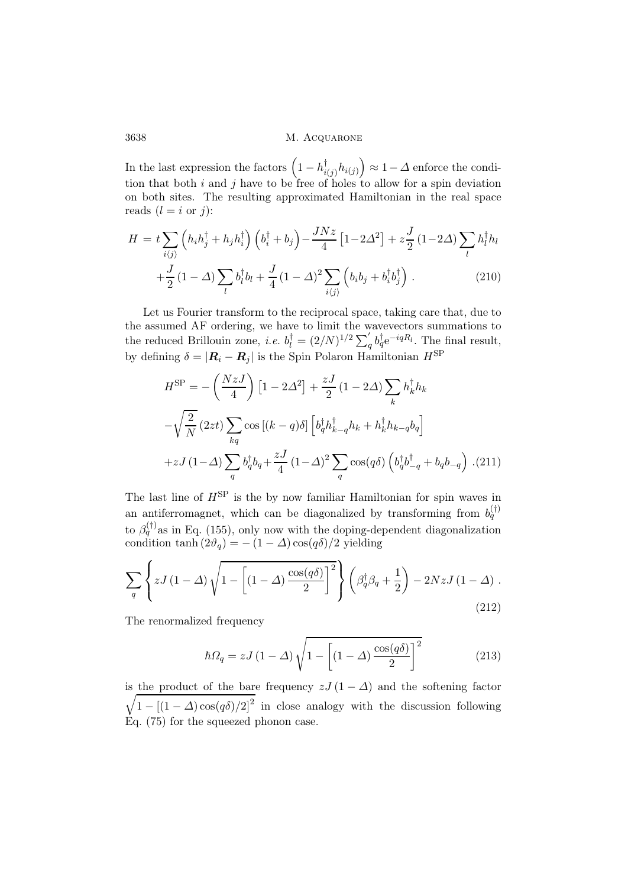In the last expression the factors  $(1 - h_{i(j)}^{\dagger} h_{i(j)}) \approx 1 - \Delta$  enforce the condition that both i and j have to be free of holes to allow for a spin deviation on both sites. The resulting approximated Hamiltonian in the real space reads  $(l = i \text{ or } j)$ :

$$
H = t \sum_{i\langle j\rangle} \left( h_i h_j^{\dagger} + h_j h_i^{\dagger} \right) \left( b_i^{\dagger} + b_j \right) - \frac{J N z}{4} \left[ 1 - 2\Delta^2 \right] + z \frac{J}{2} \left( 1 - 2\Delta \right) \sum_l h_l^{\dagger} h_l
$$

$$
+ \frac{J}{2} \left( 1 - \Delta \right) \sum_l b_l^{\dagger} b_l + \frac{J}{4} \left( 1 - \Delta \right)^2 \sum_{i\langle j\rangle} \left( b_i b_j + b_i^{\dagger} b_j^{\dagger} \right) . \tag{210}
$$

Let us Fourier transform to the reciprocal space, taking care that, due to the assumed AF ordering, we have to limit the wavevectors summations to the reduced Brillouin zone, *i.e.*  $b_l^{\dagger} = (2/N)^{1/2} \sum_q' b_q^{\dagger} e^{-iqR_l}$ . The final result, by defining  $\delta = |\mathbf{R}_i - \mathbf{R}_j|$  is the Spin Polaron Hamiltonian  $H^{\text{SP}}$ 

$$
H^{\rm SP} = -\left(\frac{NzJ}{4}\right) \left[1 - 2\Delta^2\right] + \frac{zJ}{2} \left(1 - 2\Delta\right) \sum_k h_k^\dagger h_k
$$

$$
-\sqrt{\frac{2}{N}} \left(2zt\right) \sum_{kq} \cos\left[(k-q)\delta\right] \left[b_q^\dagger h_{k-q}^\dagger h_k + h_k^\dagger h_{k-q} b_q\right]
$$

$$
+ zJ \left(1-\Delta\right) \sum_q b_q^\dagger b_q + \frac{zJ}{4} \left(1-\Delta\right)^2 \sum_q \cos(q\delta) \left(b_q^\dagger b_{-q}^\dagger + b_q b_{-q}\right) \tag{211}
$$

The last line of  $H^{\text{SP}}$  is the by now familiar Hamiltonian for spin waves in an antiferromagnet, which can be diagonalized by transforming from  $b_q^{(\dagger)}$ to  $\beta_q^{(\dagger)}$  as in Eq. (155), only now with the doping-dependent diagonalization condition tanh  $(2\vartheta_q) = -(1-\Delta)\cos(q\delta)/2$  yielding

$$
\sum_{q} \left\{ zJ\left(1-\Delta\right) \sqrt{1-\left[\left(1-\Delta\right) \frac{\cos(q\delta)}{2}\right]^{2}}\right\} \left(\beta_{q}^{\dagger}\beta_{q}+\frac{1}{2}\right)-2NzJ\left(1-\Delta\right). \tag{212}
$$

The renormalized frequency

$$
\hbar\Omega_q = zJ\left(1-\Delta\right)\sqrt{1-\left[\left(1-\Delta\right)\frac{\cos(q\delta)}{2}\right]^2} \tag{213}
$$

 $\sqrt{1 - [(1 - \Delta)\cos(q\delta)/2]^2}$  in close analogy with the discussion following is the product of the bare frequency  $zJ(1-\Delta)$  and the softening factor Eq. (75) for the squeezed phonon case.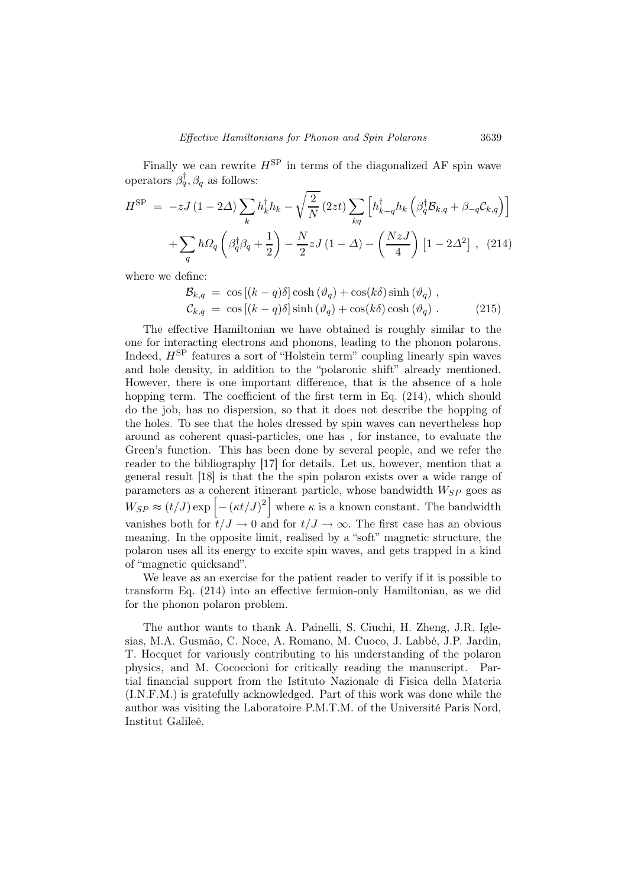Finally we can rewrite  $H^{\text{SP}}$  in terms of the diagonalized AF spin wave operators  $\beta_q^{\dagger}$ ,  $\beta_q$  as follows:

$$
H^{\rm SP} = -zJ(1 - 2\Delta) \sum_{k} h_{k}^{\dagger} h_{k} - \sqrt{\frac{2}{N}} (2zt) \sum_{kq} \left[ h_{k-q}^{\dagger} h_{k} \left( \beta_{q}^{\dagger} \mathcal{B}_{k,q} + \beta_{-q} \mathcal{C}_{k,q} \right) \right]
$$

$$
+ \sum_{q} \hbar \Omega_{q} \left( \beta_{q}^{\dagger} \beta_{q} + \frac{1}{2} \right) - \frac{N}{2} z J (1 - \Delta) - \left( \frac{NzJ}{4} \right) \left[ 1 - 2\Delta^{2} \right], \quad (214)
$$

where we define:

$$
\mathcal{B}_{k,q} = \cos\left[(k-q)\delta\right] \cosh\left(\vartheta_q\right) + \cos(k\delta) \sinh\left(\vartheta_q\right),
$$
  
\n
$$
\mathcal{C}_{k,q} = \cos\left[(k-q)\delta\right] \sinh\left(\vartheta_q\right) + \cos(k\delta) \cosh\left(\vartheta_q\right). \tag{215}
$$

The effective Hamiltonian we have obtained is roughly similar to the one for interacting electrons and phonons, leading to the phonon polarons. Indeed,  $H^{\text{SP}}$  features a sort of "Holstein term" coupling linearly spin waves and hole density, in addition to the "polaronic shift" already mentioned. However, there is one important difference, that is the absence of a hole hopping term. The coefficient of the first term in Eq.  $(214)$ , which should do the job, has no dispersion, so that it does not describe the hopping of the holes. To see that the holes dressed by spin waves can nevertheless hop around as coherent quasi-particles, one has , for instance, to evaluate the Green's function. This has been done by several people, and we refer the reader to the bibliography [17] for details. Let us, however, mention that a general result [18] is that the the spin polaron exists over a wide range of parameters as a coherent itinerant particle, whose bandwidth  $W_{SP}$  goes as  $W_{SP} \approx (t/J) \exp \left[-\left(\kappa t/J\right)^2\right]$  where  $\kappa$  is a known constant. The bandwidth vanishes both for  $t/J \to 0$  and for  $t/J \to \infty$ . The first case has an obvious meaning. In the opposite limit, realised by a "soft" magnetic structure, the polaron uses all its energy to excite spin waves, and gets trapped in a kind of "magnetic quicksand".

We leave as an exercise for the patient reader to verify if it is possible to transform Eq. (214) into an effective fermion-only Hamiltonian, as we did for the phonon polaron problem.

The author wants to thank A. Painelli, S. Ciuchi, H. Zheng, J.R. Iglesias, M.A. Gusmão, C. Noce, A. Romano, M. Cuoco, J. Labbé, J.P. Jardin, T. Hocquet for variously contributing to his understanding of the polaron physics, and M. Cococcioni for critically reading the manuscript. Partial financial support from the Istituto Nazionale di Fisica della Materia (I.N.F.M.) is gratefully acknowledged. Part of this work was done while the author was visiting the Laboratoire P.M.T.M. of the Université Paris Nord, Institut Galileé.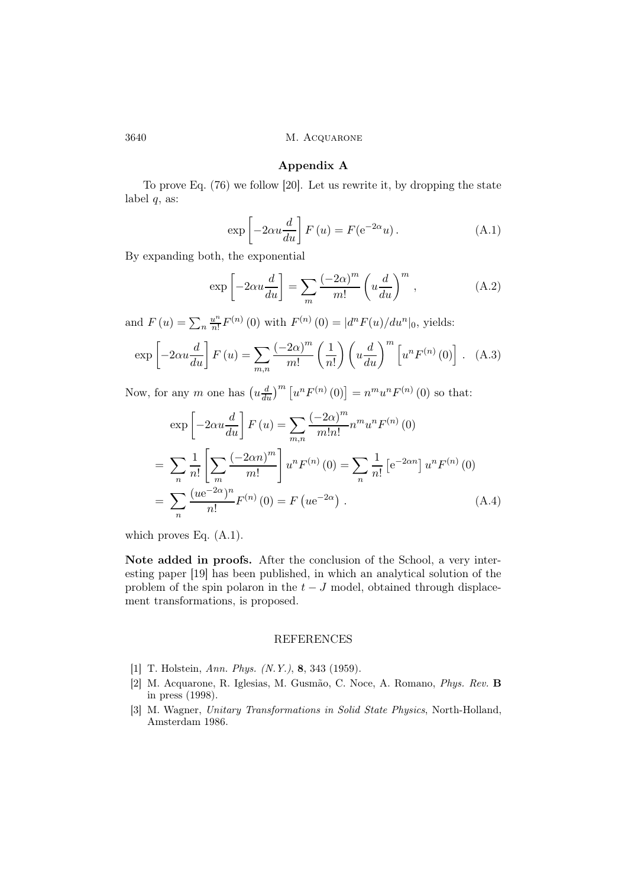#### Appendix A

To prove Eq. (76) we follow [20]. Let us rewrite it, by dropping the state label  $q$ , as:

$$
\exp\left[-2\alpha u \frac{d}{du}\right] F\left(u\right) = F(e^{-2\alpha}u). \tag{A.1}
$$

By expanding both, the exponential

$$
\exp\left[-2\alpha u \frac{d}{du}\right] = \sum_{m} \frac{(-2\alpha)^m}{m!} \left(u \frac{d}{du}\right)^m,
$$
\n(A.2)

and  $F(u) = \sum_{n} \frac{u^n}{n!}$  $\lim_{n} F^{(n)}(0)$  with  $F^{(n)}(0) = |d^n F(u)/du^n|_0$ , yields:

$$
\exp\left[-2\alpha u \frac{d}{du}\right] F\left(u\right) = \sum_{m,n} \frac{\left(-2\alpha\right)^m}{m!} \left(\frac{1}{n!}\right) \left(u \frac{d}{du}\right)^m \left[u^n F^{(n)}\left(0\right)\right]. \tag{A.3}
$$

Now, for any m one has  $\left(u\frac{d}{du}\right)^m \left[u^n F^{(n)}(0)\right] = n^m u^n F^{(n)}(0)$  so that:

$$
\exp\left[-2\alpha u \frac{d}{du}\right] F(u) = \sum_{m,n} \frac{(-2\alpha)^m}{m!n!} n^m u^n F^{(n)}(0)
$$
  
= 
$$
\sum_n \frac{1}{n!} \left[\sum_m \frac{(-2\alpha n)^m}{m!} \right] u^n F^{(n)}(0) = \sum_n \frac{1}{n!} \left[e^{-2\alpha n}\right] u^n F^{(n)}(0)
$$
  
= 
$$
\sum_n \frac{(u e^{-2\alpha})^n}{n!} F^{(n)}(0) = F(u e^{-2\alpha}).
$$
 (A.4)

which proves Eq. (A.1).

Note added in proofs. After the conclusion of the School, a very interesting paper [19] has been published, in which an analytical solution of the problem of the spin polaron in the  $t-J$  model, obtained through displacement transformations, is proposed.

## REFERENCES

- [1] T. Holstein, Ann. Phys. (N.Y.), 8, 343 (1959).
- [2] M. Acquarone, R. Iglesias, M. Gusmão, C. Noce, A. Romano, Phys. Rev. B in press (1998).
- [3] M. Wagner, Unitary Transformations in Solid State Physics, North-Holland, Amsterdam 1986.